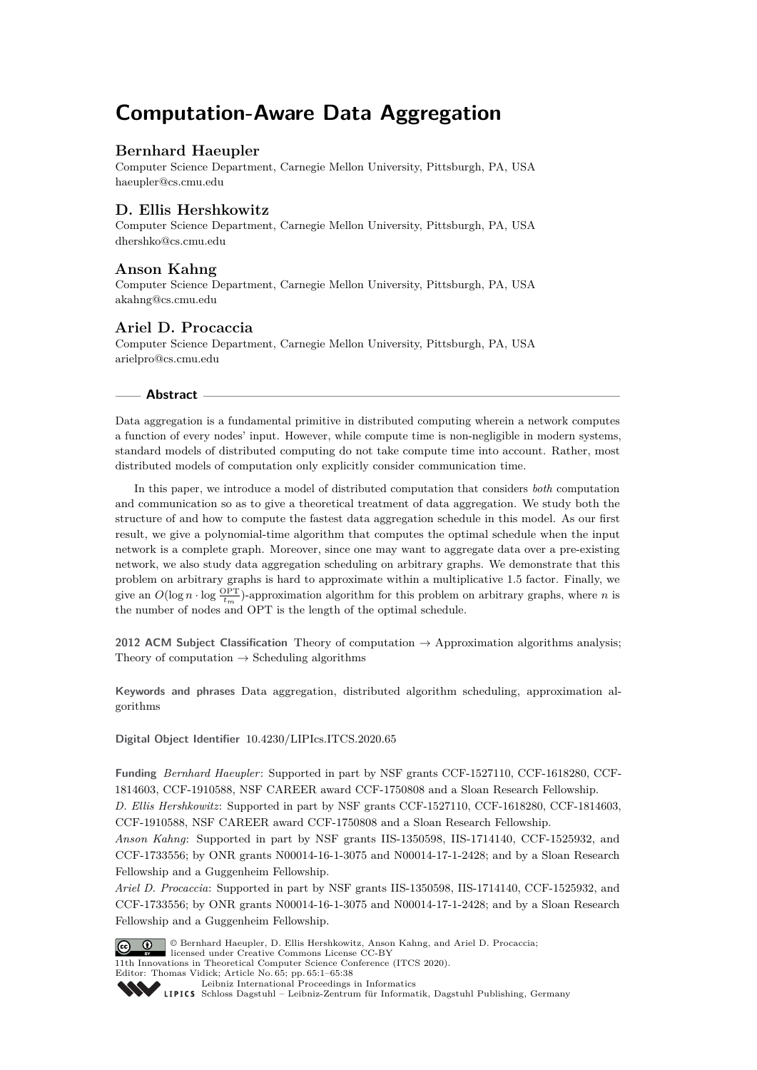# **Computation-Aware Data Aggregation**

## **Bernhard Haeupler**

Computer Science Department, Carnegie Mellon University, Pittsburgh, PA, USA [haeupler@cs.cmu.edu](mailto:haeupler@cs.cmu.edu)

## **D. Ellis Hershkowitz**

Computer Science Department, Carnegie Mellon University, Pittsburgh, PA, USA [dhershko@cs.cmu.edu](mailto:dhershko@cs.cmu.edu)

## **Anson Kahng**

Computer Science Department, Carnegie Mellon University, Pittsburgh, PA, USA [akahng@cs.cmu.edu](mailto:akahng@cs.cmu.edu)

## **Ariel D. Procaccia**

Computer Science Department, Carnegie Mellon University, Pittsburgh, PA, USA [arielpro@cs.cmu.edu](mailto:arielpro@cs.cmu.edu)

### **Abstract**

Data aggregation is a fundamental primitive in distributed computing wherein a network computes a function of every nodes' input. However, while compute time is non-negligible in modern systems, standard models of distributed computing do not take compute time into account. Rather, most distributed models of computation only explicitly consider communication time.

In this paper, we introduce a model of distributed computation that considers *both* computation and communication so as to give a theoretical treatment of data aggregation. We study both the structure of and how to compute the fastest data aggregation schedule in this model. As our first result, we give a polynomial-time algorithm that computes the optimal schedule when the input network is a complete graph. Moreover, since one may want to aggregate data over a pre-existing network, we also study data aggregation scheduling on arbitrary graphs. We demonstrate that this problem on arbitrary graphs is hard to approximate within a multiplicative 1*.*5 factor. Finally, we give an  $O(\log n \cdot \log \frac{OPT}{t_m})$ -approximation algorithm for this problem on arbitrary graphs, where *n* is the number of nodes and OPT is the length of the optimal schedule.

**2012 ACM Subject Classification** Theory of computation → Approximation algorithms analysis; Theory of computation  $\rightarrow$  Scheduling algorithms

**Keywords and phrases** Data aggregation, distributed algorithm scheduling, approximation algorithms

**Digital Object Identifier** [10.4230/LIPIcs.ITCS.2020.65](https://doi.org/10.4230/LIPIcs.ITCS.2020.65)

**Funding** *Bernhard Haeupler*: Supported in part by NSF grants CCF-1527110, CCF-1618280, CCF-1814603, CCF-1910588, NSF CAREER award CCF-1750808 and a Sloan Research Fellowship.

*D. Ellis Hershkowitz*: Supported in part by NSF grants CCF-1527110, CCF-1618280, CCF-1814603, CCF-1910588, NSF CAREER award CCF-1750808 and a Sloan Research Fellowship.

*Anson Kahng*: Supported in part by NSF grants IIS-1350598, IIS-1714140, CCF-1525932, and CCF-1733556; by ONR grants N00014-16-1-3075 and N00014-17-1-2428; and by a Sloan Research Fellowship and a Guggenheim Fellowship.

*Ariel D. Procaccia*: Supported in part by NSF grants IIS-1350598, IIS-1714140, CCF-1525932, and CCF-1733556; by ONR grants N00014-16-1-3075 and N00014-17-1-2428; and by a Sloan Research Fellowship and a Guggenheim Fellowship.



© Bernhard Haeupler, D. Ellis Hershkowitz, Anson Kahng, and Ariel D. Procaccia; licensed under Creative Commons License CC-BY

11th Innovations in Theoretical Computer Science Conference (ITCS 2020). Editor: Thomas Vidick; Article No. 65; pp. 65:1–65[:38](#page-37-0)

[Leibniz International Proceedings in Informatics](https://www.dagstuhl.de/lipics/)

[Schloss Dagstuhl – Leibniz-Zentrum für Informatik, Dagstuhl Publishing, Germany](https://www.dagstuhl.de)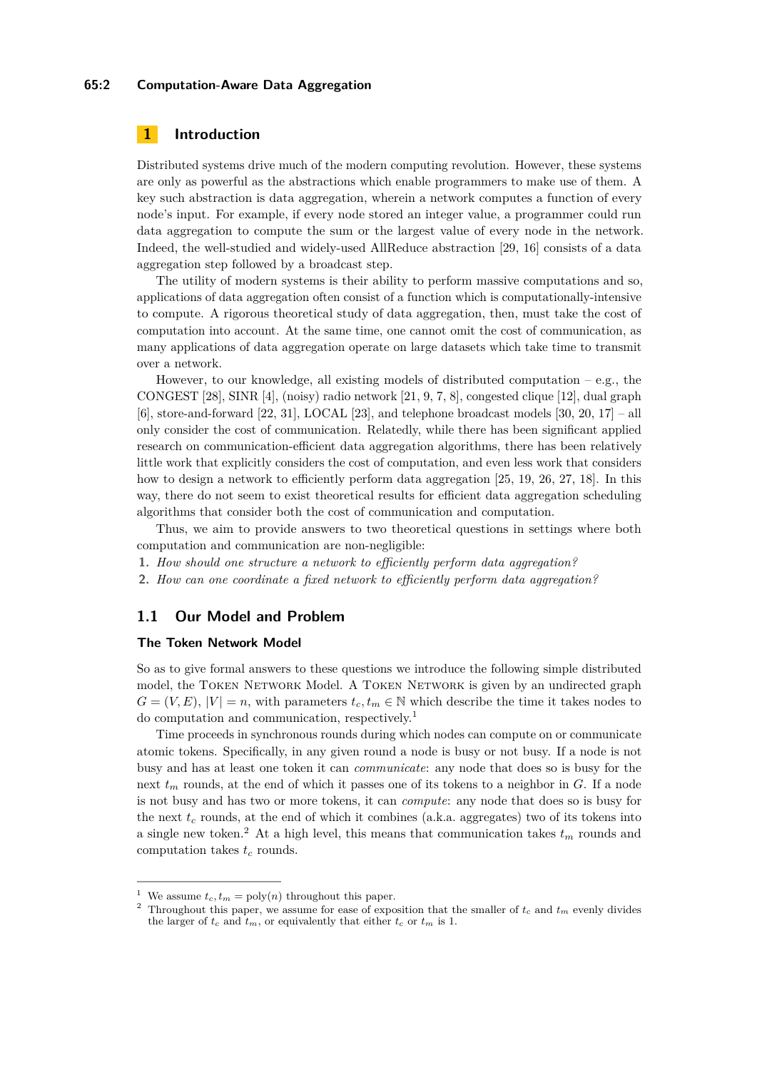### **65:2 Computation-Aware Data Aggregation**

## **1 Introduction**

Distributed systems drive much of the modern computing revolution. However, these systems are only as powerful as the abstractions which enable programmers to make use of them. A key such abstraction is data aggregation, wherein a network computes a function of every node's input. For example, if every node stored an integer value, a programmer could run data aggregation to compute the sum or the largest value of every node in the network. Indeed, the well-studied and widely-used AllReduce abstraction [\[29,](#page-15-0) [16\]](#page-14-0) consists of a data aggregation step followed by a broadcast step.

The utility of modern systems is their ability to perform massive computations and so, applications of data aggregation often consist of a function which is computationally-intensive to compute. A rigorous theoretical study of data aggregation, then, must take the cost of computation into account. At the same time, one cannot omit the cost of communication, as many applications of data aggregation operate on large datasets which take time to transmit over a network.

However, to our knowledge, all existing models of distributed computation  $-e.g.,$  the CONGEST [\[28\]](#page-14-1), SINR [\[4\]](#page-13-0), (noisy) radio network [\[21,](#page-14-2) [9,](#page-14-3) [7,](#page-14-4) [8\]](#page-14-5), congested clique [\[12\]](#page-14-6), dual graph  $[6]$ , store-and-forward  $[22, 31]$  $[22, 31]$  $[22, 31]$ , LOCAL  $[23]$ , and telephone broadcast models  $[30, 20, 17]$  $[30, 20, 17]$  $[30, 20, 17]$  $[30, 20, 17]$  $[30, 20, 17]$  – all only consider the cost of communication. Relatedly, while there has been significant applied research on communication-efficient data aggregation algorithms, there has been relatively little work that explicitly considers the cost of computation, and even less work that considers how to design a network to efficiently perform data aggregation [\[25,](#page-14-11) [19,](#page-14-12) [26,](#page-14-13) [27,](#page-14-14) [18\]](#page-14-15). In this way, there do not seem to exist theoretical results for efficient data aggregation scheduling algorithms that consider both the cost of communication and computation.

Thus, we aim to provide answers to two theoretical questions in settings where both computation and communication are non-negligible:

- **1.** *How should one structure a network to efficiently perform data aggregation?*
- **2.** *How can one coordinate a fixed network to efficiently perform data aggregation?*

## **1.1 Our Model and Problem**

### **The Token Network Model**

So as to give formal answers to these questions we introduce the following simple distributed model, the TOKEN NETWORK Model. A TOKEN NETWORK is given by an undirected graph  $G = (V, E), |V| = n$ , with parameters  $t_c, t_m \in \mathbb{N}$  which describe the time it takes nodes to do computation and communication, respectively.[1](#page-1-0)

Time proceeds in synchronous rounds during which nodes can compute on or communicate atomic tokens. Specifically, in any given round a node is busy or not busy. If a node is not busy and has at least one token it can *communicate*: any node that does so is busy for the next *t<sup>m</sup>* rounds, at the end of which it passes one of its tokens to a neighbor in *G*. If a node is not busy and has two or more tokens, it can *compute*: any node that does so is busy for the next  $t_c$  rounds, at the end of which it combines (a.k.a. aggregates) two of its tokens into a single new token.<sup>[2](#page-1-1)</sup> At a high level, this means that communication takes  $t_m$  rounds and computation takes *t<sup>c</sup>* rounds.

<span id="page-1-0"></span>We assume  $t_c$ ,  $t_m = \text{poly}(n)$  throughout this paper.

<span id="page-1-1"></span><sup>&</sup>lt;sup>2</sup> Throughout this paper, we assume for ease of exposition that the smaller of  $t_c$  and  $t_m$  evenly divides the larger of  $t_c$  and  $t_m$ , or equivalently that either  $t_c$  or  $t_m$  is 1.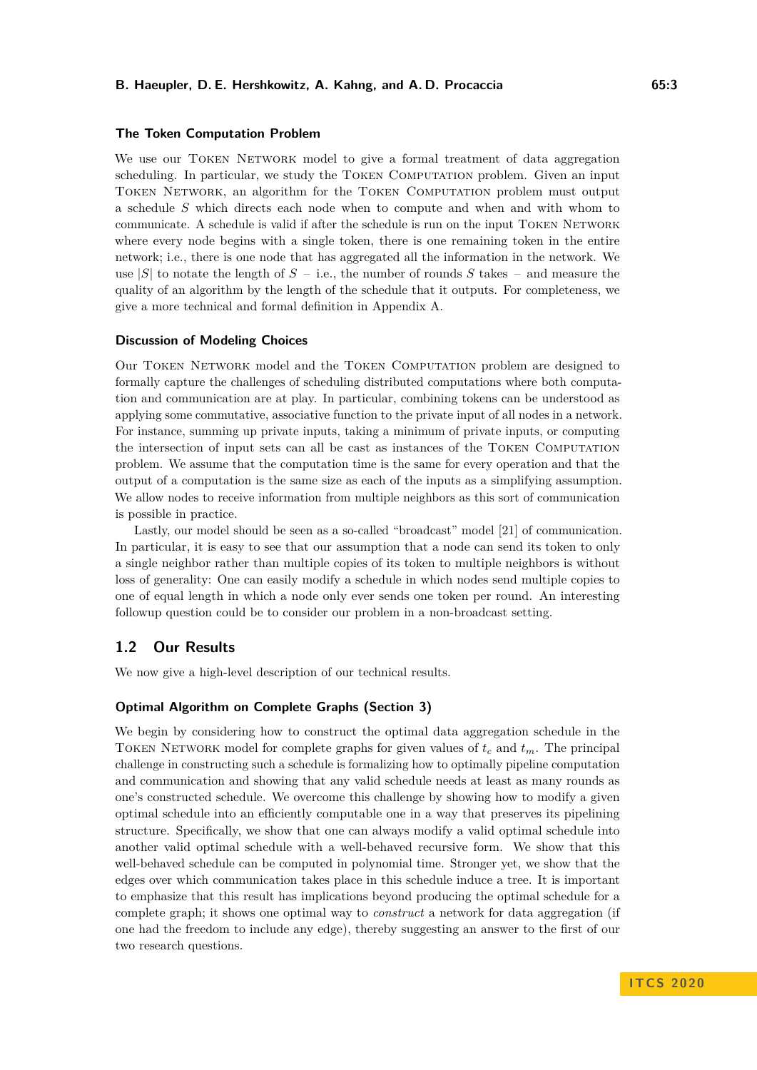### **The Token Computation Problem**

We use our TOKEN NETWORK model to give a formal treatment of data aggregation scheduling. In particular, we study the Token Computation problem. Given an input Token Network, an algorithm for the Token Computation problem must output a schedule *S* which directs each node when to compute and when and with whom to communicate. A schedule is valid if after the schedule is run on the input TOKEN NETWORK where every node begins with a single token, there is one remaining token in the entire network; i.e., there is one node that has aggregated all the information in the network. We use  $|S|$  to notate the length of  $S - i.e.,$  the number of rounds  $S$  takes – and measure the quality of an algorithm by the length of the schedule that it outputs. For completeness, we give a more technical and formal definition in Appendix [A.](#page-15-3)

### **Discussion of Modeling Choices**

Our Token Network model and the Token Computation problem are designed to formally capture the challenges of scheduling distributed computations where both computation and communication are at play. In particular, combining tokens can be understood as applying some commutative, associative function to the private input of all nodes in a network. For instance, summing up private inputs, taking a minimum of private inputs, or computing the intersection of input sets can all be cast as instances of the Token Computation problem. We assume that the computation time is the same for every operation and that the output of a computation is the same size as each of the inputs as a simplifying assumption. We allow nodes to receive information from multiple neighbors as this sort of communication is possible in practice.

Lastly, our model should be seen as a so-called "broadcast" model [\[21\]](#page-14-2) of communication. In particular, it is easy to see that our assumption that a node can send its token to only a single neighbor rather than multiple copies of its token to multiple neighbors is without loss of generality: One can easily modify a schedule in which nodes send multiple copies to one of equal length in which a node only ever sends one token per round. An interesting followup question could be to consider our problem in a non-broadcast setting.

## **1.2 Our Results**

We now give a high-level description of our technical results.

### **Optimal Algorithm on Complete Graphs (Section [3\)](#page-4-0)**

We begin by considering how to construct the optimal data aggregation schedule in the TOKEN NETWORK model for complete graphs for given values of  $t_c$  and  $t_m$ . The principal challenge in constructing such a schedule is formalizing how to optimally pipeline computation and communication and showing that any valid schedule needs at least as many rounds as one's constructed schedule. We overcome this challenge by showing how to modify a given optimal schedule into an efficiently computable one in a way that preserves its pipelining structure. Specifically, we show that one can always modify a valid optimal schedule into another valid optimal schedule with a well-behaved recursive form. We show that this well-behaved schedule can be computed in polynomial time. Stronger yet, we show that the edges over which communication takes place in this schedule induce a tree. It is important to emphasize that this result has implications beyond producing the optimal schedule for a complete graph; it shows one optimal way to *construct* a network for data aggregation (if one had the freedom to include any edge), thereby suggesting an answer to the first of our two research questions.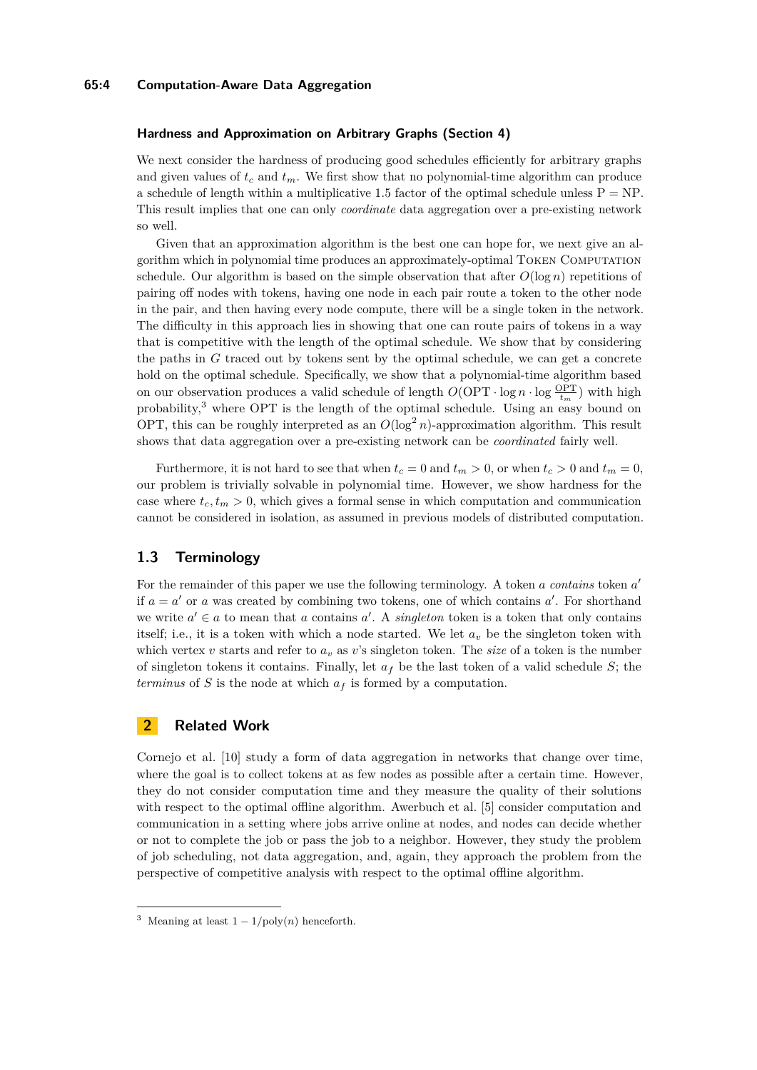### **65:4 Computation-Aware Data Aggregation**

### **Hardness and Approximation on Arbitrary Graphs (Section [4\)](#page-9-0)**

We next consider the hardness of producing good schedules efficiently for arbitrary graphs and given values of  $t_c$  and  $t_m$ . We first show that no polynomial-time algorithm can produce a schedule of length within a multiplicative 1.5 factor of the optimal schedule unless  $P = NP$ . This result implies that one can only *coordinate* data aggregation over a pre-existing network so well.

Given that an approximation algorithm is the best one can hope for, we next give an algorithm which in polynomial time produces an approximately-optimal Token Computation schedule. Our algorithm is based on the simple observation that after  $O(\log n)$  repetitions of pairing off nodes with tokens, having one node in each pair route a token to the other node in the pair, and then having every node compute, there will be a single token in the network. The difficulty in this approach lies in showing that one can route pairs of tokens in a way that is competitive with the length of the optimal schedule. We show that by considering the paths in *G* traced out by tokens sent by the optimal schedule, we can get a concrete hold on the optimal schedule. Specifically, we show that a polynomial-time algorithm based on our observation produces a valid schedule of length  $O(\text{OPT} \cdot \log n \cdot \log \frac{\text{OPT}}{t_m})$  with high probability,<sup>[3](#page-3-0)</sup> where OPT is the length of the optimal schedule. Using an easy bound on OPT, this can be roughly interpreted as an  $O(\log^2 n)$ -approximation algorithm. This result shows that data aggregation over a pre-existing network can be *coordinated* fairly well.

Furthermore, it is not hard to see that when  $t_c = 0$  and  $t_m > 0$ , or when  $t_c > 0$  and  $t_m = 0$ , our problem is trivially solvable in polynomial time. However, we show hardness for the case where  $t_c, t_m > 0$ , which gives a formal sense in which computation and communication cannot be considered in isolation, as assumed in previous models of distributed computation.

## **1.3 Terminology**

For the remainder of this paper we use the following terminology. A token *a contains* token *a'* if  $a = a'$  or *a* was created by combining two tokens, one of which contains  $a'$ . For shorthand we write  $a' \in a$  to mean that *a* contains *a*'. A *singleton* token is a token that only contains itself; i.e., it is a token with which a node started. We let  $a<sub>v</sub>$  be the singleton token with which vertex *v* starts and refer to  $a<sub>v</sub>$  as *v*'s singleton token. The *size* of a token is the number of singleton tokens it contains. Finally, let  $a_f$  be the last token of a valid schedule *S*; the *terminus* of *S* is the node at which *a<sup>f</sup>* is formed by a computation.

## **2 Related Work**

Cornejo et al. [\[10\]](#page-14-16) study a form of data aggregation in networks that change over time, where the goal is to collect tokens at as few nodes as possible after a certain time. However, they do not consider computation time and they measure the quality of their solutions with respect to the optimal offline algorithm. Awerbuch et al. [\[5\]](#page-13-2) consider computation and communication in a setting where jobs arrive online at nodes, and nodes can decide whether or not to complete the job or pass the job to a neighbor. However, they study the problem of job scheduling, not data aggregation, and, again, they approach the problem from the perspective of competitive analysis with respect to the optimal offline algorithm.

<span id="page-3-0"></span><sup>&</sup>lt;sup>3</sup> Meaning at least  $1 - 1/\text{poly}(n)$  henceforth.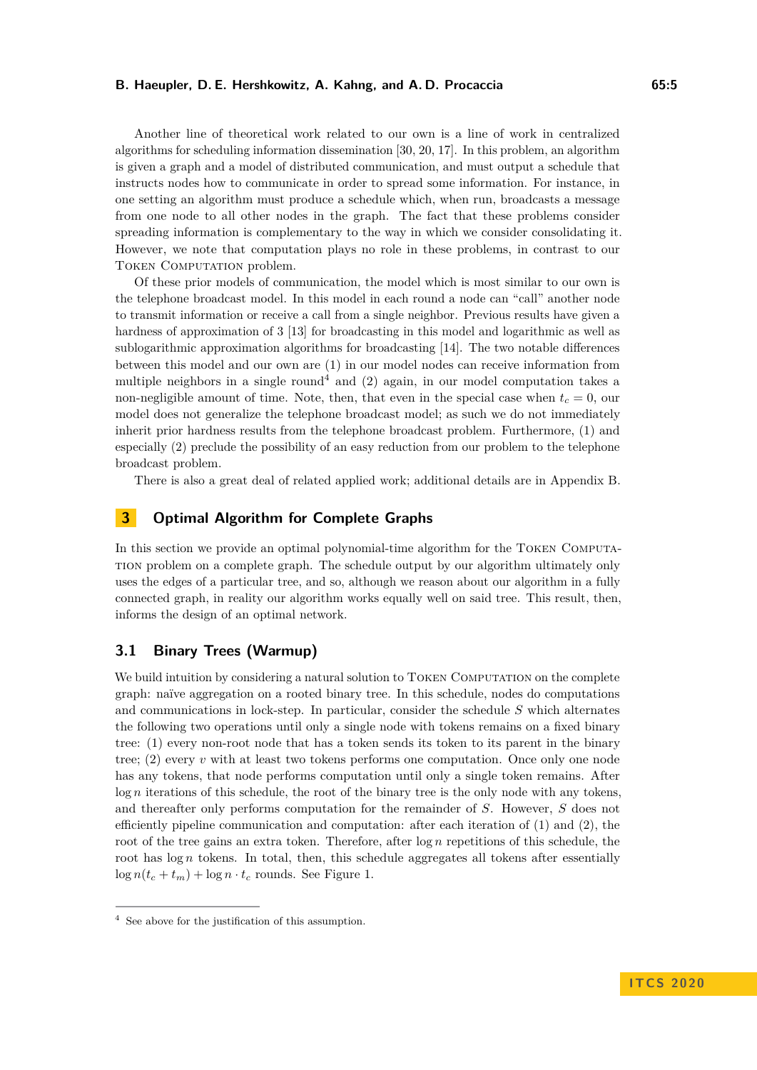Another line of theoretical work related to our own is a line of work in centralized algorithms for scheduling information dissemination [\[30,](#page-15-2) [20,](#page-14-9) [17\]](#page-14-10). In this problem, an algorithm is given a graph and a model of distributed communication, and must output a schedule that instructs nodes how to communicate in order to spread some information. For instance, in one setting an algorithm must produce a schedule which, when run, broadcasts a message from one node to all other nodes in the graph. The fact that these problems consider spreading information is complementary to the way in which we consider consolidating it. However, we note that computation plays no role in these problems, in contrast to our TOKEN COMPUTATION problem.

Of these prior models of communication, the model which is most similar to our own is the telephone broadcast model. In this model in each round a node can "call" another node to transmit information or receive a call from a single neighbor. Previous results have given a hardness of approximation of 3 [\[13\]](#page-14-17) for broadcasting in this model and logarithmic as well as sublogarithmic approximation algorithms for broadcasting [\[14\]](#page-14-18). The two notable differences between this model and our own are (1) in our model nodes can receive information from multiple neighbors in a single round<sup>[4](#page-4-1)</sup> and (2) again, in our model computation takes a non-negligible amount of time. Note, then, that even in the special case when  $t_c = 0$ , our model does not generalize the telephone broadcast model; as such we do not immediately inherit prior hardness results from the telephone broadcast problem. Furthermore, (1) and especially (2) preclude the possibility of an easy reduction from our problem to the telephone broadcast problem.

There is also a great deal of related applied work; additional details are in Appendix [B.](#page-16-0)

## <span id="page-4-0"></span>**3 Optimal Algorithm for Complete Graphs**

In this section we provide an optimal polynomial-time algorithm for the Token Computation problem on a complete graph. The schedule output by our algorithm ultimately only uses the edges of a particular tree, and so, although we reason about our algorithm in a fully connected graph, in reality our algorithm works equally well on said tree. This result, then, informs the design of an optimal network.

## **3.1 Binary Trees (Warmup)**

We build intuition by considering a natural solution to TOKEN COMPUTATION on the complete graph: naïve aggregation on a rooted binary tree. In this schedule, nodes do computations and communications in lock-step. In particular, consider the schedule *S* which alternates the following two operations until only a single node with tokens remains on a fixed binary tree: (1) every non-root node that has a token sends its token to its parent in the binary tree; (2) every *v* with at least two tokens performs one computation. Once only one node has any tokens, that node performs computation until only a single token remains. After log *n* iterations of this schedule, the root of the binary tree is the only node with any tokens, and thereafter only performs computation for the remainder of *S*. However, *S* does not efficiently pipeline communication and computation: after each iteration of (1) and (2), the root of the tree gains an extra token. Therefore, after log *n* repetitions of this schedule, the root has  $log n$  tokens. In total, then, this schedule aggregates all tokens after essentially  $\log n(t_c + t_m) + \log n \cdot t_c$  rounds. See Figure [1.](#page-5-0)

<span id="page-4-1"></span><sup>4</sup> See above for the justification of this assumption.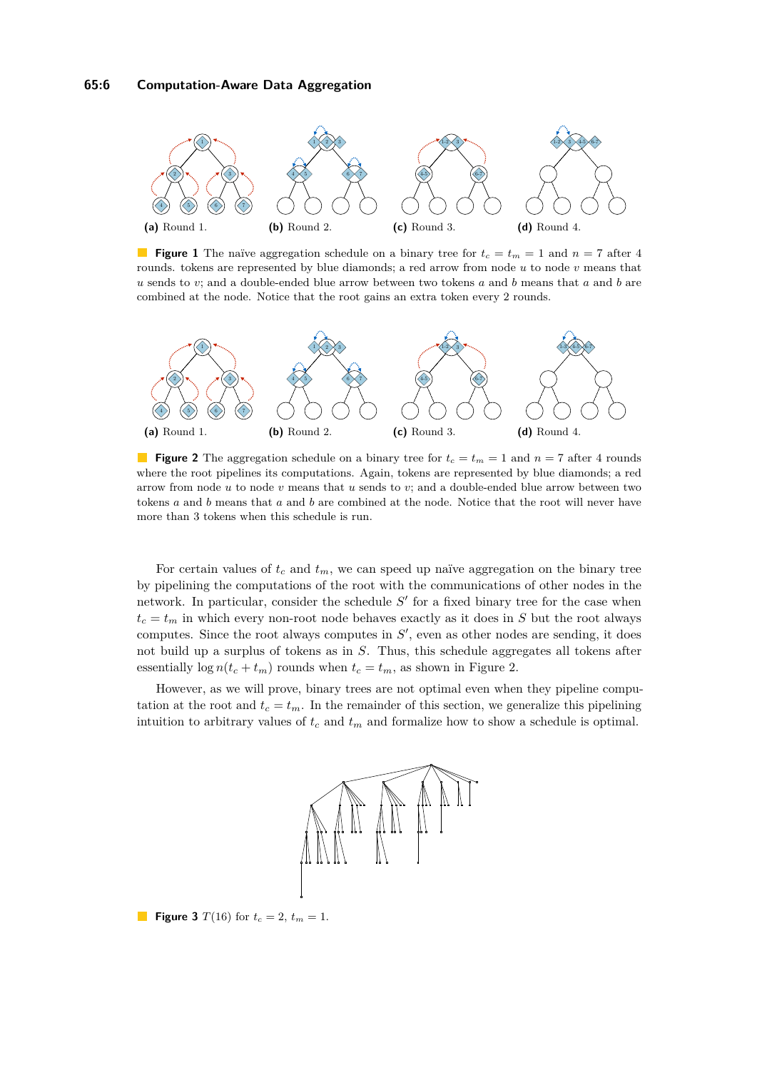<span id="page-5-0"></span>

**Figure 1** The naïve aggregation schedule on a binary tree for  $t_c = t_m = 1$  and  $n = 7$  after 4 rounds. tokens are represented by blue diamonds; a red arrow from node *u* to node *v* means that *u* sends to *v*; and a double-ended blue arrow between two tokens *a* and *b* means that *a* and *b* are combined at the node. Notice that the root gains an extra token every 2 rounds.

<span id="page-5-1"></span>

**Figure 2** The aggregation schedule on a binary tree for  $t_c = t_m = 1$  and  $n = 7$  after 4 rounds where the root pipelines its computations. Again, tokens are represented by blue diamonds; a red arrow from node *u* to node *v* means that *u* sends to *v*; and a double-ended blue arrow between two tokens *a* and *b* means that *a* and *b* are combined at the node. Notice that the root will never have more than 3 tokens when this schedule is run.

For certain values of  $t_c$  and  $t_m$ , we can speed up naïve aggregation on the binary tree by pipelining the computations of the root with the communications of other nodes in the network. In particular, consider the schedule  $S'$  for a fixed binary tree for the case when  $t_c = t_m$  in which every non-root node behaves exactly as it does in *S* but the root always computes. Since the root always computes in  $S'$ , even as other nodes are sending, it does not build up a surplus of tokens as in *S*. Thus, this schedule aggregates all tokens after essentially  $\log n(t_c + t_m)$  rounds when  $t_c = t_m$ , as shown in Figure [2.](#page-5-1)

<span id="page-5-2"></span>However, as we will prove, binary trees are not optimal even when they pipeline computation at the root and  $t_c = t_m$ . In the remainder of this section, we generalize this pipelining intuition to arbitrary values of *t<sup>c</sup>* and *t<sup>m</sup>* and formalize how to show a schedule is optimal.



**Figure 3**  $T(16)$  for  $t_c = 2$ ,  $t_m = 1$ .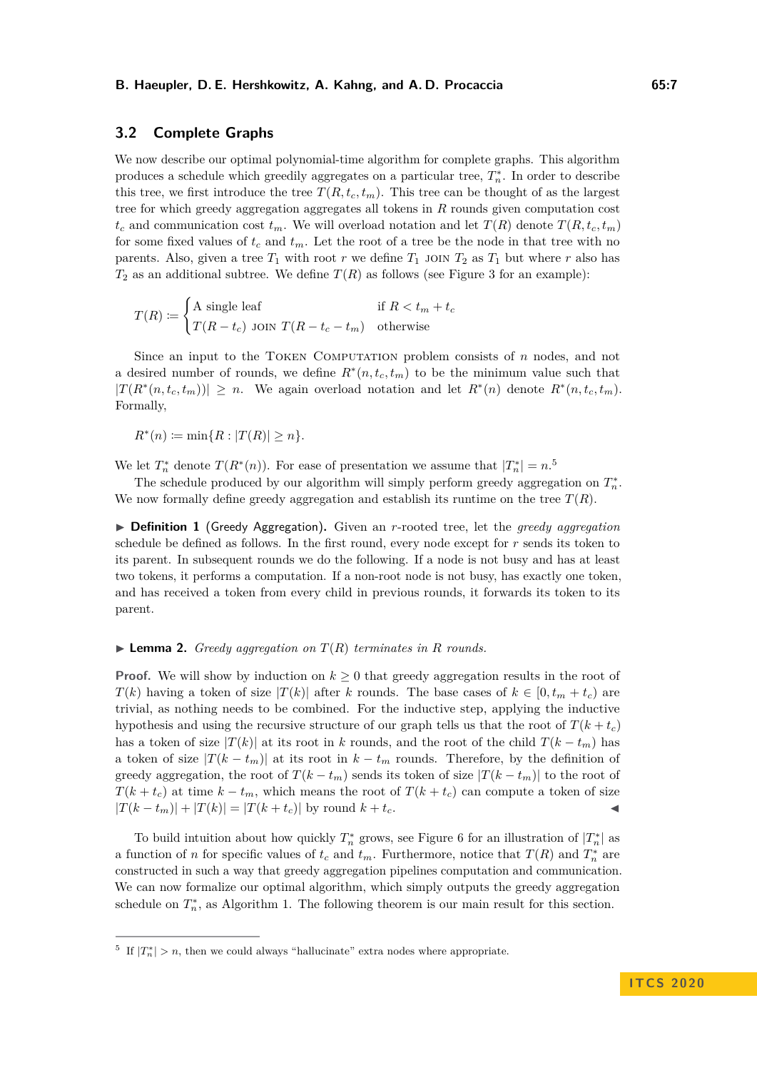## **3.2 Complete Graphs**

We now describe our optimal polynomial-time algorithm for complete graphs. This algorithm produces a schedule which greedily aggregates on a particular tree,  $T_n^*$ . In order to describe this tree, we first introduce the tree  $T(R, t_c, t_m)$ . This tree can be thought of as the largest tree for which greedy aggregation aggregates all tokens in *R* rounds given computation cost  $t_c$  and communication cost  $t_m$ . We will overload notation and let  $T(R)$  denote  $T(R, t_c, t_m)$ for some fixed values of  $t_c$  and  $t_m$ . Let the root of a tree be the node in that tree with no parents. Also, given a tree  $T_1$  with root  $r$  we define  $T_1$  join  $T_2$  as  $T_1$  but where  $r$  also has  $T_2$  as an additional subtree. We define  $T(R)$  as follows (see Figure [3](#page-5-2) for an example):

$$
T(R) := \begin{cases} \text{A single leaf} & \text{if } R < t_m + t_c \\ T(R - t_c) & \text{Join } T(R - t_c - t_m) & \text{otherwise} \end{cases}
$$

Since an input to the Token Computation problem consists of *n* nodes, and not a desired number of rounds, we define  $R^*(n, t_c, t_m)$  to be the minimum value such that  $|T(R^*(n, t_c, t_m))| \geq n$ . We again overload notation and let  $R^*(n)$  denote  $R^*(n, t_c, t_m)$ . Formally,

 $R^*(n) \coloneqq \min\{R : |T(R)| \geq n\}.$ 

We let  $T_n^*$  denote  $T(R^*(n))$ . For ease of presentation we assume that  $|T_n^*| = n$ .<sup>[5](#page-6-0)</sup>

The schedule produced by our algorithm will simply perform greedy aggregation on  $T_n^*$ . We now formally define greedy aggregation and establish its runtime on the tree  $T(R)$ .

I **Definition 1** (Greedy Aggregation)**.** Given an *r*-rooted tree, let the *greedy aggregation* schedule be defined as follows. In the first round, every node except for *r* sends its token to its parent. In subsequent rounds we do the following. If a node is not busy and has at least two tokens, it performs a computation. If a non-root node is not busy, has exactly one token, and has received a token from every child in previous rounds, it forwards its token to its parent.

### <span id="page-6-2"></span> $\blacktriangleright$  **Lemma 2.** *Greedy aggregation on*  $T(R)$  *terminates in R rounds.*

**Proof.** We will show by induction on  $k \geq 0$  that greedy aggregation results in the root of *T*(*k*) having a token of size  $|T(k)|$  after *k* rounds. The base cases of  $k \in [0, t_m + t_c)$  are trivial, as nothing needs to be combined. For the inductive step, applying the inductive hypothesis and using the recursive structure of our graph tells us that the root of  $T(k + t_c)$ has a token of size  $|T(k)|$  at its root in *k* rounds, and the root of the child  $T(k - t_m)$  has a token of size  $|T(k - t_m)|$  at its root in  $k - t_m$  rounds. Therefore, by the definition of greedy aggregation, the root of  $T(k - t_m)$  sends its token of size  $|T(k - t_m)|$  to the root of *T*( $k + t_c$ ) at time  $k - t_m$ , which means the root of *T*( $k + t_c$ ) can compute a token of size  $|T(k - t_m)| + |T(k)| = |T(k + t_c)|$  by round  $k + t_c$ .

To build intuition about how quickly  $T_n^*$  grows, see Figure [6](#page-17-0) for an illustration of  $|T_n^*|$  as a function of *n* for specific values of  $t_c$  and  $t_m$ . Furthermore, notice that  $T(R)$  and  $T_n^*$  are constructed in such a way that greedy aggregation pipelines computation and communication. We can now formalize our optimal algorithm, which simply outputs the greedy aggregation schedule on  $T_n^*$ , as Algorithm [1.](#page-7-0) The following theorem is our main result for this section.

<span id="page-6-1"></span><span id="page-6-0"></span><sup>&</sup>lt;sup>5</sup> If  $|T_n^*| > n$ , then we could always "hallucinate" extra nodes where appropriate.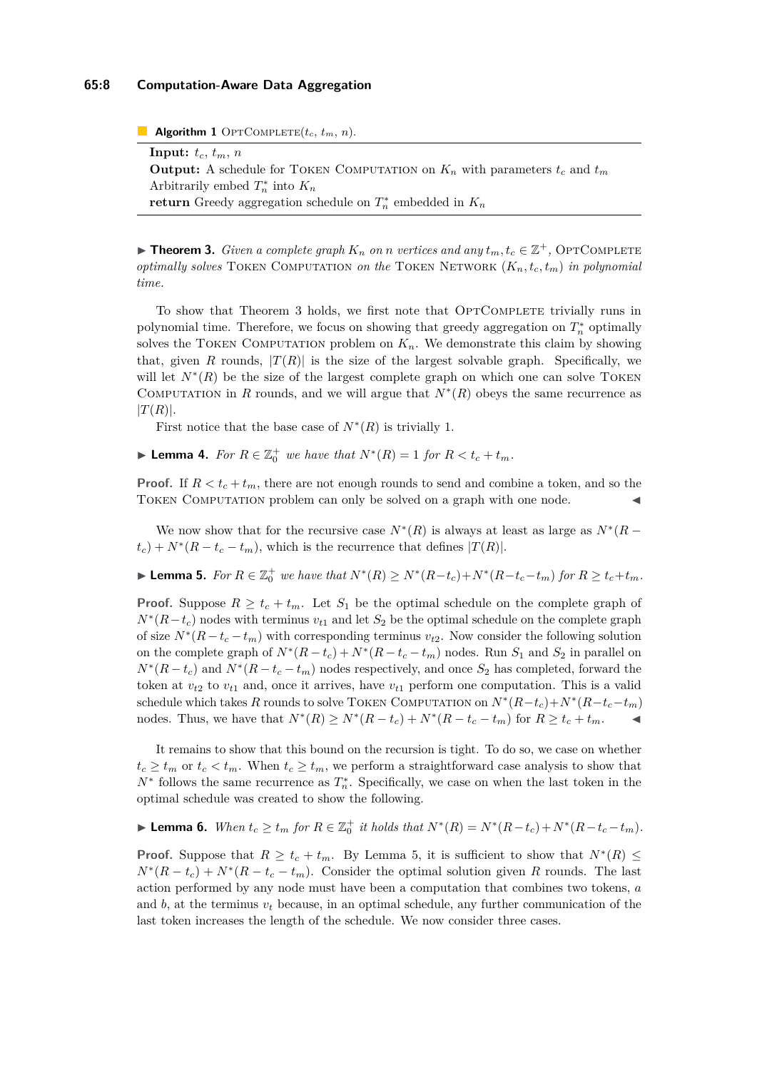### **65:8 Computation-Aware Data Aggregation**

<span id="page-7-0"></span>**Algorithm 1** OPTCOMPLETE $(t_c, t_m, n)$ .

**Input:**  $t_c$ ,  $t_m$ ,  $n$ **Output:** A schedule for TOKEN COMPUTATION on  $K_n$  with parameters  $t_c$  and  $t_m$ Arbitrarily embed  $T_n^*$  into  $K_n$ **return** Greedy aggregation schedule on  $T_n^*$  embedded in  $K_n$ 

▶ **Theorem 3.** *Given a complete graph*  $K_n$  *on n vertices and any*  $t_m, t_c \in \mathbb{Z}^+$ , OPTCOMPLETE *optimally solves* Token Computation *on the* Token Network (*Kn, tc, tm*) *in polynomial time.*

To show that Theorem [3](#page-6-1) holds, we first note that OPTCOMPLETE trivially runs in polynomial time. Therefore, we focus on showing that greedy aggregation on  $T_n^*$  optimally solves the TOKEN COMPUTATION problem on  $K_n$ . We demonstrate this claim by showing that, given *R* rounds,  $|T(R)|$  is the size of the largest solvable graph. Specifically, we will let  $N^*(R)$  be the size of the largest complete graph on which one can solve TOKEN COMPUTATION in *R* rounds, and we will argue that  $N^*(R)$  obeys the same recurrence as  $|T(R)|$ .

First notice that the base case of  $N^*(R)$  is trivially 1.

<span id="page-7-2"></span>► **Lemma 4.** *For*  $R \in \mathbb{Z}_0^+$  *we have that*  $N^*(R) = 1$  *for*  $R < t_c + t_m$ *.* 

**Proof.** If  $R < t_c + t_m$ , there are not enough rounds to send and combine a token, and so the TOKEN COMPUTATION problem can only be solved on a graph with one node.

We now show that for the recursive case  $N^*(R)$  is always at least as large as  $N^*(R - )$  $t_c$ ) +  $N^*(R - t_c - t_m)$ , which is the recurrence that defines  $|T(R)|$ .

<span id="page-7-1"></span>**Lemma 5.** For  $R \in \mathbb{Z}_0^+$  we have that  $N^*(R) \ge N^*(R-t_c)+N^*(R-t_c-t_m)$  for  $R \ge t_c+t_m$ .

**Proof.** Suppose  $R \geq t_c + t_m$ . Let  $S_1$  be the optimal schedule on the complete graph of  $N^*(R-t_c)$  nodes with terminus  $v_{t1}$  and let  $S_2$  be the optimal schedule on the complete graph of size  $N^*(R - t_c - t_m)$  with corresponding terminus  $v_{t2}$ . Now consider the following solution on the complete graph of  $N^*(R-t_c)+N^*(R-t_c-t_m)$  nodes. Run  $S_1$  and  $S_2$  in parallel on  $N^*(R-t_c)$  and  $N^*(R-t_c-t_m)$  nodes respectively, and once  $S_2$  has completed, forward the token at  $v_{t2}$  to  $v_{t1}$  and, once it arrives, have  $v_{t1}$  perform one computation. This is a valid schedule which takes *R* rounds to solve TOKEN COMPUTATION on  $N^*(R-t_c)+N^*(R-t_c-t_m)$ nodes. Thus, we have that  $N^*(R) \ge N^*(R - t_c) + N^*(R - t_c - t_m)$  for  $R \ge t_c + t_m$ .

It remains to show that this bound on the recursion is tight. To do so, we case on whether  $t_c \geq t_m$  or  $t_c < t_m$ . When  $t_c \geq t_m$ , we perform a straightforward case analysis to show that *N*<sup>∗</sup> follows the same recurrence as  $T_n^*$ . Specifically, we case on when the last token in the optimal schedule was created to show the following.

<span id="page-7-3"></span>**Lemma 6.** When  $t_c \ge t_m$  for  $R \in \mathbb{Z}_0^+$  it holds that  $N^*(R) = N^*(R - t_c) + N^*(R - t_c - t_m)$ .

**Proof.** Suppose that  $R \geq t_c + t_m$ . By Lemma [5,](#page-7-1) it is sufficient to show that  $N^*(R) \leq$  $N^*(R-t_c) + N^*(R-t_c-t_m)$ . Consider the optimal solution given *R* rounds. The last action performed by any node must have been a computation that combines two tokens, *a* and  $b$ , at the terminus  $v_t$  because, in an optimal schedule, any further communication of the last token increases the length of the schedule. We now consider three cases.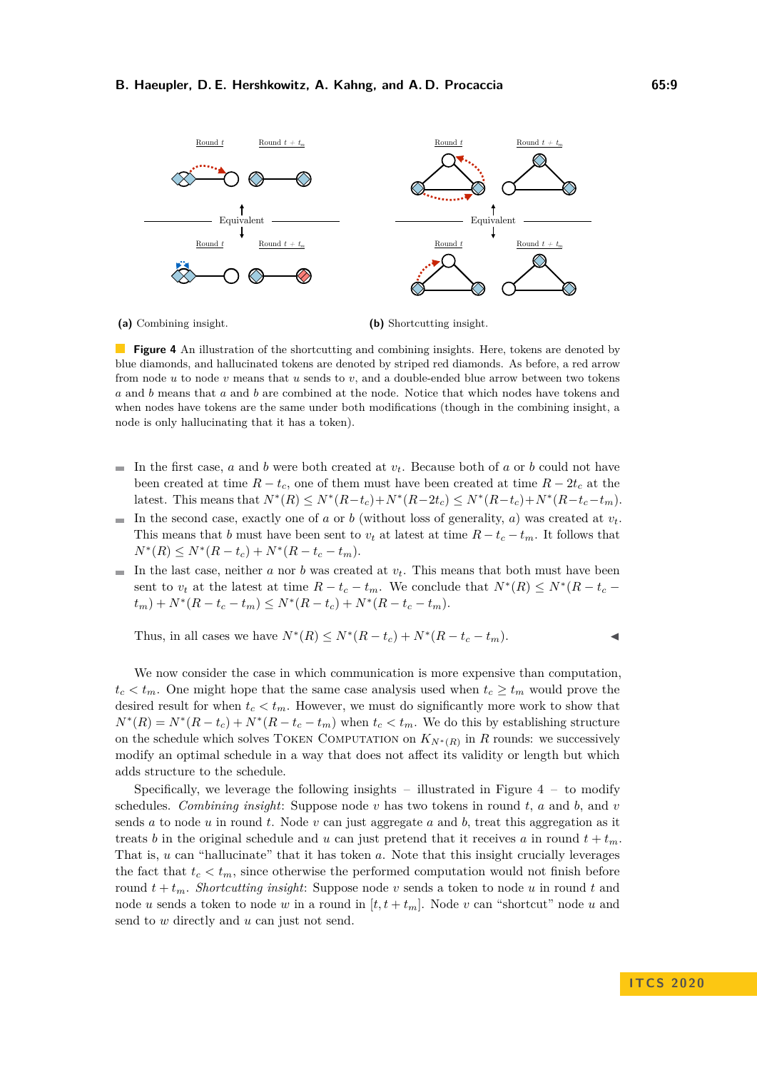<span id="page-8-0"></span>

**(a)** Combining insight.

**(b)** Shortcutting insight.

**Figure 4** An illustration of the shortcutting and combining insights. Here, tokens are denoted by blue diamonds, and hallucinated tokens are denoted by striped red diamonds. As before, a red arrow from node *u* to node *v* means that *u* sends to *v*, and a double-ended blue arrow between two tokens *a* and *b* means that *a* and *b* are combined at the node. Notice that which nodes have tokens and when nodes have tokens are the same under both modifications (though in the combining insight, a node is only hallucinating that it has a token).

- In the first case, *a* and *b* were both created at *vt*. Because both of *a* or *b* could not have  $\blacksquare$ been created at time  $R - t_c$ , one of them must have been created at time  $R - 2t_c$  at the latest. This means that  $N^*(R) \le N^*(R-t_c) + N^*(R-2t_c) \le N^*(R-t_c) + N^*(R-t_c-t_m)$ .
- In the second case, exactly one of *a* or *b* (without loss of generality, *a*) was created at  $v_t$ . This means that *b* must have been sent to  $v_t$  at latest at time  $R - t_c - t_m$ . It follows that  $N^*(R) \leq N^*(R - t_c) + N^*(R - t_c - t_m).$
- In the last case, neither  $a$  nor  $b$  was created at  $v_t$ . This means that both must have been m. sent to  $v_t$  at the latest at time  $R - t_c - t_m$ . We conclude that  $N^*(R) \le N^*(R - t_c - t_m)$  $t_m$ ) +  $N^*(R - t_c - t_m) \leq N^*(R - t_c) + N^*(R - t_c - t_m).$

Thus, in all cases we have  $N^*(R)$  ≤  $N^*(R - t_c) + N^*(R - t_c - t_m)$ .  $\triangleleft$ 

We now consider the case in which communication is more expensive than computation,  $t_c < t_m$ . One might hope that the same case analysis used when  $t_c \geq t_m$  would prove the desired result for when  $t_c < t_m$ . However, we must do significantly more work to show that  $N^*(R) = N^*(R - t_c) + N^*(R - t_c - t_m)$  when  $t_c < t_m$ . We do this by establishing structure on the schedule which solves TOKEN COMPUTATION on  $K_{N^*(R)}$  in *R* rounds: we successively modify an optimal schedule in a way that does not affect its validity or length but which adds structure to the schedule.

Specifically, we leverage the following insights – illustrated in Figure  $4 - t_0$  modify schedules. *Combining insight*: Suppose node *v* has two tokens in round *t*, *a* and *b*, and *v* sends *a* to node *u* in round *t*. Node *v* can just aggregate *a* and *b*, treat this aggregation as it treats *b* in the original schedule and *u* can just pretend that it receives *a* in round  $t + t_m$ . That is, *u* can "hallucinate" that it has token *a*. Note that this insight crucially leverages the fact that  $t_c < t_m$ , since otherwise the performed computation would not finish before round  $t + t_m$ . *Shortcutting insight*: Suppose node *v* sends a token to node *u* in round *t* and node *u* sends a token to node *w* in a round in  $[t, t + t_m]$ . Node *v* can "shortcut" node *u* and send to *w* directly and *u* can just not send.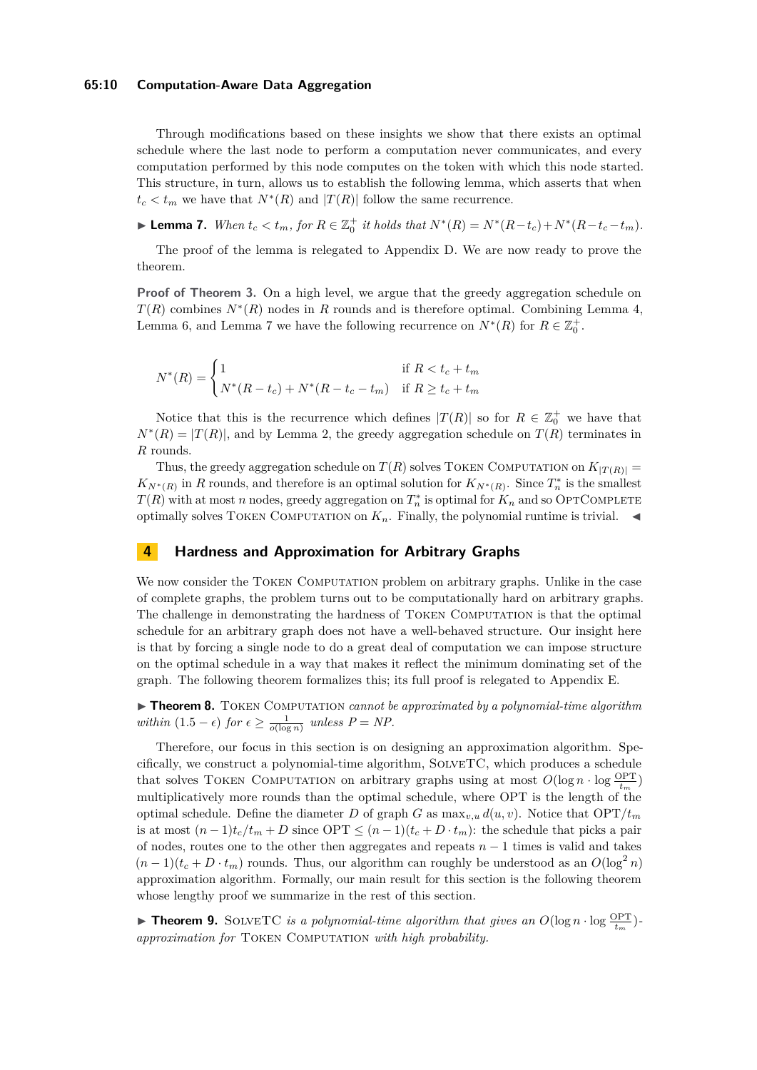### **65:10 Computation-Aware Data Aggregation**

Through modifications based on these insights we show that there exists an optimal schedule where the last node to perform a computation never communicates, and every computation performed by this node computes on the token with which this node started. This structure, in turn, allows us to establish the following lemma, which asserts that when  $t_c < t_m$  we have that  $N^*(R)$  and  $|T(R)|$  follow the same recurrence.

<span id="page-9-1"></span>**Lemma 7.** When  $t_c < t_m$ , for  $R \in \mathbb{Z}_0^+$  it holds that  $N^*(R) = N^*(R - t_c) + N^*(R - t_c - t_m)$ .

The proof of the lemma is relegated to Appendix [D.](#page-17-1) We are now ready to prove the theorem.

**Proof of Theorem [3.](#page-6-1)** On a high level, we argue that the greedy aggregation schedule on  $T(R)$  combines  $N^*(R)$  nodes in *R* rounds and is therefore optimal. Combining Lemma [4,](#page-7-2) Lemma [6,](#page-7-3) and Lemma [7](#page-9-1) we have the following recurrence on  $N^*(R)$  for  $R \in \mathbb{Z}_0^+$ .

$$
N^*(R) = \begin{cases} 1 & \text{if } R < t_c + t_m \\ N^*(R - t_c) + N^*(R - t_c - t_m) & \text{if } R \ge t_c + t_m \end{cases}
$$

Notice that this is the recurrence which defines  $|T(R)|$  so for  $R \in \mathbb{Z}_0^+$  we have that  $N^*(R) = |T(R)|$ , and by Lemma [2,](#page-6-2) the greedy aggregation schedule on  $T(R)$  terminates in *R* rounds.

Thus, the greedy aggregation schedule on  $T(R)$  solves TOKEN COMPUTATION on  $K_{|T(R)|} =$  $K_{N^*(R)}$  in *R* rounds, and therefore is an optimal solution for  $K_{N^*(R)}$ . Since  $T_n^*$  is the smallest  $T(R)$  with at most *n* nodes, greedy aggregation on  $T_n^*$  is optimal for  $K_n$  and so OPTCOMPLETE optimally solves TOKEN COMPUTATION on  $K_n$ . Finally, the polynomial runtime is trivial.

## <span id="page-9-0"></span>**4 Hardness and Approximation for Arbitrary Graphs**

We now consider the TOKEN COMPUTATION problem on arbitrary graphs. Unlike in the case of complete graphs, the problem turns out to be computationally hard on arbitrary graphs. The challenge in demonstrating the hardness of Token Computation is that the optimal schedule for an arbitrary graph does not have a well-behaved structure. Our insight here is that by forcing a single node to do a great deal of computation we can impose structure on the optimal schedule in a way that makes it reflect the minimum dominating set of the graph. The following theorem formalizes this; its full proof is relegated to Appendix [E.](#page-21-0)

<span id="page-9-3"></span>▶ Theorem 8. TOKEN COMPUTATION *cannot be approximated by a polynomial-time algorithm within*  $(1.5 - \epsilon)$  *for*  $\epsilon \ge \frac{1}{o(\log n)}$  *unless*  $P = NP$ .

Therefore, our focus in this section is on designing an approximation algorithm. Specifically, we construct a polynomial-time algorithm, SolveTC, which produces a schedule that solves TOKEN COMPUTATION on arbitrary graphs using at most  $O(\log n \cdot \log \frac{OPT}{t_m})$ multiplicatively more rounds than the optimal schedule, where OPT is the length of the optimal schedule. Define the diameter *D* of graph *G* as  $\max_{v, u} d(u, v)$ . Notice that  $\text{OPT}/t_m$ is at most  $(n-1)t_c/t_m + D$  since  $\text{OPT} \leq (n-1)(t_c + D \cdot t_m)$ : the schedule that picks a pair of nodes, routes one to the other then aggregates and repeats *n* − 1 times is valid and takes  $(n-1)(t_c + D \cdot t_m)$  rounds. Thus, our algorithm can roughly be understood as an  $O(\log^2 n)$ approximation algorithm. Formally, our main result for this section is the following theorem whose lengthy proof we summarize in the rest of this section.

<span id="page-9-2"></span>**Find 19.** SOLVETC *is a polynomial-time algorithm that gives an*  $O(\log n \cdot \log \frac{OPT}{t_m})$ *approximation for* Token Computation *with high probability.*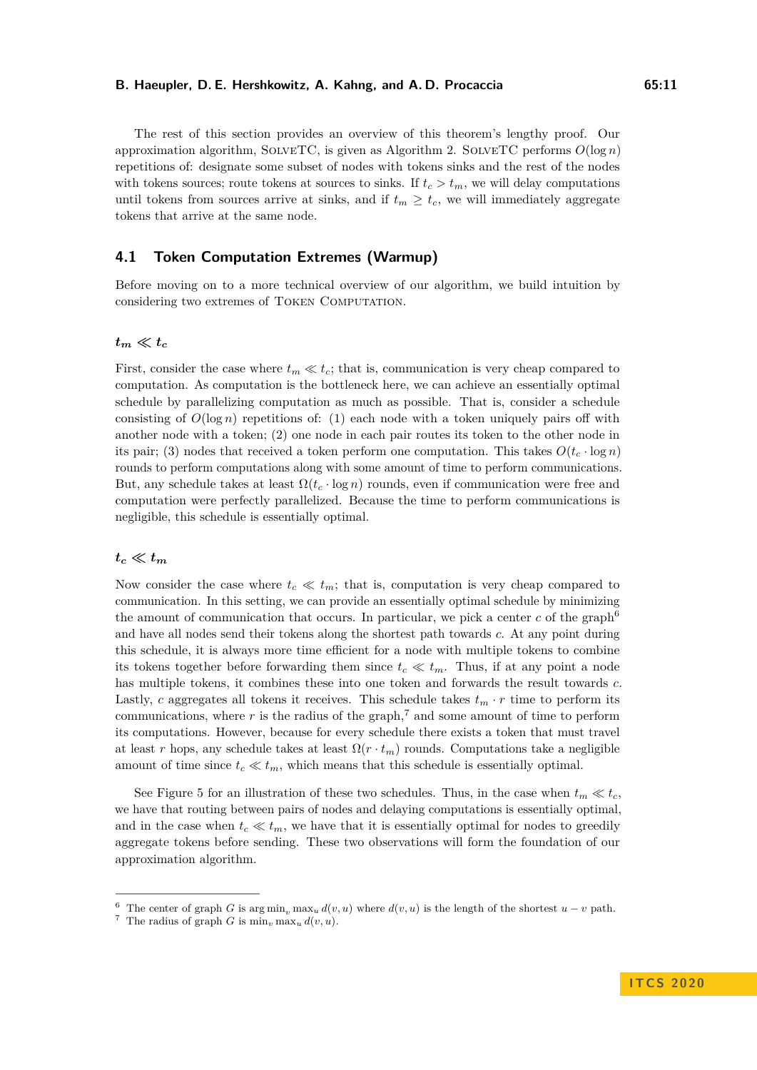The rest of this section provides an overview of this theorem's lengthy proof. Our approximation algorithm, SOLVETC, is given as Algorithm [2.](#page-11-0) SOLVETC performs  $O(\log n)$ repetitions of: designate some subset of nodes with tokens sinks and the rest of the nodes with tokens sources; route tokens at sources to sinks. If  $t_c > t_m$ , we will delay computations until tokens from sources arrive at sinks, and if  $t_m \geq t_c$ , we will immediately aggregate tokens that arrive at the same node.

## <span id="page-10-2"></span>**4.1 Token Computation Extremes (Warmup)**

Before moving on to a more technical overview of our algorithm, we build intuition by considering two extremes of Token Computation.

## $t_m \ll t_c$

First, consider the case where  $t_m \ll t_c$ ; that is, communication is very cheap compared to computation. As computation is the bottleneck here, we can achieve an essentially optimal schedule by parallelizing computation as much as possible. That is, consider a schedule consisting of  $O(\log n)$  repetitions of: (1) each node with a token uniquely pairs off with another node with a token; (2) one node in each pair routes its token to the other node in its pair; (3) nodes that received a token perform one computation. This takes  $O(t_c \cdot \log n)$ rounds to perform computations along with some amount of time to perform communications. But, any schedule takes at least Ω(*t<sup>c</sup>* · log *n*) rounds, even if communication were free and computation were perfectly parallelized. Because the time to perform communications is negligible, this schedule is essentially optimal.

## $t_c \ll t_m$

Now consider the case where  $t_c \ll t_m$ ; that is, computation is very cheap compared to communication. In this setting, we can provide an essentially optimal schedule by minimizing the amount of communication that occurs. In particular, we pick a center  $c$  of the graph<sup>[6](#page-10-0)</sup> and have all nodes send their tokens along the shortest path towards *c*. At any point during this schedule, it is always more time efficient for a node with multiple tokens to combine its tokens together before forwarding them since  $t_c \ll t_m$ . Thus, if at any point a node has multiple tokens, it combines these into one token and forwards the result towards *c*. Lastly, *c* aggregates all tokens it receives. This schedule takes  $t_m \cdot r$  time to perform its communications, where  $r$  is the radius of the graph,<sup>[7](#page-10-1)</sup> and some amount of time to perform its computations. However, because for every schedule there exists a token that must travel at least *r* hops, any schedule takes at least  $\Omega(r \cdot t_m)$  rounds. Computations take a negligible amount of time since  $t_c \ll t_m$ , which means that this schedule is essentially optimal.

See Figure [5](#page-11-1) for an illustration of these two schedules. Thus, in the case when  $t_m \ll t_c$ , we have that routing between pairs of nodes and delaying computations is essentially optimal, and in the case when  $t_c \ll t_m$ , we have that it is essentially optimal for nodes to greedily aggregate tokens before sending. These two observations will form the foundation of our approximation algorithm.

<span id="page-10-0"></span><sup>&</sup>lt;sup>6</sup> The center of graph *G* is arg min<sub>n</sub>, max<sub>*u*</sub>  $d(v, u)$  where  $d(v, u)$  is the length of the shortest  $u - v$  path.

<span id="page-10-1"></span><sup>&</sup>lt;sup>7</sup> The radius of graph *G* is  $\min_v \max_u d(v, u)$ .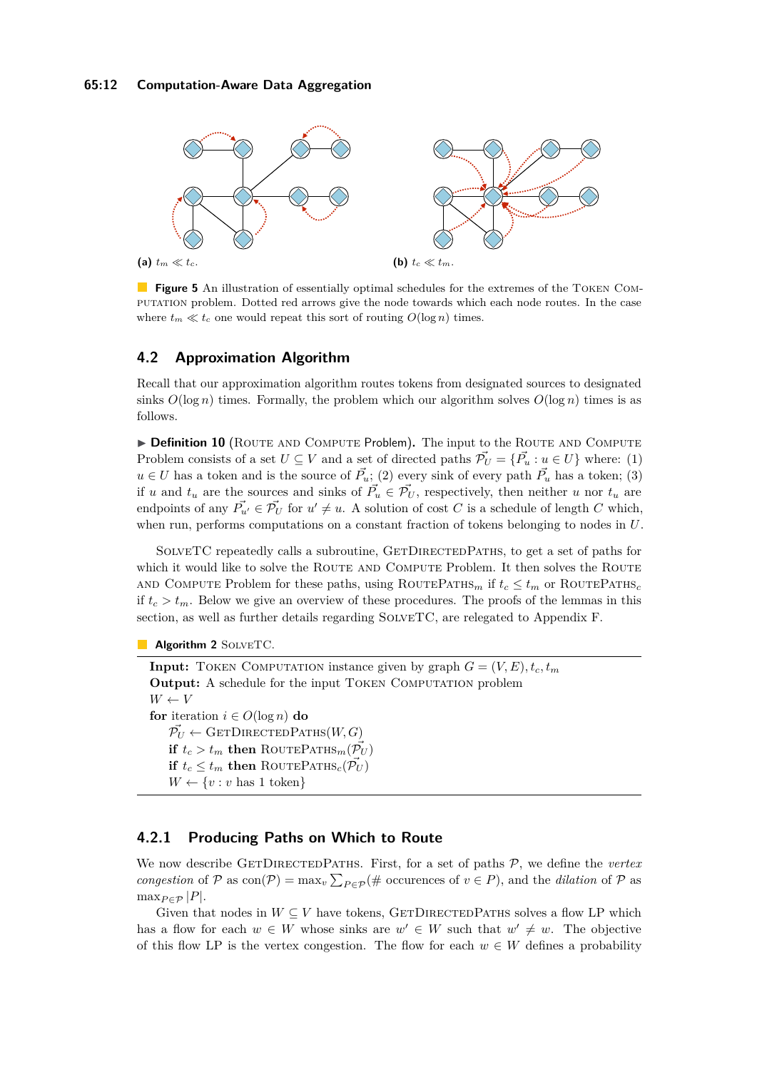<span id="page-11-1"></span>

**Figure 5** An illustration of essentially optimal schedules for the extremes of the TOKEN COMputation problem. Dotted red arrows give the node towards which each node routes. In the case where  $t_m \ll t_c$  one would repeat this sort of routing  $O(\log n)$  times.

## **4.2 Approximation Algorithm**

Recall that our approximation algorithm routes tokens from designated sources to designated sinks  $O(\log n)$  times. Formally, the problem which our algorithm solves  $O(\log n)$  times is as follows.

**Definition 10** (ROUTE AND COMPUTE Problem). The input to the ROUTE AND COMPUTE Problem consists of a set  $U \subseteq V$  and a set of directed paths  $\vec{\mathcal{P}}_U = {\vec{\mathcal{P}}}_u : u \in U$  where: (1) *u* ∈ *U* has a token and is the source of  $\vec{P}_u$ ; (2) every sink of every path  $\vec{P}_u$  has a token; (3) if *u* and  $t_u$  are the sources and sinks of  $\vec{P_u} \in \vec{\mathcal{P}_U}$ , respectively, then neither *u* nor  $t_u$  are endpoints of any  $\vec{P_{u'}} \in \vec{\mathcal{P}_U}$  for  $u' \neq u$ . A solution of cost *C* is a schedule of length *C* which, when run, performs computations on a constant fraction of tokens belonging to nodes in *U*.

SOLVETC repeatedly calls a subroutine, GETDIRECTEDPATHS, to get a set of paths for which it would like to solve the ROUTE AND COMPUTE Problem. It then solves the ROUTE AND COMPUTE Problem for these paths, using ROUTEPATHS<sub>*m*</sub> if  $t_c \leq t_m$  or ROUTEPATHS<sub>*c*</sub> if  $t_c > t_m$ . Below we give an overview of these procedures. The proofs of the lemmas in this section, as well as further details regarding SolveTC, are relegated to Appendix [F.](#page-27-0)

```
Algorithm 2 SOLVETC.
```
**Input:** TOKEN COMPUTATION instance given by graph  $G = (V, E), t_c, t_m$ **Output:** A schedule for the input TOKEN COMPUTATION problem  $W \leftarrow V$ **for** iteration  $i \in O(\log n)$  **do**  $\vec{\mathcal{P}_U} \leftarrow$  GETDIRECTEDPATHS $(W, G)$ **if**  $t_c > t_m$  **then** ROUTEPATHS<sub>*m*</sub>( $\overrightarrow{\mathcal{P}_U}$ ) **if**  $t_c \leq t_m$  **then** ROUTEPATHS<sub>*c*</sub>( $\mathcal{P}_U$ )  $W \leftarrow \{v : v \text{ has } 1 \text{ token}\}$ 

## <span id="page-11-2"></span>**4.2.1 Producing Paths on Which to Route**

We now describe GETDIRECTEDPATHS. First, for a set of paths  $P$ , we define the *vertex congestion* of P as  $con(\mathcal{P}) = \max_v \sum_{P \in \mathcal{P}} (\# \text{ occurrences of } v \in P)$ , and the *dilation* of P as  $\max_{P \in \mathcal{P}} |P|.$ 

Given that nodes in  $W \subseteq V$  have tokens, GETDIRECTEDPATHS solves a flow LP which has a flow for each  $w \in W$  whose sinks are  $w' \in W$  such that  $w' \neq w$ . The objective of this flow LP is the vertex congestion. The flow for each  $w \in W$  defines a probability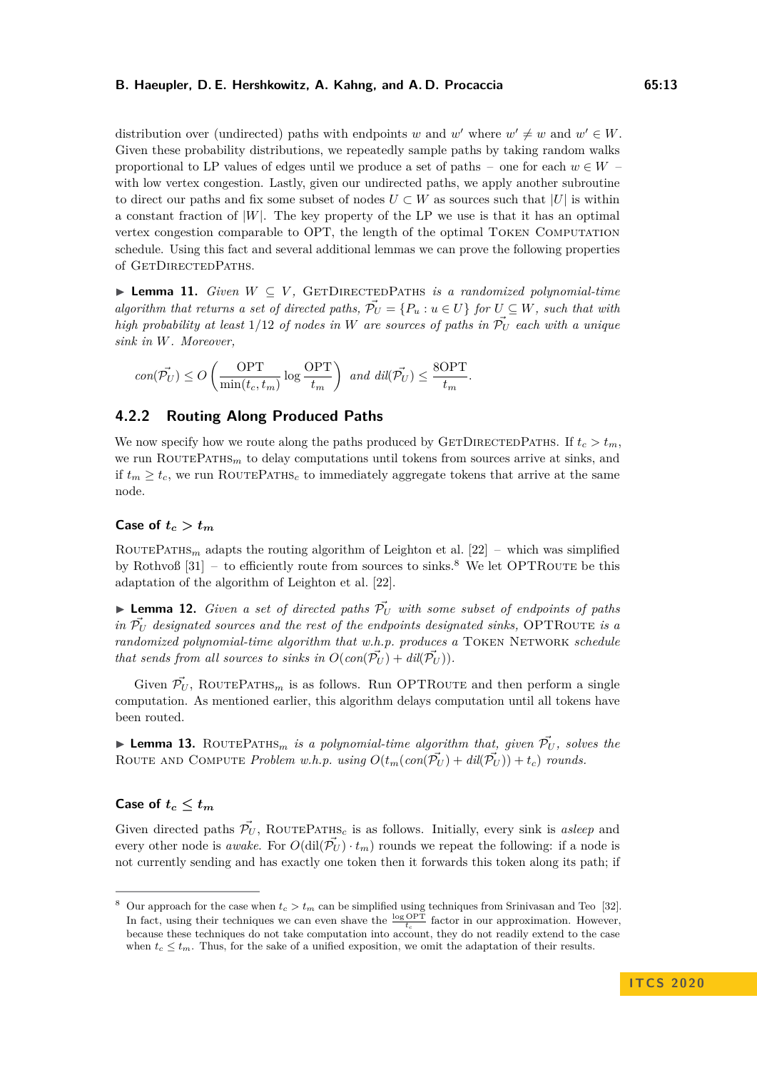distribution over (undirected) paths with endpoints *w* and *w'* where  $w' \neq w$  and  $w' \in W$ . Given these probability distributions, we repeatedly sample paths by taking random walks proportional to LP values of edges until we produce a set of paths – one for each  $w \in W$ with low vertex congestion. Lastly, given our undirected paths, we apply another subroutine to direct our paths and fix some subset of nodes  $U \subset W$  as sources such that  $|U|$  is within a constant fraction of  $|W|$ . The key property of the LP we use is that it has an optimal vertex congestion comparable to OPT, the length of the optimal Token Computation schedule. Using this fact and several additional lemmas we can prove the following properties of GETDIRECTEDPATHS.

<span id="page-12-1"></span> $▶$  **Lemma 11.** *Given*  $W \subseteq V$ , *GETDIRECTEDPATHS is a randomized polynomial-time algorithm that returns a set of directed paths,*  $\vec{P}_U = \{P_u : u \in U\}$  for  $U \subseteq W$ *, such that with high probability at least*  $1/12$  *of nodes in W are sources of paths in*  $\vec{\mathcal{P}}_U$  *each with a unique sink in W. Moreover,*

$$
con(\vec{\mathcal{P}_U}) \leq O\left(\frac{\text{OPT}}{\min(t_c, t_m)} \log \frac{\text{OPT}}{t_m}\right) \text{ and } dil(\vec{\mathcal{P}_U}) \leq \frac{8\text{OPT}}{t_m}.
$$

## <span id="page-12-2"></span>**4.2.2 Routing Along Produced Paths**

We now specify how we route along the paths produced by GETDIRECTEDPATHS. If  $t_c > t_m$ , we run ROUTEPATHS<sub>m</sub> to delay computations until tokens from sources arrive at sinks, and if  $t_m \geq t_c$ , we run ROUTEPATHS<sub>c</sub> to immediately aggregate tokens that arrive at the same node.

## **Case of**  $t_c > t_m$

ROUTEPATHS<sub>*m*</sub> adapts the routing algorithm of Leighton et al. [\[22\]](#page-14-7) – which was simplified by Rothvoß  $[31]$  – to efficiently route from sources to sinks.<sup>[8](#page-12-0)</sup> We let OPTROUTE be this adaptation of the algorithm of Leighton et al. [\[22\]](#page-14-7).

<span id="page-12-3"></span> $\blacktriangleright$  **Lemma 12.** *Given a set of directed paths*  $\vec{\mathcal{P}}_U$  *with some subset of endpoints of paths in*  $\overline{P}_U$  *designated sources and the rest of the endpoints designated sinks,* OPTROUTE *is a randomized polynomial-time algorithm that w.h.p. produces a* TOKEN NETWORK *schedule that sends from all sources to sinks in*  $O(\text{con}(\overrightarrow{\mathcal{P}_{U}}) + \text{dil}(\overrightarrow{\mathcal{P}_{U}}))$ .

Given  $\vec{\mathcal{P}}_U$ , ROUTEPATHS<sub>*m*</sub> is as follows. Run OPTROUTE and then perform a single computation. As mentioned earlier, this algorithm delays computation until all tokens have been routed.

<span id="page-12-4"></span>**Lemma 13.** ROUTEPATHS<sub>m</sub> is a polynomial-time algorithm that, given  $\vec{\mathcal{P}}_U$ , solves the ROUTE AND COMPUTE *Problem w.h.p.* using  $O(t_m(\text{con}(\vec{\mathcal{P}}_U) + \text{d}i(\vec{\mathcal{P}}_U)) + t_c)$  rounds.

## Case of  $t_c \leq t_m$

Given directed paths  $\vec{P}_U$ , ROUTEPATHS<sub>c</sub> is as follows. Initially, every sink is *asleep* and every other node is *awake*. For  $O(\text{dil}(\tilde{\mathcal{P}}_U) \cdot t_m)$  rounds we repeat the following: if a node is not currently sending and has exactly one token then it forwards this token along its path; if

<span id="page-12-0"></span><sup>&</sup>lt;sup>8</sup> Our approach for the case when  $t_c > t_m$  can be simplified using techniques from Srinivasan and Teo [\[32\]](#page-15-4). In fact, using their techniques we can even shave the  $\frac{\log \text{OPT}}{t_c}$  factor in our approximation. However, because these techniques do not take computation into account, they do not readily extend to the case when  $t_c \leq t_m$ . Thus, for the sake of a unified exposition, we omit the adaptation of their results.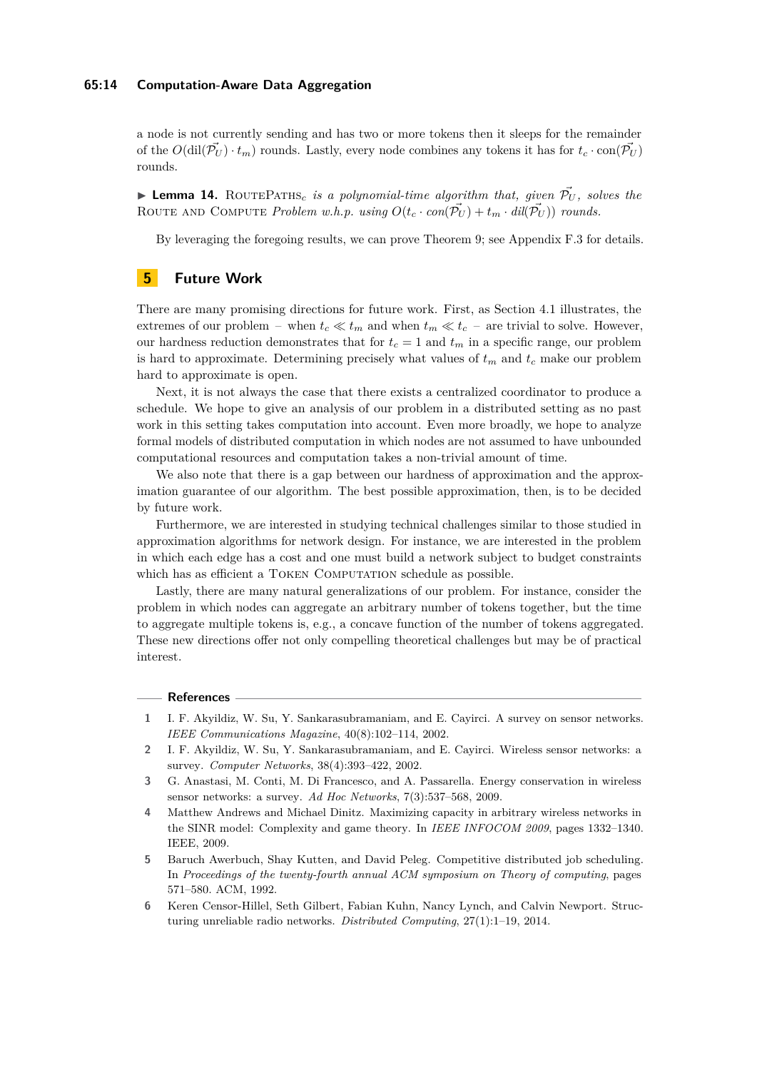### **65:14 Computation-Aware Data Aggregation**

a node is not currently sending and has two or more tokens then it sleeps for the remainder of the  $O(\text{dil}(\overline{\mathcal{P}}_U) \cdot t_m)$  rounds. Lastly, every node combines any tokens it has for  $t_c \cdot \text{con}(\overline{\mathcal{P}}_U)$ rounds.

<span id="page-13-6"></span> $\triangleright$  **Lemma 14.** ROUTEPATHS<sub>c</sub> is a polynomial-time algorithm that, given  $\tilde{P}_U$ , solves the ROUTE AND COMPUTE *Problem w.h.p.* using  $O(t_c \cdot con(\vec{\mathcal{P}_U}) + t_m \cdot dil(\vec{\mathcal{P}_U})$  *rounds.* 

By leveraging the foregoing results, we can prove Theorem [9;](#page-9-2) see Appendix [F.3](#page-37-1) for details.

## **5 Future Work**

There are many promising directions for future work. First, as Section [4.1](#page-10-2) illustrates, the extremes of our problem – when  $t_c \ll t_m$  and when  $t_m \ll t_c$  – are trivial to solve. However, our hardness reduction demonstrates that for  $t_c = 1$  and  $t_m$  in a specific range, our problem is hard to approximate. Determining precisely what values of  $t_m$  and  $t_c$  make our problem hard to approximate is open.

Next, it is not always the case that there exists a centralized coordinator to produce a schedule. We hope to give an analysis of our problem in a distributed setting as no past work in this setting takes computation into account. Even more broadly, we hope to analyze formal models of distributed computation in which nodes are not assumed to have unbounded computational resources and computation takes a non-trivial amount of time.

We also note that there is a gap between our hardness of approximation and the approximation guarantee of our algorithm. The best possible approximation, then, is to be decided by future work.

Furthermore, we are interested in studying technical challenges similar to those studied in approximation algorithms for network design. For instance, we are interested in the problem in which each edge has a cost and one must build a network subject to budget constraints which has as efficient a TOKEN COMPUTATION schedule as possible.

Lastly, there are many natural generalizations of our problem. For instance, consider the problem in which nodes can aggregate an arbitrary number of tokens together, but the time to aggregate multiple tokens is, e.g., a concave function of the number of tokens aggregated. These new directions offer not only compelling theoretical challenges but may be of practical interest.

#### **References**

- <span id="page-13-3"></span>**1** I. F. Akyildiz, W. Su, Y. Sankarasubramaniam, and E. Cayirci. A survey on sensor networks. *IEEE Communications Magazine*, 40(8):102–114, 2002.
- <span id="page-13-4"></span>**2** I. F. Akyildiz, W. Su, Y. Sankarasubramaniam, and E. Cayirci. Wireless sensor networks: a survey. *Computer Networks*, 38(4):393–422, 2002.
- <span id="page-13-5"></span>**3** G. Anastasi, M. Conti, M. Di Francesco, and A. Passarella. Energy conservation in wireless sensor networks: a survey. *Ad Hoc Networks*, 7(3):537–568, 2009.
- <span id="page-13-0"></span>**4** Matthew Andrews and Michael Dinitz. Maximizing capacity in arbitrary wireless networks in the SINR model: Complexity and game theory. In *IEEE INFOCOM 2009*, pages 1332–1340. IEEE, 2009.
- <span id="page-13-2"></span>**5** Baruch Awerbuch, Shay Kutten, and David Peleg. Competitive distributed job scheduling. In *Proceedings of the twenty-fourth annual ACM symposium on Theory of computing*, pages 571–580. ACM, 1992.
- <span id="page-13-1"></span>**6** Keren Censor-Hillel, Seth Gilbert, Fabian Kuhn, Nancy Lynch, and Calvin Newport. Structuring unreliable radio networks. *Distributed Computing*, 27(1):1–19, 2014.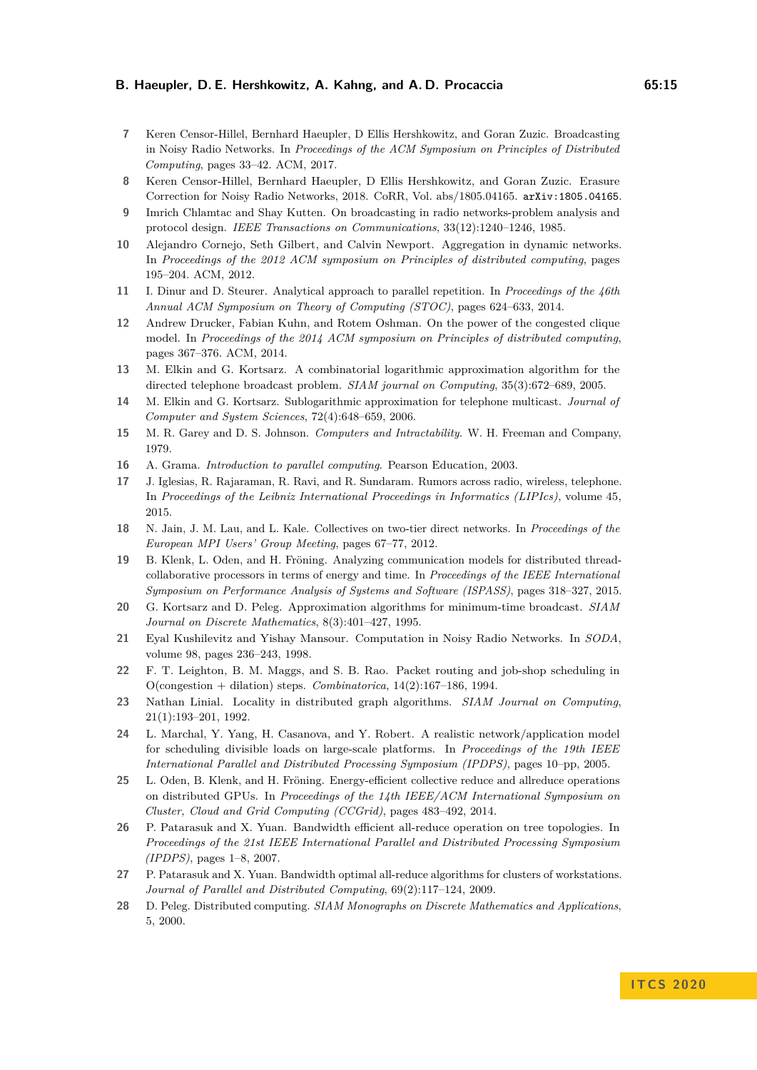- <span id="page-14-4"></span>**7** Keren Censor-Hillel, Bernhard Haeupler, D Ellis Hershkowitz, and Goran Zuzic. Broadcasting in Noisy Radio Networks. In *Proceedings of the ACM Symposium on Principles of Distributed Computing*, pages 33–42. ACM, 2017.
- <span id="page-14-5"></span>**8** Keren Censor-Hillel, Bernhard Haeupler, D Ellis Hershkowitz, and Goran Zuzic. Erasure Correction for Noisy Radio Networks, 2018. CoRR, Vol. abs/1805.04165. [arXiv:1805.04165](http://arxiv.org/abs/1805.04165).
- <span id="page-14-3"></span>**9** Imrich Chlamtac and Shay Kutten. On broadcasting in radio networks-problem analysis and protocol design. *IEEE Transactions on Communications*, 33(12):1240–1246, 1985.
- <span id="page-14-16"></span>**10** Alejandro Cornejo, Seth Gilbert, and Calvin Newport. Aggregation in dynamic networks. In *Proceedings of the 2012 ACM symposium on Principles of distributed computing*, pages 195–204. ACM, 2012.
- <span id="page-14-21"></span>**11** I. Dinur and D. Steurer. Analytical approach to parallel repetition. In *Proceedings of the 46th Annual ACM Symposium on Theory of Computing (STOC)*, pages 624–633, 2014.
- <span id="page-14-6"></span>**12** Andrew Drucker, Fabian Kuhn, and Rotem Oshman. On the power of the congested clique model. In *Proceedings of the 2014 ACM symposium on Principles of distributed computing*, pages 367–376. ACM, 2014.
- <span id="page-14-17"></span>**13** M. Elkin and G. Kortsarz. A combinatorial logarithmic approximation algorithm for the directed telephone broadcast problem. *SIAM journal on Computing*, 35(3):672–689, 2005.
- <span id="page-14-18"></span>**14** M. Elkin and G. Kortsarz. Sublogarithmic approximation for telephone multicast. *Journal of Computer and System Sciences*, 72(4):648–659, 2006.
- <span id="page-14-20"></span>**15** M. R. Garey and D. S. Johnson. *Computers and Intractability*. W. H. Freeman and Company, 1979.
- <span id="page-14-0"></span>**16** A. Grama. *Introduction to parallel computing*. Pearson Education, 2003.
- <span id="page-14-10"></span>**17** J. Iglesias, R. Rajaraman, R. Ravi, and R. Sundaram. Rumors across radio, wireless, telephone. In *Proceedings of the Leibniz International Proceedings in Informatics (LIPIcs)*, volume 45, 2015.
- <span id="page-14-15"></span>**18** N. Jain, J. M. Lau, and L. Kale. Collectives on two-tier direct networks. In *Proceedings of the European MPI Users' Group Meeting*, pages 67–77, 2012.
- <span id="page-14-12"></span>**19** B. Klenk, L. Oden, and H. Fröning. Analyzing communication models for distributed threadcollaborative processors in terms of energy and time. In *Proceedings of the IEEE International Symposium on Performance Analysis of Systems and Software (ISPASS)*, pages 318–327, 2015.
- <span id="page-14-9"></span>**20** G. Kortsarz and D. Peleg. Approximation algorithms for minimum-time broadcast. *SIAM Journal on Discrete Mathematics*, 8(3):401–427, 1995.
- <span id="page-14-2"></span>**21** Eyal Kushilevitz and Yishay Mansour. Computation in Noisy Radio Networks. In *SODA*, volume 98, pages 236–243, 1998.
- <span id="page-14-7"></span>**22** F. T. Leighton, B. M. Maggs, and S. B. Rao. Packet routing and job-shop scheduling in O(congestion + dilation) steps. *Combinatorica*, 14(2):167–186, 1994.
- <span id="page-14-8"></span>**23** Nathan Linial. Locality in distributed graph algorithms. *SIAM Journal on Computing*, 21(1):193–201, 1992.
- <span id="page-14-19"></span>**24** L. Marchal, Y. Yang, H. Casanova, and Y. Robert. A realistic network/application model for scheduling divisible loads on large-scale platforms. In *Proceedings of the 19th IEEE International Parallel and Distributed Processing Symposium (IPDPS)*, pages 10–pp, 2005.
- <span id="page-14-11"></span>**25** L. Oden, B. Klenk, and H. Fröning. Energy-efficient collective reduce and allreduce operations on distributed GPUs. In *Proceedings of the 14th IEEE/ACM International Symposium on Cluster, Cloud and Grid Computing (CCGrid)*, pages 483–492, 2014.
- <span id="page-14-13"></span>**26** P. Patarasuk and X. Yuan. Bandwidth efficient all-reduce operation on tree topologies. In *Proceedings of the 21st IEEE International Parallel and Distributed Processing Symposium (IPDPS)*, pages 1–8, 2007.
- <span id="page-14-14"></span>**27** P. Patarasuk and X. Yuan. Bandwidth optimal all-reduce algorithms for clusters of workstations. *Journal of Parallel and Distributed Computing*, 69(2):117–124, 2009.
- <span id="page-14-1"></span>**28** D. Peleg. Distributed computing. *SIAM Monographs on Discrete Mathematics and Applications*, 5, 2000.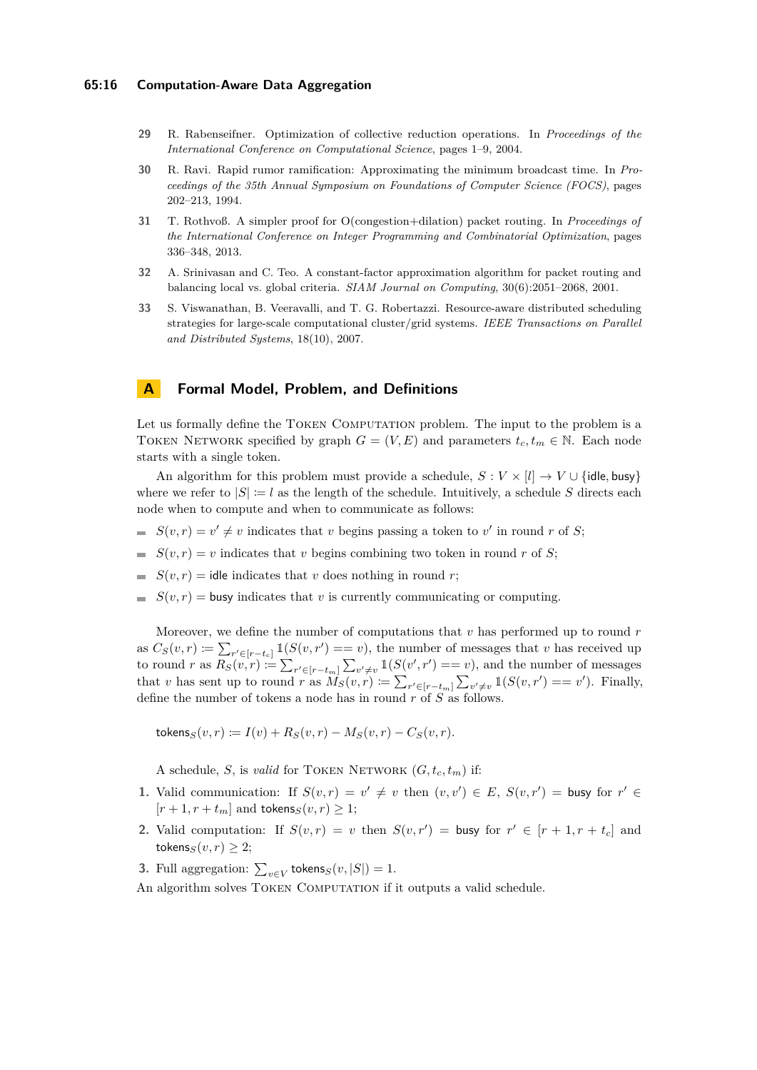- <span id="page-15-0"></span>**29** R. Rabenseifner. Optimization of collective reduction operations. In *Proceedings of the International Conference on Computational Science*, pages 1–9, 2004.
- <span id="page-15-2"></span>**30** R. Ravi. Rapid rumor ramification: Approximating the minimum broadcast time. In *Proceedings of the 35th Annual Symposium on Foundations of Computer Science (FOCS)*, pages 202–213, 1994.
- <span id="page-15-1"></span>**31** T. Rothvoß. A simpler proof for O(congestion+dilation) packet routing. In *Proceedings of the International Conference on Integer Programming and Combinatorial Optimization*, pages 336–348, 2013.
- <span id="page-15-4"></span>**32** A. Srinivasan and C. Teo. A constant-factor approximation algorithm for packet routing and balancing local vs. global criteria. *SIAM Journal on Computing*, 30(6):2051–2068, 2001.
- <span id="page-15-5"></span>**33** S. Viswanathan, B. Veeravalli, and T. G. Robertazzi. Resource-aware distributed scheduling strategies for large-scale computational cluster/grid systems. *IEEE Transactions on Parallel and Distributed Systems*, 18(10), 2007.

## <span id="page-15-3"></span>**A Formal Model, Problem, and Definitions**

Let us formally define the TOKEN COMPUTATION problem. The input to the problem is a TOKEN NETWORK specified by graph  $G = (V, E)$  and parameters  $t_c, t_m \in \mathbb{N}$ . Each node starts with a single token.

An algorithm for this problem must provide a schedule,  $S: V \times [l] \rightarrow V \cup \{$ idle, busy $\}$ where we refer to  $|S| := l$  as the length of the schedule. Intuitively, a schedule S directs each node when to compute and when to communicate as follows:

- $S(v,r) = v' \neq v$  indicates that *v* begins passing a token to *v*' in round *r* of *S*;
- $S(v, r) = v$  indicates that *v* begins combining two token in round *r* of *S*;
- $S(v, r) =$  idle indicates that *v* does nothing in round *r*;
- $S(v,r)$  = busy indicates that *v* is currently communicating or computing.

Moreover, we define the number of computations that *v* has performed up to round *r* as  $C_S(v,r) \coloneqq \sum_{r' \in [r-t_c]} \mathbb{1}(S(v,r') == v)$ , the number of messages that *v* has received up to round *r* as  $R_S(v,r) := \sum_{r' \in [r-t_m]} \sum_{v' \neq v} \mathbb{1}(S(v',r')) == v)$ , and the number of messages that *v* has sent up to round *r* as  $\overline{M}_S(v,r) := \sum_{r' \in [r-t_m]} \sum_{v' \neq v} \mathbb{1}(S(v,r') == v')$ . Finally, define the number of tokens a node has in round *r* of *S* as follows.

 $\text{tokens}_S(v, r) := I(v) + R_S(v, r) - M_S(v, r) - C_S(v, r).$ 

A schedule, *S*, is *valid* for TOKEN NETWORK  $(G, t_c, t_m)$  if:

- **1.** Valid communication: If  $S(v,r) = v' \neq v$  then  $(v,v') \in E$ ,  $S(v,r') =$  busy for  $r' \in E$  $[r+1, r+t_m]$  and tokens<sub>*S*</sub>(*v*, *r*)  $\geq$  1;
- **2.** Valid computation: If  $S(v,r) = v$  then  $S(v,r') =$  busy for  $r' \in [r+1, r+t_c]$  and tokens<sub>*S*</sub> $(v, r) \geq 2$ ;
- **3.** Full aggregation:  $\sum_{v \in V}$  tokens<sub>*S*</sub>(*v*, |*S*|) = 1.
- An algorithm solves TOKEN COMPUTATION if it outputs a valid schedule.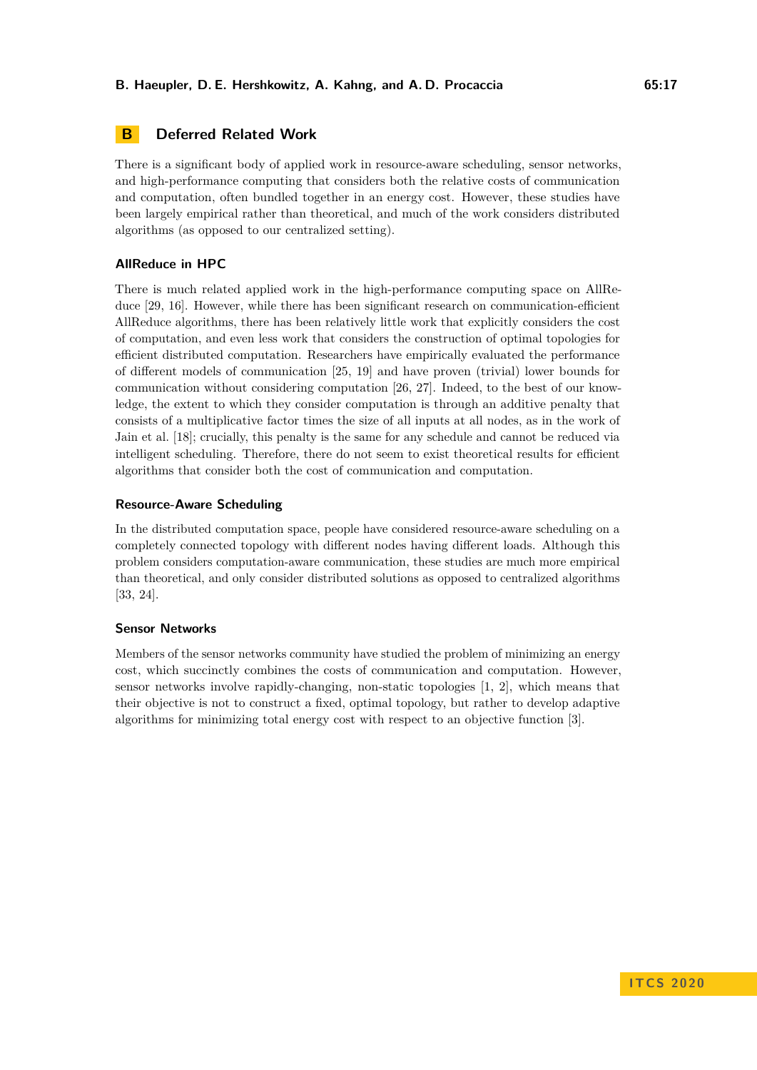## <span id="page-16-0"></span>**B Deferred Related Work**

There is a significant body of applied work in resource-aware scheduling, sensor networks, and high-performance computing that considers both the relative costs of communication and computation, often bundled together in an energy cost. However, these studies have been largely empirical rather than theoretical, and much of the work considers distributed algorithms (as opposed to our centralized setting).

## **AllReduce in HPC**

There is much related applied work in the high-performance computing space on AllRe-duce [\[29,](#page-15-0) [16\]](#page-14-0). However, while there has been significant research on communication-efficient AllReduce algorithms, there has been relatively little work that explicitly considers the cost of computation, and even less work that considers the construction of optimal topologies for efficient distributed computation. Researchers have empirically evaluated the performance of different models of communication [\[25,](#page-14-11) [19\]](#page-14-12) and have proven (trivial) lower bounds for communication without considering computation [\[26,](#page-14-13) [27\]](#page-14-14). Indeed, to the best of our knowledge, the extent to which they consider computation is through an additive penalty that consists of a multiplicative factor times the size of all inputs at all nodes, as in the work of Jain et al. [\[18\]](#page-14-15); crucially, this penalty is the same for any schedule and cannot be reduced via intelligent scheduling. Therefore, there do not seem to exist theoretical results for efficient algorithms that consider both the cost of communication and computation.

## **Resource-Aware Scheduling**

In the distributed computation space, people have considered resource-aware scheduling on a completely connected topology with different nodes having different loads. Although this problem considers computation-aware communication, these studies are much more empirical than theoretical, and only consider distributed solutions as opposed to centralized algorithms [\[33,](#page-15-5) [24\]](#page-14-19).

## **Sensor Networks**

Members of the sensor networks community have studied the problem of minimizing an energy cost, which succinctly combines the costs of communication and computation. However, sensor networks involve rapidly-changing, non-static topologies [\[1,](#page-13-3) [2\]](#page-13-4), which means that their objective is not to construct a fixed, optimal topology, but rather to develop adaptive algorithms for minimizing total energy cost with respect to an objective function [\[3\]](#page-13-5).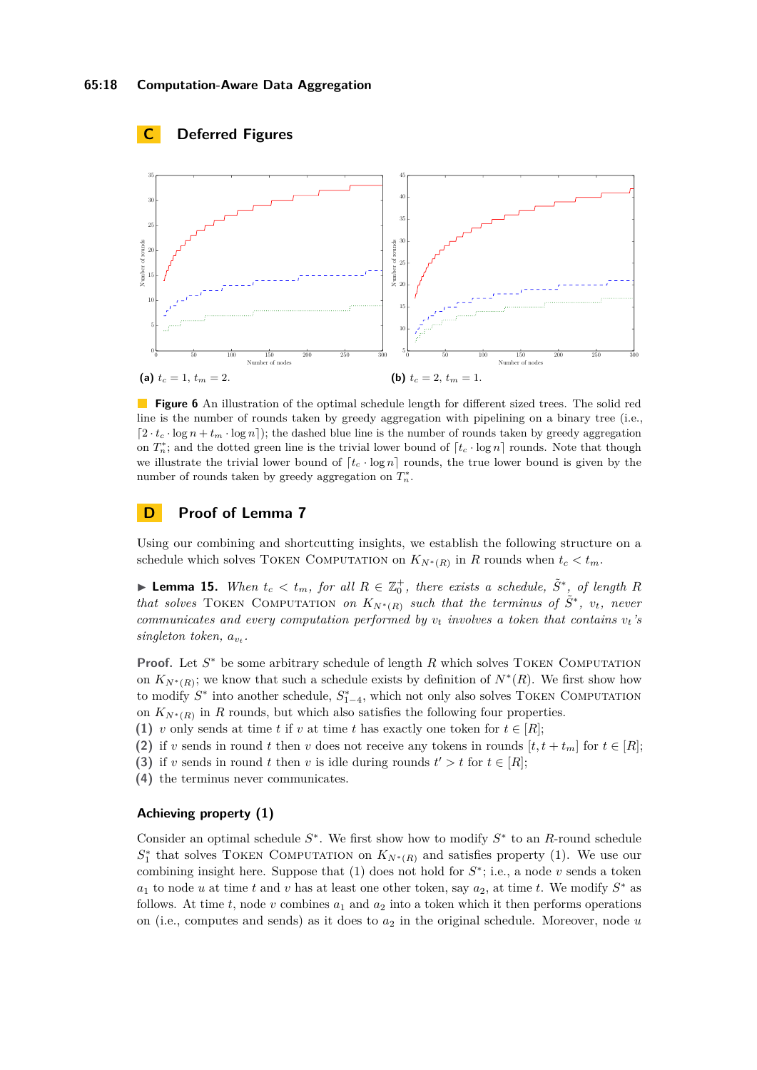<span id="page-17-0"></span>

**Figure 6** An illustration of the optimal schedule length for different sized trees. The solid red line is the number of rounds taken by greedy aggregation with pipelining on a binary tree (i.e.,  $\left[2 \cdot t_c \cdot \log n + t_m \cdot \log n\right]$ ; the dashed blue line is the number of rounds taken by greedy aggregation on  $T_n^*$ ; and the dotted green line is the trivial lower bound of  $\lceil t_c \cdot \log n \rceil$  rounds. Note that though we illustrate the trivial lower bound of  $[t_c \cdot \log n]$  rounds, the true lower bound is given by the number of rounds taken by greedy aggregation on  $T_n^*$ .

## <span id="page-17-1"></span>**D Proof of Lemma [7](#page-9-1)**

Using our combining and shortcutting insights, we establish the following structure on a schedule which solves TOKEN COMPUTATION on  $K_{N^*(R)}$  in *R* rounds when  $t_c < t_m$ .

<span id="page-17-2"></span>► **Lemma 15.** *When*  $t_c < t_m$ , for all  $R \in \mathbb{Z}_0^+$ , there exists a schedule,  $\tilde{S}^*$ , of length R *that solves* TOKEN COMPUTATION *on*  $K_{N^*(R)}$  *such that the terminus of*  $\tilde{S}^*$ ,  $v_t$ , *never communicates and every computation performed by*  $v_t$  *involves a token that contains*  $v_t$ 's *singleton token, av<sup>t</sup> .*

**Proof.** Let  $S^*$  be some arbitrary schedule of length  $R$  which solves TOKEN COMPUTATION on  $K_{N^*(R)}$ ; we know that such a schedule exists by definition of  $N^*(R)$ . We first show how to modify  $S^*$  into another schedule,  $S^*_{1-4}$ , which not only also solves TOKEN COMPUTATION on  $K_{N^*(R)}$  in *R* rounds, but which also satisfies the following four properties.

**(1)** *v* only sends at time *t* if *v* at time *t* has exactly one token for  $t \in [R]$ ;

**(2)** if *v* sends in round *t* then *v* does not receive any tokens in rounds  $[t, t + t_m]$  for  $t \in [R]$ ;

(3) if *v* sends in round *t* then *v* is idle during rounds  $t' > t$  for  $t \in [R]$ ;

**(4)** the terminus never communicates.

## **Achieving property (1)**

Consider an optimal schedule *S* ∗ . We first show how to modify *S* ∗ to an *R*-round schedule  $S_1^*$  that solves TOKEN COMPUTATION on  $K_{N^*(R)}$  and satisfies property (1). We use our combining insight here. Suppose that  $(1)$  does not hold for  $S^*$ ; i.e., a node  $v$  sends a token *a*<sub>1</sub> to node *u* at time *t* and *v* has at least one other token, say  $a_2$ , at time *t*. We modify  $S^*$  as follows. At time  $t$ , node  $v$  combines  $a_1$  and  $a_2$  into a token which it then performs operations on (i.e., computes and sends) as it does to *a*<sup>2</sup> in the original schedule. Moreover, node *u*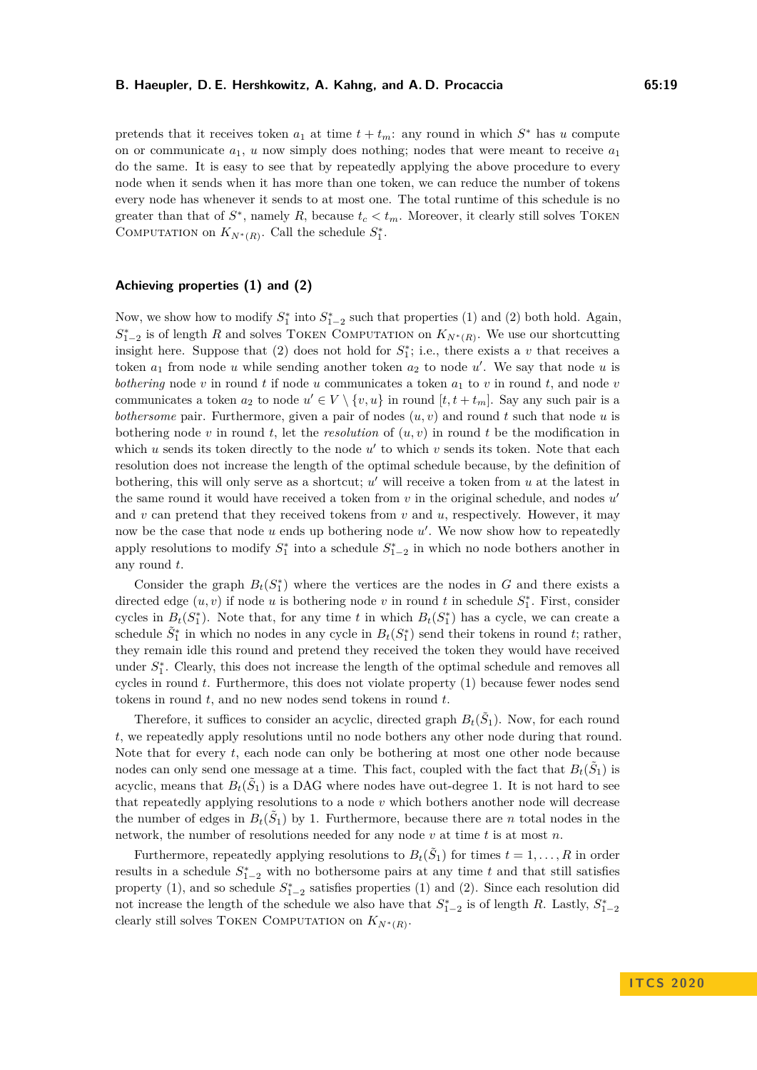pretends that it receives token  $a_1$  at time  $t + t_m$ : any round in which  $S^*$  has *u* compute on or communicate  $a_1$ ,  $u$  now simply does nothing; nodes that were meant to receive  $a_1$ do the same. It is easy to see that by repeatedly applying the above procedure to every node when it sends when it has more than one token, we can reduce the number of tokens every node has whenever it sends to at most one. The total runtime of this schedule is no greater than that of  $S^*$ , namely R, because  $t_c < t_m$ . Moreover, it clearly still solves TOKEN COMPUTATION on  $K_{N^*(R)}$ . Call the schedule  $S^*_1$ .

## **Achieving properties (1) and (2)**

Now, we show how to modify  $S_1^*$  into  $S_{1-2}^*$  such that properties (1) and (2) both hold. Again,  $S_{1-2}^*$  is of length *R* and solves TOKEN COMPUTATION on  $K_{N^*(R)}$ . We use our shortcutting insight here. Suppose that  $(2)$  does not hold for  $S_1^*$ ; i.e., there exists a *v* that receives a token  $a_1$  from node *u* while sending another token  $a_2$  to node  $u'$ . We say that node *u* is *bothering* node *v* in round *t* if node *u* communicates a token *a*<sup>1</sup> to *v* in round *t*, and node *v* communicates a token  $a_2$  to node  $u' \in V \setminus \{v, u\}$  in round  $[t, t + t_m]$ . Say any such pair is a *bothersome* pair. Furthermore, given a pair of nodes (*u, v*) and round *t* such that node *u* is bothering node *v* in round *t*, let the *resolution* of  $(u, v)$  in round *t* be the modification in which  $u$  sends its token directly to the node  $u'$  to which  $v$  sends its token. Note that each resolution does not increase the length of the optimal schedule because, by the definition of bothering, this will only serve as a shortcut;  $u'$  will receive a token from  $u$  at the latest in the same round it would have received a token from  $v$  in the original schedule, and nodes  $u'$ and  $v$  can pretend that they received tokens from  $v$  and  $u$ , respectively. However, it may now be the case that node *u* ends up bothering node *u'*. We now show how to repeatedly apply resolutions to modify  $S_1^*$  into a schedule  $S_{1-2}^*$  in which no node bothers another in any round *t*.

Consider the graph  $B_t(S_1^*)$  where the vertices are the nodes in *G* and there exists a directed edge  $(u, v)$  if node *u* is bothering node *v* in round *t* in schedule  $S_1^*$ . First, consider cycles in  $B_t(S_1^*)$ . Note that, for any time *t* in which  $B_t(S_1^*)$  has a cycle, we can create a schedule  $\tilde{S}_1^*$  in which no nodes in any cycle in  $B_t(S_1^*)$  send their tokens in round *t*; rather, they remain idle this round and pretend they received the token they would have received under  $S_1^*$ . Clearly, this does not increase the length of the optimal schedule and removes all cycles in round *t*. Furthermore, this does not violate property (1) because fewer nodes send tokens in round *t*, and no new nodes send tokens in round *t*.

Therefore, it suffices to consider an acyclic, directed graph  $B_t(\tilde{S}_1)$ . Now, for each round *t*, we repeatedly apply resolutions until no node bothers any other node during that round. Note that for every *t*, each node can only be bothering at most one other node because nodes can only send one message at a time. This fact, coupled with the fact that  $B_t(\tilde{S}_1)$  is acyclic, means that  $B_t(\tilde{S}_1)$  is a DAG where nodes have out-degree 1. It is not hard to see that repeatedly applying resolutions to a node *v* which bothers another node will decrease the number of edges in  $B_t(\tilde{S}_1)$  by 1. Furthermore, because there are *n* total nodes in the network, the number of resolutions needed for any node *v* at time *t* is at most *n*.

Furthermore, repeatedly applying resolutions to  $B_t(\tilde{S}_1)$  for times  $t = 1, \ldots, R$  in order results in a schedule  $S_{1-2}^*$  with no bothersome pairs at any time  $t$  and that still satisfies property (1), and so schedule  $S_{1-2}^*$  satisfies properties (1) and (2). Since each resolution did not increase the length of the schedule we also have that  $S_{1-2}^*$  is of length *R*. Lastly,  $S_{1-2}^*$ clearly still solves TOKEN COMPUTATION on  $K_{N^*(R)}$ .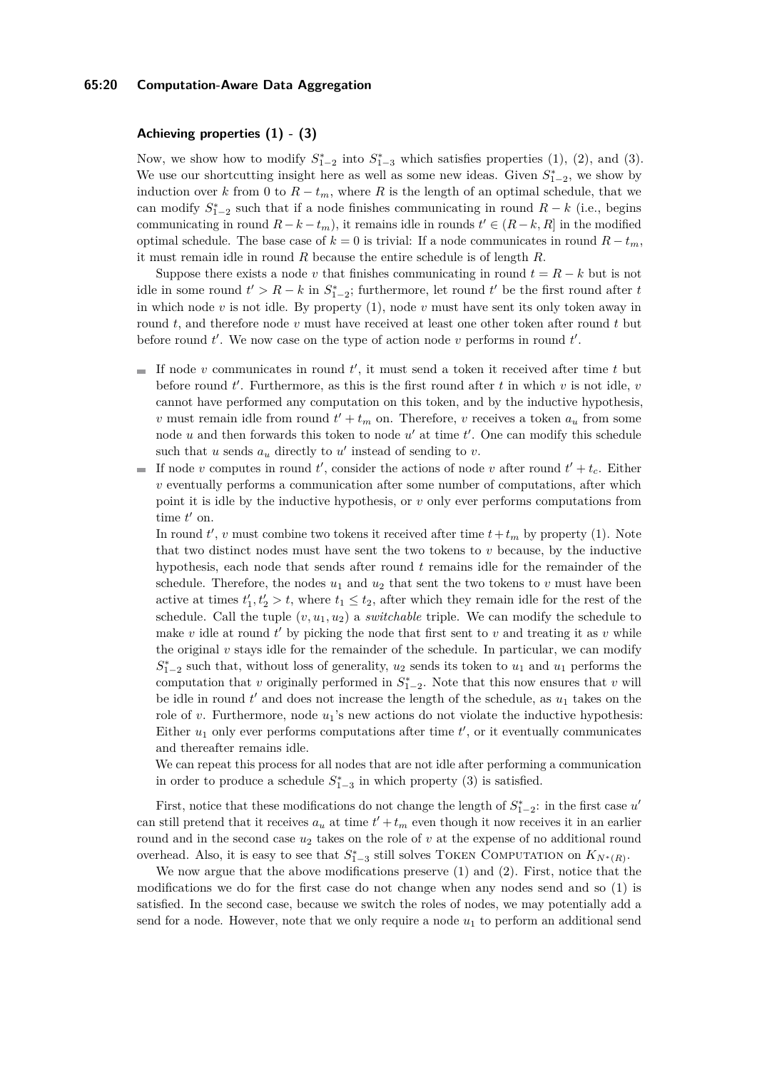## **65:20 Computation-Aware Data Aggregation**

## **Achieving properties (1) - (3)**

Now, we show how to modify  $S_{1-2}^*$  into  $S_{1-3}^*$  which satisfies properties (1), (2), and (3). We use our shortcutting insight here as well as some new ideas. Given  $S_{1-2}^*$ , we show by induction over *k* from 0 to  $R - t_m$ , where *R* is the length of an optimal schedule, that we can modify  $S_{1-2}^*$  such that if a node finishes communicating in round  $R - k$  (i.e., begins communicating in round  $R - k - t_m$ , it remains idle in rounds  $t' \in (R - k, R]$  in the modified optimal schedule. The base case of  $k = 0$  is trivial: If a node communicates in round  $R - t_m$ , it must remain idle in round *R* because the entire schedule is of length *R*.

Suppose there exists a node *v* that finishes communicating in round  $t = R - k$  but is not idle in some round  $t' > R - k$  in  $S_{1-2}^*$ ; furthermore, let round  $t'$  be the first round after *t* in which node *v* is not idle. By property (1), node *v* must have sent its only token away in round *t*, and therefore node *v* must have received at least one other token after round *t* but before round  $t'$ . We now case on the type of action node  $v$  performs in round  $t'$ .

- If node  $v$  communicates in round  $t'$ , it must send a token it received after time  $t$  but before round  $t'$ . Furthermore, as this is the first round after  $t$  in which  $v$  is not idle,  $v$ cannot have performed any computation on this token, and by the inductive hypothesis, *v* must remain idle from round  $t' + t_m$  on. Therefore, *v* receives a token  $a_u$  from some node  $u$  and then forwards this token to node  $u'$  at time  $t'$ . One can modify this schedule such that  $u$  sends  $a_u$  directly to  $u'$  instead of sending to  $v$ .
- If node *v* computes in round *t*<sup>'</sup>, consider the actions of node *v* after round  $t' + t_c$ . Either *v* eventually performs a communication after some number of computations, after which point it is idle by the inductive hypothesis, or *v* only ever performs computations from time  $t'$  on.

In round  $t'$ ,  $v$  must combine two tokens it received after time  $t + t_m$  by property (1). Note that two distinct nodes must have sent the two tokens to  $v$  because, by the inductive hypothesis, each node that sends after round *t* remains idle for the remainder of the schedule. Therefore, the nodes  $u_1$  and  $u_2$  that sent the two tokens to  $v$  must have been active at times  $t'_1, t'_2 > t$ , where  $t_1 \leq t_2$ , after which they remain idle for the rest of the schedule. Call the tuple  $(v, u_1, u_2)$  a *switchable* triple. We can modify the schedule to make  $v$  idle at round  $t'$  by picking the node that first sent to  $v$  and treating it as  $v$  while the original  $v$  stays idle for the remainder of the schedule. In particular, we can modify  $S_{1-2}^*$  such that, without loss of generality,  $u_2$  sends its token to  $u_1$  and  $u_1$  performs the computation that *v* originally performed in  $S_{1-2}^*$ . Note that this now ensures that *v* will be idle in round  $t'$  and does not increase the length of the schedule, as  $u_1$  takes on the role of *v*. Furthermore, node  $u_1$ 's new actions do not violate the inductive hypothesis: Either  $u_1$  only ever performs computations after time  $t'$ , or it eventually communicates and thereafter remains idle.

We can repeat this process for all nodes that are not idle after performing a communication in order to produce a schedule  $S_{1-3}^*$  in which property (3) is satisfied.

First, notice that these modifications do not change the length of  $S_{1-2}^*$ : in the first case  $u'$ can still pretend that it receives  $a_u$  at time  $t' + t_m$  even though it now receives it in an earlier round and in the second case  $u_2$  takes on the role of  $v$  at the expense of no additional round overhead. Also, it is easy to see that  $S_{1-3}^*$  still solves TOKEN COMPUTATION on  $K_{N^*(R)}$ .

We now argue that the above modifications preserve (1) and (2). First, notice that the modifications we do for the first case do not change when any nodes send and so (1) is satisfied. In the second case, because we switch the roles of nodes, we may potentially add a send for a node. However, note that we only require a node  $u_1$  to perform an additional send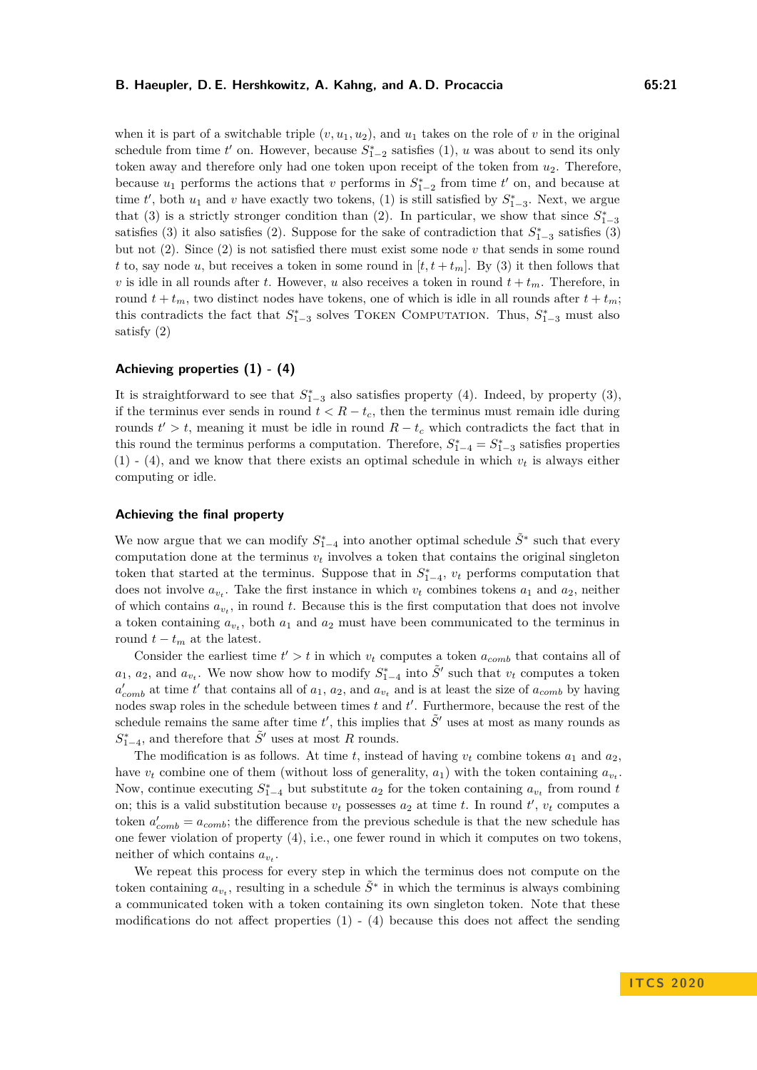when it is part of a switchable triple  $(v, u_1, u_2)$ , and  $u_1$  takes on the role of v in the original schedule from time  $t'$  on. However, because  $S_{1-2}^*$  satisfies (1), *u* was about to send its only token away and therefore only had one token upon receipt of the token from *u*2. Therefore, because  $u_1$  performs the actions that *v* performs in  $S_{1-2}^*$  from time  $t'$  on, and because at time  $t'$ , both  $u_1$  and  $v$  have exactly two tokens, (1) is still satisfied by  $S_{1-3}^*$ . Next, we argue that (3) is a strictly stronger condition than (2). In particular, we show that since  $S_{1-3}^*$ satisfies (3) it also satisfies (2). Suppose for the sake of contradiction that  $S_{1-3}^*$  satisfies (3) but not (2). Since (2) is not satisfied there must exist some node *v* that sends in some round *t* to, say node *u*, but receives a token in some round in  $[t, t + t_m]$ . By (3) it then follows that *v* is idle in all rounds after *t*. However, *u* also receives a token in round  $t + t_m$ . Therefore, in round  $t + t_m$ , two distinct nodes have tokens, one of which is idle in all rounds after  $t + t_m$ ; this contradicts the fact that  $S_{1-3}^*$  solves TOKEN COMPUTATION. Thus,  $S_{1-3}^*$  must also satisfy (2)

## **Achieving properties (1) - (4)**

It is straightforward to see that  $S_{1-3}^*$  also satisfies property (4). Indeed, by property (3), if the terminus ever sends in round  $t < R - t_c$ , then the terminus must remain idle during rounds  $t' > t$ , meaning it must be idle in round  $R - t_c$  which contradicts the fact that in this round the terminus performs a computation. Therefore,  $S_{1-4}^* = S_{1-3}^*$  satisfies properties  $(1)$  -  $(4)$ , and we know that there exists an optimal schedule in which  $v_t$  is always either computing or idle.

### **Achieving the final property**

We now argue that we can modify  $S_{1-4}^*$  into another optimal schedule  $\tilde{S}^*$  such that every computation done at the terminus  $v_t$  involves a token that contains the original singleton token that started at the terminus. Suppose that in  $S_{1-4}^*$ ,  $v_t$  performs computation that does not involve  $a_{v_t}$ . Take the first instance in which  $v_t$  combines tokens  $a_1$  and  $a_2$ , neither of which contains  $a_{v_t}$ , in round  $t$ . Because this is the first computation that does not involve a token containing  $a_{v_t}$ , both  $a_1$  and  $a_2$  must have been communicated to the terminus in round  $t - t_m$  at the latest.

Consider the earliest time  $t' > t$  in which  $v_t$  computes a token  $a_{comb}$  that contains all of  $a_1, a_2$ , and  $a_{v_t}$ . We now show how to modify  $S_{1-4}^*$  into  $\tilde{S}'$  such that  $v_t$  computes a token  $a'_{comb}$  at time *t*' that contains all of  $a_1$ ,  $a_2$ , and  $a_{v_t}$  and is at least the size of  $a_{comb}$  by having nodes swap roles in the schedule between times  $t$  and  $t'$ . Furthermore, because the rest of the schedule remains the same after time  $t'$ , this implies that  $\tilde{S}'$  uses at most as many rounds as  $S_{1-4}^*$ , and therefore that  $\tilde{S}'$  uses at most *R* rounds.

The modification is as follows. At time  $t$ , instead of having  $v_t$  combine tokens  $a_1$  and  $a_2$ , have  $v_t$  combine one of them (without loss of generality,  $a_1$ ) with the token containing  $a_{v_t}$ . Now, continue executing  $S_{1-4}^*$  but substitute  $a_2$  for the token containing  $a_{v_t}$  from round *t* on; this is a valid substitution because  $v_t$  possesses  $a_2$  at time *t*. In round  $t'$ ,  $v_t$  computes a token  $a'_{comb} = a_{comb}$ ; the difference from the previous schedule is that the new schedule has one fewer violation of property (4), i.e., one fewer round in which it computes on two tokens, neither of which contains  $a_{v_t}$ .

We repeat this process for every step in which the terminus does not compute on the token containing  $a_{v_t}$ , resulting in a schedule  $\tilde{S}^*$  in which the terminus is always combining a communicated token with a token containing its own singleton token. Note that these modifications do not affect properties  $(1)$  -  $(4)$  because this does not affect the sending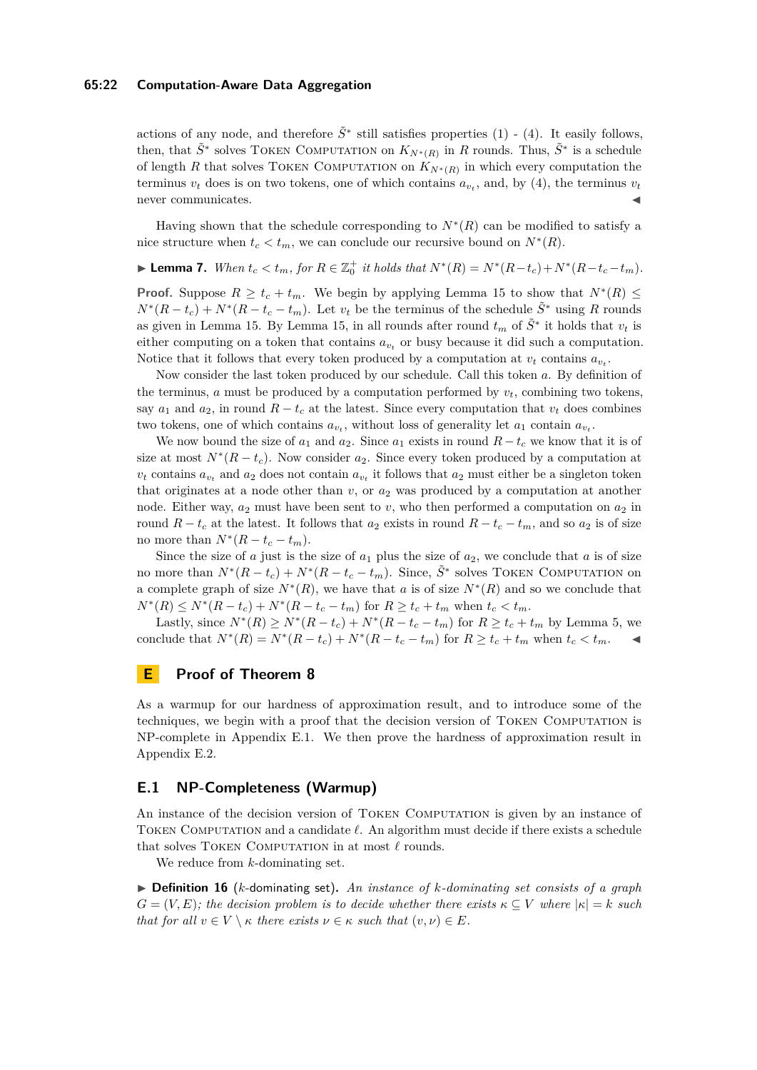### **65:22 Computation-Aware Data Aggregation**

actions of any node, and therefore  $\tilde{S}^*$  still satisfies properties (1) - (4). It easily follows, then, that  $\tilde{S}^*$  solves TOKEN COMPUTATION on  $K_{N^*(R)}$  in *R* rounds. Thus,  $\tilde{S}^*$  is a schedule of length *R* that solves TOKEN COMPUTATION on  $K_{N^*(R)}$  in which every computation the terminus  $v_t$  does is on two tokens, one of which contains  $a_{v_t}$ , and, by (4), the terminus  $v_t$ never communicates.

Having shown that the schedule corresponding to  $N^*(R)$  can be modified to satisfy a nice structure when  $t_c < t_m$ , we can conclude our recursive bound on  $N^*(R)$ .

**Lemma 7.** When  $t_c < t_m$ , for  $R \in \mathbb{Z}_0^+$  it holds that  $N^*(R) = N^*(R - t_c) + N^*(R - t_c - t_m)$ .

**Proof.** Suppose  $R \geq t_c + t_m$ . We begin by applying Lemma [15](#page-17-2) to show that  $N^*(R) \leq$  $N^*(R-t_c) + N^*(R-t_c-t_m)$ . Let  $v_t$  be the terminus of the schedule  $\tilde{S}^*$  using *R* rounds as given in Lemma [15.](#page-17-2) By Lemma [15,](#page-17-2) in all rounds after round  $t_m$  of  $\tilde{S}^*$  it holds that  $v_t$  is either computing on a token that contains  $a_{v_t}$  or busy because it did such a computation. Notice that it follows that every token produced by a computation at  $v_t$  contains  $a_{v_t}$ .

Now consider the last token produced by our schedule. Call this token *a*. By definition of the terminus,  $\alpha$  must be produced by a computation performed by  $v_t$ , combining two tokens, say  $a_1$  and  $a_2$ , in round  $R - t_c$  at the latest. Since every computation that  $v_t$  does combines two tokens, one of which contains  $a_{v_t}$ , without loss of generality let  $a_1$  contain  $a_{v_t}$ .

We now bound the size of  $a_1$  and  $a_2$ . Since  $a_1$  exists in round  $R - t_c$  we know that it is of size at most  $N^*(R-t_c)$ . Now consider  $a_2$ . Since every token produced by a computation at  $v_t$  contains  $a_{v_t}$  and  $a_2$  does not contain  $a_{v_t}$  it follows that  $a_2$  must either be a singleton token that originates at a node other than *v*, or *a*<sup>2</sup> was produced by a computation at another node. Either way,  $a_2$  must have been sent to *v*, who then performed a computation on  $a_2$  in round  $R - t_c$  at the latest. It follows that  $a_2$  exists in round  $R - t_c - t_m$ , and so  $a_2$  is of size no more than  $N^*(R - t_c - t_m)$ .

Since the size of  $a$  just is the size of  $a_1$  plus the size of  $a_2$ , we conclude that  $a$  is of size no more than  $N^*(R-t_c) + N^*(R-t_c-t_m)$ . Since,  $\tilde{S}^*$  solves TOKEN COMPUTATION on a complete graph of size  $N^*(R)$ , we have that *a* is of size  $N^*(R)$  and so we conclude that  $N^*(R) \leq N^*(R - t_c) + N^*(R - t_c - t_m)$  for  $R \geq t_c + t_m$  when  $t_c < t_m$ .

Lastly, since  $N^*(R) \ge N^*(R - t_c) + N^*(R - t_c - t_m)$  for  $R \ge t_c + t_m$  by Lemma [5,](#page-7-1) we conclude that  $N^*(R) = N^*(R - t_c) + N^*(R - t_c - t_m)$  for  $R \ge t_c + t_m$  when  $t_c < t_m$ .

## <span id="page-21-0"></span>**E Proof of Theorem [8](#page-9-3)**

As a warmup for our hardness of approximation result, and to introduce some of the techniques, we begin with a proof that the decision version of Token Computation is NP-complete in Appendix [E.1.](#page-21-1) We then prove the hardness of approximation result in Appendix [E.2.](#page-24-0)

## <span id="page-21-1"></span>**E.1 NP-Completeness (Warmup)**

An instance of the decision version of Token Computation is given by an instance of TOKEN COMPUTATION and a candidate  $\ell$ . An algorithm must decide if there exists a schedule that solves TOKEN COMPUTATION in at most  $\ell$  rounds.

We reduce from *k*-dominating set.

I **Definition 16** (*k*-dominating set)**.** *An instance of k-dominating set consists of a graph*  $G = (V, E)$ ; the decision problem is to decide whether there exists  $\kappa \subseteq V$  where  $|\kappa| = k$  such *that for all*  $v \in V \setminus \kappa$  *there exists*  $v \in \kappa$  *such that*  $(v, v) \in E$ *.*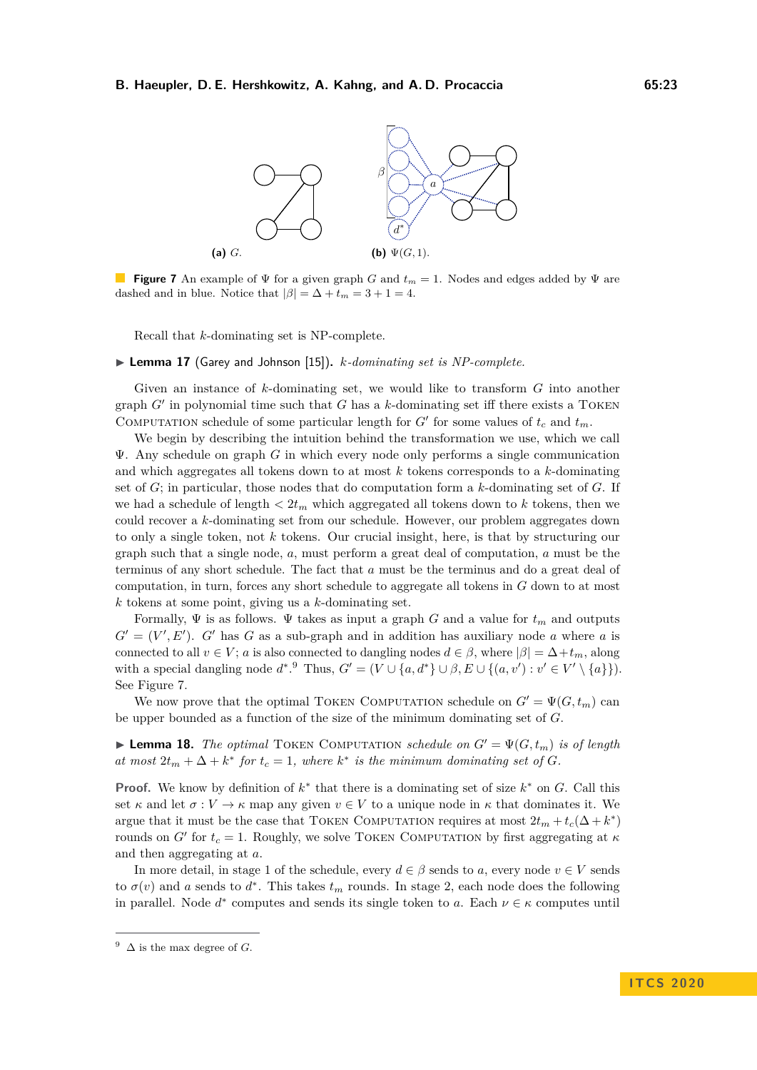<span id="page-22-1"></span>

**Figure 7** An example of Ψ for a given graph *G* and *t<sup>m</sup>* = 1. Nodes and edges added by Ψ are dashed and in blue. Notice that  $|\beta| = \Delta + t_m = 3 + 1 = 4$ .

Recall that *k*-dominating set is NP-complete.

▶ **Lemma 17** (Garey and Johnson [\[15\]](#page-14-20)). *k*-dominating set is NP-complete.

Given an instance of *k*-dominating set, we would like to transform *G* into another graph  $G'$  in polynomial time such that  $G$  has a  $k$ -dominating set iff there exists a TOKEN COMPUTATION schedule of some particular length for  $G'$  for some values of  $t_c$  and  $t_m$ .

We begin by describing the intuition behind the transformation we use, which we call Ψ. Any schedule on graph *G* in which every node only performs a single communication and which aggregates all tokens down to at most *k* tokens corresponds to a *k*-dominating set of *G*; in particular, those nodes that do computation form a *k*-dominating set of *G*. If we had a schedule of length  $\langle 2t_m \rangle$  which aggregated all tokens down to k tokens, then we could recover a *k*-dominating set from our schedule. However, our problem aggregates down to only a single token, not *k* tokens. Our crucial insight, here, is that by structuring our graph such that a single node, *a*, must perform a great deal of computation, *a* must be the terminus of any short schedule. The fact that *a* must be the terminus and do a great deal of computation, in turn, forces any short schedule to aggregate all tokens in *G* down to at most *k* tokens at some point, giving us a *k*-dominating set.

Formally, Ψ is as follows. Ψ takes as input a graph *G* and a value for *t<sup>m</sup>* and outputs  $G' = (V', E')$ . *G*<sup>*'*</sup> has *G* as a sub-graph and in addition has auxiliary node *a* where *a* is connected to all  $v \in V$ ; *a* is also connected to dangling nodes  $d \in \beta$ , where  $|\beta| = \Delta + t_m$ , along with a special dangling node  $d^*$ . Thus,  $G' = (V \cup \{a, d^*\} \cup \beta, E \cup \{(a, v') : v' \in V' \setminus \{a\}\}).$ See Figure [7.](#page-22-1)

We now prove that the optimal TOKEN COMPUTATION schedule on  $G' = \Psi(G, t_m)$  can be upper bounded as a function of the size of the minimum dominating set of *G*.

<span id="page-22-2"></span>**I Lemma 18.** *The optimal* TOKEN COMPUTATION *schedule on*  $G' = \Psi(G, t_m)$  *is of length at most*  $2t_m + \Delta + k^*$  *for*  $t_c = 1$ *, where*  $k^*$  *is the minimum dominating set of G.* 

**Proof.** We know by definition of  $k^*$  that there is a dominating set of size  $k^*$  on *G*. Call this set  $\kappa$  and let  $\sigma: V \to \kappa$  map any given  $v \in V$  to a unique node in  $\kappa$  that dominates it. We argue that it must be the case that TOKEN COMPUTATION requires at most  $2t_m + t_c(\Delta + k^*)$ rounds on *G'* for  $t_c = 1$ . Roughly, we solve TOKEN COMPUTATION by first aggregating at  $\kappa$ and then aggregating at *a*.

In more detail, in stage 1 of the schedule, every  $d \in \beta$  sends to a, every node  $v \in V$  sends to  $\sigma(v)$  and *a* sends to  $d^*$ . This takes  $t_m$  rounds. In stage 2, each node does the following in parallel. Node  $d^*$  computes and sends its single token to *a*. Each  $\nu \in \kappa$  computes until

<span id="page-22-0"></span><sup>&</sup>lt;sup>9</sup>  $\Delta$  is the max degree of *G*.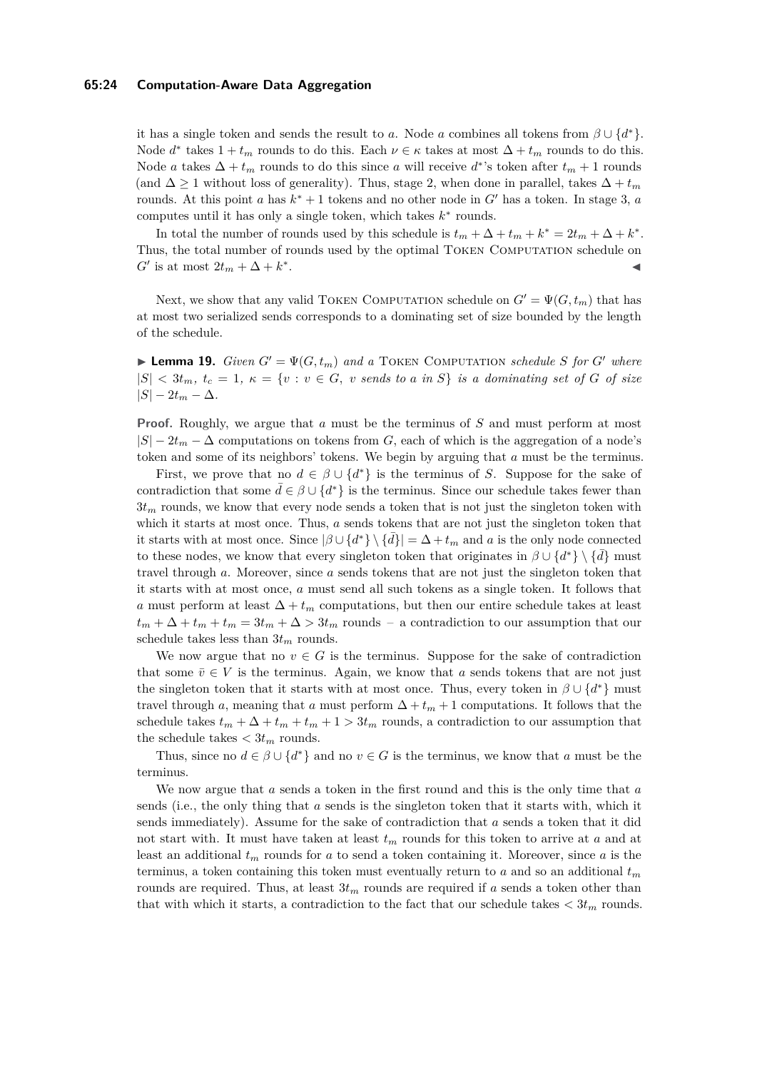## **65:24 Computation-Aware Data Aggregation**

it has a single token and sends the result to *a*. Node *a* combines all tokens from  $\beta \cup \{d^*\}.$ Node  $d^*$  takes  $1 + t_m$  rounds to do this. Each  $\nu \in \kappa$  takes at most  $\Delta + t_m$  rounds to do this. Node *a* takes  $\Delta + t_m$  rounds to do this since *a* will receive  $d^*$ 's token after  $t_m + 1$  rounds (and  $\Delta \geq 1$  without loss of generality). Thus, stage 2, when done in parallel, takes  $\Delta + t_m$ rounds. At this point *a* has  $k^* + 1$  tokens and no other node in  $G'$  has a token. In stage 3, *a* computes until it has only a single token, which takes  $k^*$  rounds.

In total the number of rounds used by this schedule is  $t_m + \Delta + t_m + k^* = 2t_m + \Delta + k^*$ . Thus, the total number of rounds used by the optimal Token Computation schedule on  $G'$  is at most  $2t_m + \Delta + k^*$ . John Stein Stein Stein Stein Stein Stein Stein Stein Stein Stein Stein Stein Stein Stein Stein Stein Stein S<br>John Stein Stein Stein Stein Stein Stein Stein Stein Stein Stein Stein Stein Stein Stein Stein Stein Stein Ste

Next, we show that any valid TOKEN COMPUTATION schedule on  $G' = \Psi(G, t_m)$  that has at most two serialized sends corresponds to a dominating set of size bounded by the length of the schedule.

<span id="page-23-0"></span> $\blacktriangleright$  **Lemma 19.** *Given*  $G' = \Psi(G, t_m)$  *and a* TOKEN COMPUTATION *schedule S for*  $G'$  *where*  $|S| < 3t_m$ ,  $t_c = 1$ ,  $\kappa = \{v : v \in G, v \text{ sends to } a \text{ in } S\}$  is a dominating set of G of size  $|S| - 2t_m - \Delta$ .

**Proof.** Roughly, we argue that *a* must be the terminus of *S* and must perform at most  $|S| - 2t_m - \Delta$  computations on tokens from *G*, each of which is the aggregation of a node's token and some of its neighbors' tokens. We begin by arguing that *a* must be the terminus.

First, we prove that no  $d \in \beta \cup \{d^*\}$  is the terminus of *S*. Suppose for the sake of contradiction that some  $\bar{d} \in \beta \cup \{d^*\}$  is the terminus. Since our schedule takes fewer than  $3t<sub>m</sub>$  rounds, we know that every node sends a token that is not just the singleton token with which it starts at most once. Thus, *a* sends tokens that are not just the singleton token that it starts with at most once. Since  $|\beta \cup \{d^*\}\setminus \{\overline{d}\}| = \Delta + t_m$  and *a* is the only node connected to these nodes, we know that every singleton token that originates in  $\beta \cup \{d^*\}\setminus \{\overline{d}\}\)$  must travel through *a*. Moreover, since *a* sends tokens that are not just the singleton token that it starts with at most once, *a* must send all such tokens as a single token. It follows that *a* must perform at least  $\Delta + t_m$  computations, but then our entire schedule takes at least  $t_m + \Delta + t_m + t_m = 3t_m + \Delta > 3t_m$  rounds – a contradiction to our assumption that our schedule takes less than  $3t_m$  rounds.

We now argue that no  $v \in G$  is the terminus. Suppose for the sake of contradiction that some  $\bar{v} \in V$  is the terminus. Again, we know that *a* sends tokens that are not just the singleton token that it starts with at most once. Thus, every token in  $\beta \cup \{d^*\}$  must travel through *a*, meaning that *a* must perform  $\Delta + t_m + 1$  computations. It follows that the schedule takes  $t_m + \Delta + t_m + t_m + 1 > 3t_m$  rounds, a contradiction to our assumption that the schedule takes  $\lt 3t_m$  rounds.

Thus, since no  $d \in \beta \cup \{d^*\}$  and no  $v \in G$  is the terminus, we know that *a* must be the terminus.

We now argue that *a* sends a token in the first round and this is the only time that *a* sends (i.e., the only thing that *a* sends is the singleton token that it starts with, which it sends immediately). Assume for the sake of contradiction that *a* sends a token that it did not start with. It must have taken at least *t<sup>m</sup>* rounds for this token to arrive at *a* and at least an additional *t<sup>m</sup>* rounds for *a* to send a token containing it. Moreover, since *a* is the terminus, a token containing this token must eventually return to *a* and so an additional *t<sup>m</sup>* rounds are required. Thus, at least  $3t_m$  rounds are required if *a* sends a token other than that with which it starts, a contradiction to the fact that our schedule takes  $\langle 3t_m \rangle$  rounds.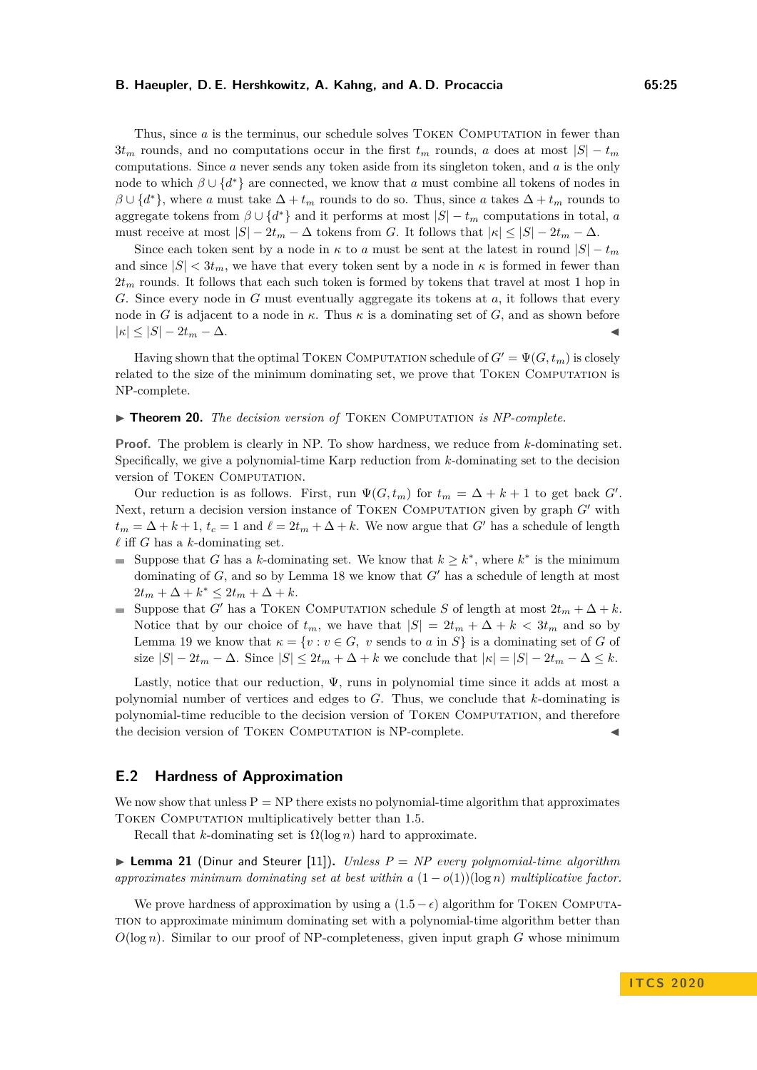Thus, since *a* is the terminus, our schedule solves TOKEN COMPUTATION in fewer than  $3t_m$  rounds, and no computations occur in the first  $t_m$  rounds, *a* does at most  $|S| - t_m$ computations. Since *a* never sends any token aside from its singleton token, and *a* is the only node to which  $\beta \cup \{d^*\}$  are connected, we know that *a* must combine all tokens of nodes in  $\beta \cup \{d^*\}$ , where *a* must take  $\Delta + t_m$  rounds to do so. Thus, since *a* takes  $\Delta + t_m$  rounds to aggregate tokens from  $\beta \cup \{d^*\}$  and it performs at most  $|S| - t_m$  computations in total, *a* must receive at most  $|S| - 2t_m - \Delta$  tokens from *G*. It follows that  $|\kappa| \leq |S| - 2t_m - \Delta$ .

Since each token sent by a node in  $\kappa$  to *a* must be sent at the latest in round  $|S| - t_m$ and since  $|S| < 3t_m$ , we have that every token sent by a node in  $\kappa$  is formed in fewer than  $2t<sub>m</sub>$  rounds. It follows that each such token is formed by tokens that travel at most 1 hop in *G*. Since every node in *G* must eventually aggregate its tokens at *a*, it follows that every node in *G* is adjacent to a node in  $\kappa$ . Thus  $\kappa$  is a dominating set of *G*, and as shown before  $|\kappa| \leq |S| - 2t_m - \Delta.$ 

Having shown that the optimal TOKEN COMPUTATION schedule of  $G' = \Psi(G, t_m)$  is closely related to the size of the minimum dominating set, we prove that TOKEN COMPUTATION is NP-complete.

### ▶ **Theorem 20.** *The decision version of* TOKEN COMPUTATION *is NP-complete.*

**Proof.** The problem is clearly in NP. To show hardness, we reduce from *k*-dominating set. Specifically, we give a polynomial-time Karp reduction from *k*-dominating set to the decision version of TOKEN COMPUTATION.

Our reduction is as follows. First, run  $\Psi(G, t_m)$  for  $t_m = \Delta + k + 1$  to get back *G'*. Next, return a decision version instance of TOKEN COMPUTATION given by graph *G*<sup>*o*</sup> with  $t_m = \Delta + k + 1$ ,  $t_c = 1$  and  $\ell = 2t_m + \Delta + k$ . We now argue that *G*<sup> $\ell$ </sup> has a schedule of length  $\ell$  iff *G* has a *k*-dominating set.

- Suppose that *G* has a *k*-dominating set. We know that  $k \geq k^*$ , where  $k^*$  is the minimum dominating of  $G$ , and so by Lemma [18](#page-22-2) we know that  $G'$  has a schedule of length at most  $2t_m + \Delta + k^* \leq 2t_m + \Delta + k.$
- Suppose that *G*<sup> $\prime$ </sup> has a TOKEN COMPUTATION schedule *S* of length at most  $2t_m + \Delta + k$ . Notice that by our choice of  $t_m$ , we have that  $|S| = 2t_m + \Delta + k < 3t_m$  and so by Lemma [19](#page-23-0) we know that  $\kappa = \{v : v \in G, v \text{ sends to } a \text{ in } S\}$  is a dominating set of *G* of size  $|S| - 2t_m - \Delta$ . Since  $|S| \leq 2t_m + \Delta + k$  we conclude that  $|\kappa| = |S| - 2t_m - \Delta \leq k$ .

Lastly, notice that our reduction,  $\Psi$ , runs in polynomial time since it adds at most a polynomial number of vertices and edges to *G*. Thus, we conclude that *k*-dominating is polynomial-time reducible to the decision version of Token Computation, and therefore the decision version of TOKEN COMPUTATION is NP-complete.

## <span id="page-24-0"></span>**E.2 Hardness of Approximation**

We now show that unless  $P = NP$  there exists no polynomial-time algorithm that approximates Token Computation multiplicatively better than 1*.*5.

Recall that *k*-dominating set is  $\Omega(\log n)$  hard to approximate.

<span id="page-24-1"></span>**Example 21** (Dinur and Steurer [\[11\]](#page-14-21)). *Unless*  $P = NP$  *every polynomial-time algorithm approximates minimum dominating set at best within a*  $(1 - o(1))(\log n)$  *multiplicative factor.* 

We prove hardness of approximation by using a  $(1.5 - \epsilon)$  algorithm for TOKEN COMPUTAtion to approximate minimum dominating set with a polynomial-time algorithm better than  $O(\log n)$ . Similar to our proof of NP-completeness, given input graph *G* whose minimum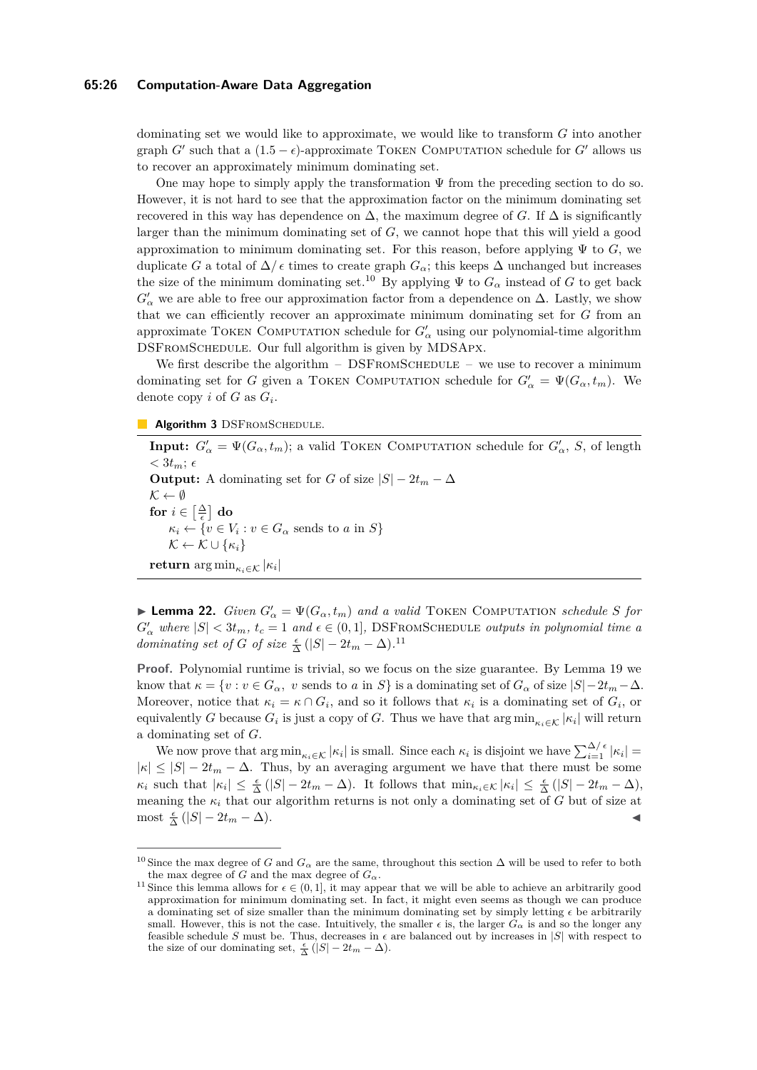## **65:26 Computation-Aware Data Aggregation**

dominating set we would like to approximate, we would like to transform *G* into another graph *G*<sup> $\prime$ </sup> such that a  $(1.5 - \epsilon)$ -approximate TOKEN COMPUTATION schedule for *G*<sup> $\prime$ </sup> allows us to recover an approximately minimum dominating set.

One may hope to simply apply the transformation  $\Psi$  from the preceding section to do so. However, it is not hard to see that the approximation factor on the minimum dominating set recovered in this way has dependence on  $\Delta$ , the maximum degree of *G*. If  $\Delta$  is significantly larger than the minimum dominating set of *G*, we cannot hope that this will yield a good approximation to minimum dominating set. For this reason, before applying  $\Psi$  to *G*, we duplicate *G* a total of  $\Delta/\epsilon$  times to create graph  $G_{\alpha}$ ; this keeps  $\Delta$  unchanged but increases the size of the minimum dominating set.<sup>[10](#page-25-0)</sup> By applying  $\Psi$  to  $G_\alpha$  instead of *G* to get back  $G'_{\alpha}$  we are able to free our approximation factor from a dependence on  $\Delta$ . Lastly, we show that we can efficiently recover an approximate minimum dominating set for *G* from an approximate TOKEN COMPUTATION schedule for  $G'_{\alpha}$  using our polynomial-time algorithm DSFromSchedule. Our full algorithm is given by MDSApx.

We first describe the algorithm  $-$  DSFROMSCHEDULE  $-$  we use to recover a minimum dominating set for *G* given a TOKEN COMPUTATION schedule for  $G'_{\alpha} = \Psi(G_{\alpha}, t_m)$ . We denote copy *i* of *G* as *G<sup>i</sup>* .

**Algorithm 3** DSFROMSCHEDULE.

**Input:**  $G'_{\alpha} = \Psi(G_{\alpha}, t_m)$ ; a valid TOKEN COMPUTATION schedule for  $G'_{\alpha}$ , *S*, of length  $<$  3 $t_m$ ;  $\epsilon$ **Output:** A dominating set for *G* of size  $|S| - 2t_m - \Delta$  $\mathcal{K} \leftarrow \emptyset$  $\mathbf{for} \; i \in \left[\frac{\Delta}{\epsilon}\right] \; \mathbf{do}$  $\kappa_i \leftarrow \{v \in V_i : v \in G_\alpha \text{ sends to } a \text{ in } S\}$  $\mathcal{K} \leftarrow \mathcal{K} \cup \{\kappa_i\}$  $\mathbf{return} \argmin_{\kappa_i \in \mathcal{K}} |\kappa_i|$ 

<span id="page-25-2"></span>**• Lemma 22.** *Given*  $G'_{\alpha} = \Psi(G_{\alpha}, t_m)$  *and a valid* TOKEN COMPUTATION *schedule S for*  $G'_{\alpha}$  where  $|S| < 3t_m$ ,  $t_c = 1$  and  $\epsilon \in (0, 1]$ , DSFROMSCHEDULE *outputs in polynomial time a dominating set of G of size*  $\frac{\epsilon}{\Delta}$  (|*S*| − 2*t*<sub>*m*</sub> −  $\Delta$ ).<sup>[11](#page-25-1)</sup>

**Proof.** Polynomial runtime is trivial, so we focus on the size guarantee. By Lemma [19](#page-23-0) we know that  $\kappa = \{v : v \in G_\alpha, v \text{ sends to } a \text{ in } S\}$  is a dominating set of  $G_\alpha$  of size  $|S| - 2t_m - \Delta$ . Moreover, notice that  $\kappa_i = \kappa \cap G_i$ , and so it follows that  $\kappa_i$  is a dominating set of  $G_i$ , or equivalently *G* because  $G_i$  is just a copy of *G*. Thus we have that  $\arg \min_{\kappa_i \in \mathcal{K}} |\kappa_i|$  will return a dominating set of *G*.

We now prove that  $\arg \min_{\kappa_i \in \mathcal{K}} |\kappa_i|$  is small. Since each  $\kappa_i$  is disjoint we have  $\sum_{i=1}^{\Delta/\epsilon} |\kappa_i|$  $|\kappa| \leq |S| - 2t_m - \Delta$ . Thus, by an averaging argument we have that there must be some  $\kappa_i$  such that  $|\kappa_i| \leq \frac{\epsilon}{\Delta} (|S| - 2t_m - \Delta)$ . It follows that  $\min_{\kappa_i \in \mathcal{K}} |\kappa_i| \leq \frac{\epsilon}{\Delta} (|S| - 2t_m - \Delta)$ , meaning the *κ<sup>i</sup>* that our algorithm returns is not only a dominating set of *G* but of size at  $\text{most } \frac{\epsilon}{\Delta}(|S| - 2t_m - \Delta).$ 

<span id="page-25-0"></span><sup>&</sup>lt;sup>10</sup> Since the max degree of *G* and  $G_{\alpha}$  are the same, throughout this section  $\Delta$  will be used to refer to both the max degree of *G* and the max degree of  $G_\alpha$ .

<span id="page-25-1"></span><sup>&</sup>lt;sup>11</sup> Since this lemma allows for  $\epsilon \in (0,1]$ , it may appear that we will be able to achieve an arbitrarily good approximation for minimum dominating set. In fact, it might even seems as though we can produce a dominating set of size smaller than the minimum dominating set by simply letting  $\epsilon$  be arbitrarily small. However, this is not the case. Intuitively, the smaller  $\epsilon$  is, the larger  $G_\alpha$  is and so the longer any feasible schedule *S* must be. Thus, decreases in  $\epsilon$  are balanced out by increases in  $|S|$  with respect to the size of our dominating set,  $\frac{\epsilon}{\Delta}(|S| - 2t_m - \Delta)$ .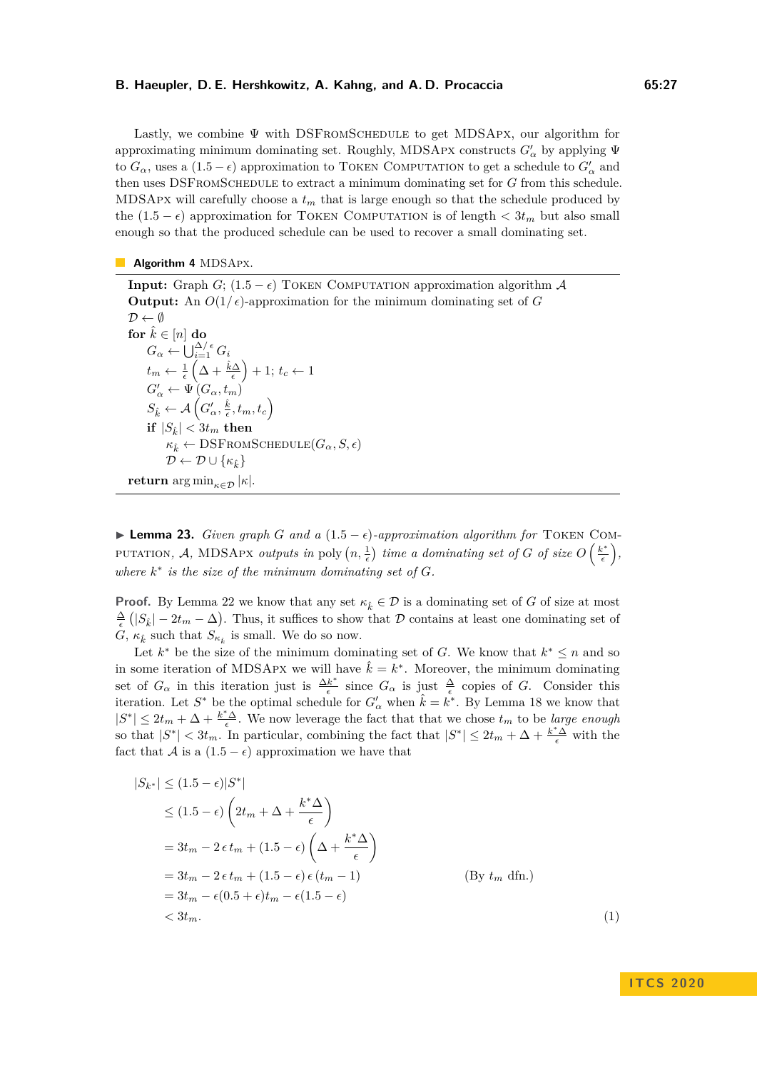Lastly, we combine  $\Psi$  with DSFROMSCHEDULE to get MDSAPX, our algorithm for approximating minimum dominating set. Roughly, MDSAPX constructs  $G'_\alpha$  by applying  $\Psi$ to  $G_{\alpha}$ , uses a  $(1.5 - \epsilon)$  approximation to TOKEN COMPUTATION to get a schedule to  $G'_{\alpha}$  and then uses DSFromSchedule to extract a minimum dominating set for *G* from this schedule. MDSApx will carefully choose a *t<sup>m</sup>* that is large enough so that the schedule produced by the  $(1.5 - \epsilon)$  approximation for TOKEN COMPUTATION is of length  $\langle 3t_m \rangle$  but also small enough so that the produced schedule can be used to recover a small dominating set.

#### **Algorithm 4 MDSApx.**

**Input:** Graph *G*;  $(1.5 - \epsilon)$  TOKEN COMPUTATION approximation algorithm A **Output:** An  $O(1/\epsilon)$ -approximation for the minimum dominating set of *G*  $\mathcal{D} \leftarrow \emptyset$ **for**  $\hat{k} \in [n]$  **do**  $G_{\alpha} \leftarrow \bigcup_{i=1}^{\Delta/\epsilon} G_i$  $t_m \leftarrow \frac{1}{\epsilon} \left( \Delta + \frac{\hat{k}\Delta}{\epsilon} \right) + 1; t_c \leftarrow 1$  $G'_{\alpha} \leftarrow \Psi(G_{\alpha}, t_{m})$  $S_{\hat{k}} \leftarrow \mathcal{A}\left(G_\alpha', \frac{\hat{k}}{\epsilon}, t_m, t_c\right)$  $\int_{\mathbf{R}}^{\infty} |S_{\hat{k}}| < 3t_m$  then  *← DSFROMSCHEDULE(* $G$ *<sub><i>α</sub>, S, ε*)</sub>  $\mathcal{D} \leftarrow \mathcal{D} \cup \{\kappa_{\hat{\imath}}\}$ **return** arg min<sub> $\kappa \in \mathcal{D}$ </sub>  $|\kappa|$ .

<span id="page-26-1"></span> $▶$  **Lemma 23.** *Given graph G and a*  $(1.5 - ε)$ *-approximation algorithm for* TOKEN COMputation, A, MDSApx *outputs in* poly  $(n, \frac{1}{\epsilon})$  *time a dominating set of G of size*  $O\left(\frac{k^*}{\epsilon}\right)$  $\left(\frac{\varepsilon^*}{\epsilon}\right),$ where  $k^*$  is the size of the minimum dominating set of  $G$ .

**Proof.** By Lemma [22](#page-25-2) we know that any set  $\kappa_k \in \mathcal{D}$  is a dominating set of *G* of size at most  $\frac{\Delta}{\epsilon}$  ( $|S_{\hat{k}}| - 2t_m - \Delta$ ). Thus, it suffices to show that D contains at least one dominating set of *G*,  $\kappa_{\hat{k}}$  such that  $S_{\kappa_{\hat{k}}}$  is small. We do so now.

Let  $k^*$  be the size of the minimum dominating set of *G*. We know that  $k^* \leq n$  and so in some iteration of MDSAPX we will have  $\hat{k} = k^*$ . Moreover, the minimum dominating set of  $G_{\alpha}$  in this iteration just is  $\frac{\Delta k^*}{\epsilon}$  $\frac{k^*}{\epsilon}$  since  $G_\alpha$  is just  $\frac{\Delta}{\epsilon}$  copies of *G*. Consider this iteration. Let  $S^*$  be the optimal schedule for  $G'_\alpha$  when  $\hat{k} = k^*$ . By Lemma [18](#page-22-2) we know that  $|S^*| \leq 2t_m + \Delta + \frac{k^* \Delta}{\epsilon}$ . We now leverage the fact that that we chose  $t_m$  to be *large enough* so that  $|S^*| < 3t_m$ . In particular, combining the fact that  $|S^*| \leq 2t_m + \Delta + \frac{k^* \Delta}{\epsilon}$  with the fact that A is a  $(1.5 - \epsilon)$  approximation we have that

$$
|S_{k^*}| \le (1.5 - \epsilon)|S^*|
$$
  
\n
$$
\le (1.5 - \epsilon) \left(2t_m + \Delta + \frac{k^*\Delta}{\epsilon}\right)
$$
  
\n
$$
= 3t_m - 2\epsilon t_m + (1.5 - \epsilon) \left(\Delta + \frac{k^*\Delta}{\epsilon}\right)
$$
  
\n
$$
= 3t_m - 2\epsilon t_m + (1.5 - \epsilon)\epsilon (t_m - 1)
$$
  
\n
$$
= 3t_m - \epsilon(0.5 + \epsilon)t_m - \epsilon(1.5 - \epsilon)
$$
  
\n
$$
< 3t_m.
$$
 (1)

## <span id="page-26-0"></span>**I T C S 2 0 2 0**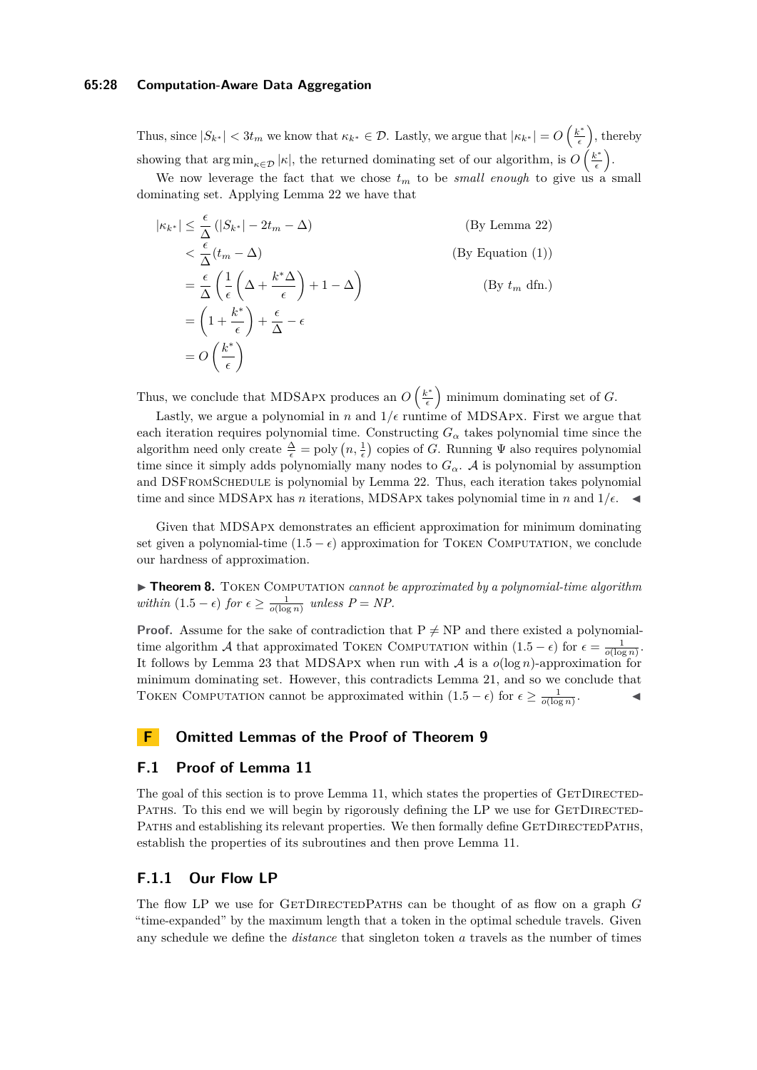### **65:28 Computation-Aware Data Aggregation**

Thus, since  $|S_{k^*}| < 3t_m$  we know that  $\kappa_{k^*} \in \mathcal{D}$ . Lastly, we argue that  $|\kappa_{k^*}| = O\left(\frac{k^*}{\epsilon}\right)$  $\left(\frac{\varepsilon^*}{\epsilon}\right)$ , thereby showing that  $\arg \min_{\kappa \in \mathcal{D}} |\kappa|$ , the returned dominating set of our algorithm, is  $O\left(\frac{k^*}{\epsilon}\right)$  $\frac{\epsilon^*}{\epsilon}\biggr).$ 

We now leverage the fact that we chose  $t_m$  to be *small enough* to give us a small dominating set. Applying Lemma [22](#page-25-2) we have that

$$
|\kappa_{k^*}| \leq \frac{\epsilon}{\Delta} (|S_{k^*}| - 2t_m - \Delta)
$$
 (By Lemma 22)  
\n
$$
< \frac{\epsilon}{\Delta} (t_m - \Delta)
$$
 (By Equation (1))  
\n
$$
= \frac{\epsilon}{\Delta} \left( \frac{1}{\epsilon} \left( \Delta + \frac{k^* \Delta}{\epsilon} \right) + 1 - \Delta \right)
$$
 (By Equation (1))  
\n
$$
= \left( 1 + \frac{k^*}{\epsilon} \right) + \frac{\epsilon}{\Delta} - \epsilon
$$
  
\n
$$
= O\left(\frac{k^*}{\epsilon}\right)
$$

Thus, we conclude that MDSAPX produces an  $O\left(\frac{k^*}{\epsilon}\right)$  $\left(\frac{e^*}{\epsilon}\right)$  minimum dominating set of *G*.

Lastly, we argue a polynomial in  $n$  and  $1/\epsilon$  runtime of MDSApx. First we argue that each iteration requires polynomial time. Constructing  $G_{\alpha}$  takes polynomial time since the algorithm need only create  $\frac{\Delta}{\epsilon} = \text{poly}(n, \frac{1}{\epsilon})$  copies of *G*. Running  $\Psi$  also requires polynomial time since it simply adds polynomially many nodes to  $G_{\alpha}$ . A is polynomial by assumption and DSFromSchedule is polynomial by Lemma [22.](#page-25-2) Thus, each iteration takes polynomial time and since MDSAPX has *n* iterations, MDSAPX takes polynomial time in *n* and  $1/\epsilon$ .

Given that MDSApx demonstrates an efficient approximation for minimum dominating set given a polynomial-time  $(1.5 - \epsilon)$  approximation for TOKEN COMPUTATION, we conclude our hardness of approximation.

▶ **Theorem 8.** TOKEN COMPUTATION *cannot be approximated by a polynomial-time algorithm within*  $(1.5 - \epsilon)$  *for*  $\epsilon \ge \frac{1}{o(\log n)}$  *unless*  $P = NP$ .

**Proof.** Assume for the sake of contradiction that  $P \neq NP$  and there existed a polynomialtime algorithm A that approximated TOKEN COMPUTATION within  $(1.5 - \epsilon)$  for  $\epsilon = \frac{1}{o(\log n)}$ . It follows by Lemma [23](#page-26-1) that MDSApx when run with A is a *o*(log *n*)-approximation for minimum dominating set. However, this contradicts Lemma [21,](#page-24-1) and so we conclude that TOKEN COMPUTATION cannot be approximated within  $(1.5 - \epsilon)$  for  $\epsilon \ge \frac{1}{o(\log n)}$  $\mathcal{L}$   $\mathcal{L}$ 

## <span id="page-27-0"></span>**F Omitted Lemmas of the Proof of Theorem [9](#page-9-2)**

## **F.1 Proof of Lemma [11](#page-12-1)**

The goal of this section is to prove Lemma [11,](#page-12-1) which states the properties of GETDIRECTED-PATHS. To this end we will begin by rigorously defining the LP we use for GETDIRECTED-PATHS and establishing its relevant properties. We then formally define GETDIRECTEDPATHS, establish the properties of its subroutines and then prove Lemma [11.](#page-12-1)

## **F.1.1 Our Flow LP**

The flow LP we use for GETDIRECTEDPATHS can be thought of as flow on a graph *G* "time-expanded" by the maximum length that a token in the optimal schedule travels. Given any schedule we define the *distance* that singleton token *a* travels as the number of times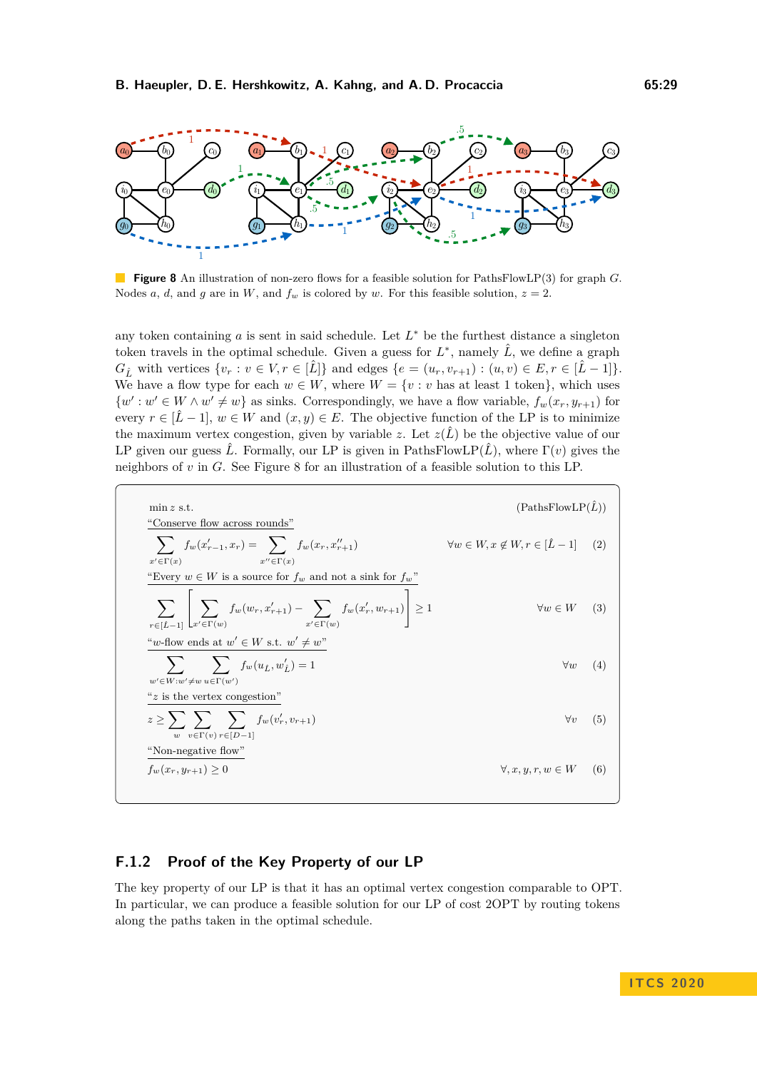<span id="page-28-0"></span>

**Figure 8** An illustration of non-zero flows for a feasible solution for PathsFlowLP(3) for graph *G*. Nodes *a*, *d*, and *g* are in *W*, and  $f_w$  is colored by *w*. For this feasible solution,  $z = 2$ .

any token containing *a* is sent in said schedule. Let *L* <sup>∗</sup> be the furthest distance a singleton token travels in the optimal schedule. Given a guess for  $L^*$ , namely  $\hat{L}$ , we define a graph *G*<sup>*t*</sup>, with vertices  $\{v_r : v \in V, r \in [\hat{L}]\}$  and edges  $\{e = (u_r, v_{r+1}) : (u, v) \in E, r \in [\hat{L} - 1]\}.$ We have a flow type for each  $w \in W$ , where  $W = \{v : v \text{ has at least 1 token}\},\$  which uses  $\{w': w' \in W \wedge w' \neq w\}$  as sinks. Correspondingly, we have a flow variable,  $f_w(x_r, y_{r+1})$  for every  $r \in [\hat{L} - 1], w \in W$  and  $(x, y) \in E$ . The objective function of the LP is to minimize the maximum vertex congestion, given by variable *z*. Let  $z(\hat{L})$  be the objective value of our LP given our guess  $\hat{L}$ . Formally, our LP is given in PathsFlowLP( $\hat{L}$ ), where  $\Gamma(v)$  gives the neighbors of *v* in *G*. See Figure [8](#page-28-0) for an illustration of a feasible solution to this LP.

<span id="page-28-5"></span><span id="page-28-4"></span><span id="page-28-3"></span><span id="page-28-2"></span>min z s.t. (PathsFlowLP(
$$
\hat{L}
$$
))  
\n"Conserve flow across rounds"  
\n
$$
\sum_{x' \in \Gamma(x)} f_w(x'_{r-1}, x_r) = \sum_{x'' \in \Gamma(x)} f_w(x_r, x''_{r+1}) \qquad \forall w \in W, x \notin W, r \in [\hat{L} - 1] \quad (2)
$$
\n"Every  $w \in W$  is a source for  $f_w$  and not a sink for  $f_w$ "  
\n
$$
\sum_{r \in [\hat{L}-1]} \left[ \sum_{x' \in \Gamma(w)} f_w(w_r, x'_{r+1}) - \sum_{x' \in \Gamma(w)} f_w(x'_r, w_{r+1}) \right] \ge 1 \qquad \forall w \in W \quad (3)
$$
\n"which was at  $w' \in W$  s.t.  $w' \neq w$ "  
\n
$$
\sum_{w' \in W: w' \neq w} \sum_{u \in \Gamma(w')} f_w(u_{\hat{L}}, w'_{\hat{L}}) = 1 \qquad \forall w \quad (4)
$$
\n"z is the vertex congestion"  
\n
$$
z \ge \sum_{w} \sum_{v \in \Gamma(v)} \sum_{r \in [D-1]} f_w(v'_r, v_{r+1}) \qquad \forall v \quad (5)
$$
\n"Non-negative flow"  
\n
$$
f_w(x_r, y_{r+1}) \ge 0 \qquad \forall x, y, r, w \in W \quad (6)
$$

## <span id="page-28-6"></span>**F.1.2 Proof of the Key Property of our LP**

<span id="page-28-1"></span>The key property of our LP is that it has an optimal vertex congestion comparable to OPT. In particular, we can produce a feasible solution for our LP of cost 2OPT by routing tokens along the paths taken in the optimal schedule.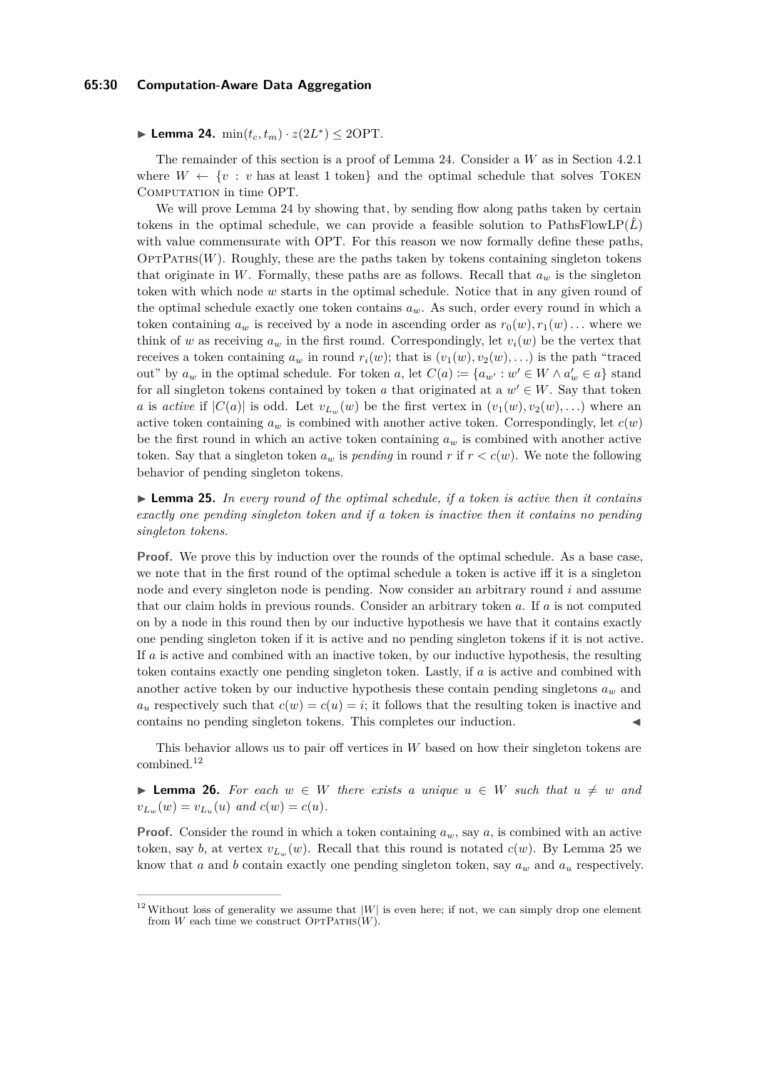▶ Lemma 24.  $\min(t_c, t_m) \cdot z(2L^*) \leq 2\text{OPT}$ *.* 

The remainder of this section is a proof of Lemma [24.](#page-28-1) Consider a *W* as in Section [4.2.1](#page-11-2) where  $W \leftarrow \{v : v$  has at least 1 token} and the optimal schedule that solves TOKEN COMPUTATION in time OPT.

We will prove Lemma [24](#page-28-1) by showing that, by sending flow along paths taken by certain tokens in the optimal schedule, we can provide a feasible solution to  $PathSFlowLP(\hat{L})$ with value commensurate with OPT. For this reason we now formally define these paths,  $\text{OPTPATHs}(W)$ . Roughly, these are the paths taken by tokens containing singleton tokens that originate in *W*. Formally, these paths are as follows. Recall that  $a_w$  is the singleton token with which node *w* starts in the optimal schedule. Notice that in any given round of the optimal schedule exactly one token contains  $a_w$ . As such, order every round in which a token containing  $a_w$  is received by a node in ascending order as  $r_0(w), r_1(w) \ldots$  where we think of *w* as receiving  $a_w$  in the first round. Correspondingly, let  $v_i(w)$  be the vertex that receives a token containing  $a_w$  in round  $r_i(w)$ ; that is  $(v_1(w), v_2(w), \ldots)$  is the path "traced" out" by  $a_w$  in the optimal schedule. For token  $a$ , let  $C(a) := \{a_{w'} : w' \in W \land a'_w \in a\}$  stand for all singleton tokens contained by token *a* that originated at a  $w' \in W$ . Say that token *a* is *active* if  $|C(a)|$  is odd. Let  $v_{L_w}(w)$  be the first vertex in  $(v_1(w), v_2(w), ...)$  where an active token containing  $a_w$  is combined with another active token. Correspondingly, let  $c(w)$ be the first round in which an active token containing *a<sup>w</sup>* is combined with another active token. Say that a singleton token  $a_w$  is *pending* in round *r* if  $r < c(w)$ . We note the following behavior of pending singleton tokens.

<span id="page-29-1"></span> $\triangleright$  **Lemma 25.** In every round of the optimal schedule, if a token is active then it contains *exactly one pending singleton token and if a token is inactive then it contains no pending singleton tokens.*

**Proof.** We prove this by induction over the rounds of the optimal schedule. As a base case, we note that in the first round of the optimal schedule a token is active iff it is a singleton node and every singleton node is pending. Now consider an arbitrary round *i* and assume that our claim holds in previous rounds. Consider an arbitrary token *a*. If *a* is not computed on by a node in this round then by our inductive hypothesis we have that it contains exactly one pending singleton token if it is active and no pending singleton tokens if it is not active. If *a* is active and combined with an inactive token, by our inductive hypothesis, the resulting token contains exactly one pending singleton token. Lastly, if *a* is active and combined with another active token by our inductive hypothesis these contain pending singletons  $a_w$  and  $a_u$  respectively such that  $c(w) = c(u) = i$ ; it follows that the resulting token is inactive and contains no pending singleton tokens. This completes our induction.

This behavior allows us to pair off vertices in *W* based on how their singleton tokens are combined.[12](#page-29-0)

<span id="page-29-2"></span>**► Lemma 26.** For each  $w \in W$  there exists a unique  $u \in W$  such that  $u \neq w$  and  $v_{L_w}(w) = v_{L_u}(u)$  and  $c(w) = c(u)$ .

**Proof.** Consider the round in which a token containing  $a_w$ , say  $a$ , is combined with an active token, say *b*, at vertex  $v_{L_w}(w)$ . Recall that this round is notated  $c(w)$ . By Lemma [25](#page-29-1) we know that *a* and *b* contain exactly one pending singleton token, say *a<sup>w</sup>* and *a<sup>u</sup>* respectively.

<span id="page-29-0"></span><sup>&</sup>lt;sup>12</sup>Without loss of generality we assume that  $|W|$  is even here; if not, we can simply drop one element from  $W$  each time we construct  $\text{OPTPATHs}(W)$ .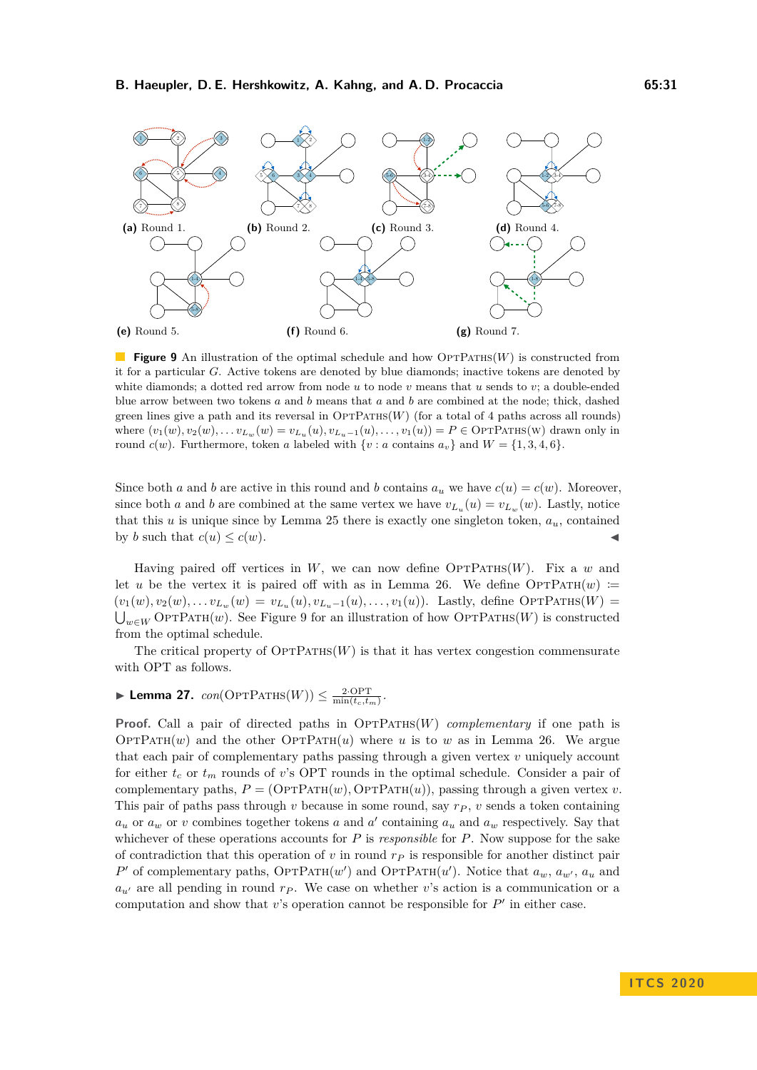<span id="page-30-0"></span>

**Figure 9** An illustration of the optimal schedule and how OPTPATHS(*W*) is constructed from it for a particular *G*. Active tokens are denoted by blue diamonds; inactive tokens are denoted by white diamonds; a dotted red arrow from node *u* to node *v* means that *u* sends to *v*; a double-ended blue arrow between two tokens *a* and *b* means that *a* and *b* are combined at the node; thick, dashed green lines give a path and its reversal in  $\text{OPTPATHS}(W)$  (for a total of 4 paths across all rounds) where  $(v_1(w), v_2(w), \ldots v_{L_w}(w) = v_{L_w}(u), v_{L_w-1}(u), \ldots, v_1(u)) = P \in \text{OPTATHS}(w)$  drawn only in round  $c(w)$ . Furthermore, token *a* labeled with  $\{v : a$  contains  $a_v\}$  and  $W = \{1, 3, 4, 6\}$ .

Since both *a* and *b* are active in this round and *b* contains  $a_u$  we have  $c(u) = c(w)$ . Moreover, since both *a* and *b* are combined at the same vertex we have  $v_{L_u}(u) = v_{L_w}(w)$ . Lastly, notice that this  $u$  is unique since by Lemma [25](#page-29-1) there is exactly one singleton token,  $a_u$ , contained by *b* such that  $c(u) \leq c(w)$ .

Having paired off vertices in  $W$ , we can now define  $\text{OPTPATHs}(W)$ . Fix a *w* and let *u* be the vertex it is paired off with as in Lemma [26.](#page-29-2) We define  $\text{OPTPATH}(w)$  :=  $(v_1(w), v_2(w), \ldots v_{L_w}(w) = v_{L_u}(u), v_{L_u-1}(u), \ldots, v_1(u)).$  Lastly, define OPTPATHS(W) =  $\bigcup_{w\in W}$  OPTPATH $(w)$ . See Figure [9](#page-30-0) for an illustration of how OPTPATHS(*W*) is constructed from the optimal schedule.

The critical property of  $\text{OPTPATHs}(W)$  is that it has vertex congestion commensurate with OPT as follows.

## <span id="page-30-1"></span> $\blacktriangleright$  Lemma 27. *con*( $\text{OPTPATHs}(W)$ )  $\leq \frac{2 \cdot \text{OPT}}{\min(t_c, t_m)}$ .

**Proof.** Call a pair of directed paths in  $\text{OPTPATH}(W)$  *complementary* if one path is OPTPATH $(w)$  and the other OPTPATH $(u)$  where *u* is to *w* as in Lemma [26.](#page-29-2) We argue that each pair of complementary paths passing through a given vertex *v* uniquely account for either *t<sup>c</sup>* or *t<sup>m</sup>* rounds of *v*'s OPT rounds in the optimal schedule. Consider a pair of complementary paths,  $P = (\text{OPTPATH}(w), \text{OPTPATH}(u))$ , passing through a given vertex *v*. This pair of paths pass through *v* because in some round, say *r<sup>P</sup>* , *v* sends a token containing  $a_u$  or  $a_w$  or *v* combines together tokens *a* and *a*<sup> $\prime$ </sup> containing  $a_u$  and  $a_w$  respectively. Say that whichever of these operations accounts for *P* is *responsible* for *P*. Now suppose for the sake of contradiction that this operation of *v* in round *r<sup>P</sup>* is responsible for another distinct pair  $P'$  of complementary paths,  $\text{OPTPATH}(w')$  and  $\text{OPTPATH}(u')$ . Notice that  $a_w, a_{w'}$ ,  $a_u$  and  $a_{u'}$  are all pending in round  $r_P$ . We case on whether *v*'s action is a communication or a computation and show that  $v$ 's operation cannot be responsible for  $P'$  in either case.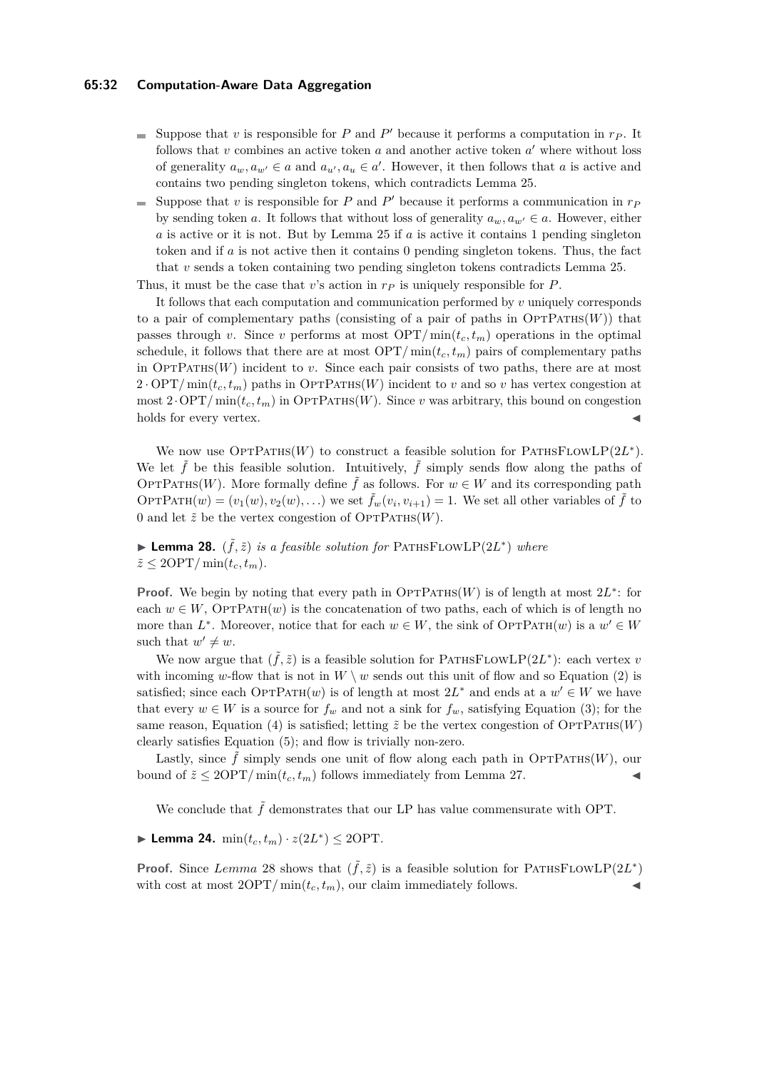### **65:32 Computation-Aware Data Aggregation**

- Suppose that  $v$  is responsible for  $P$  and  $P'$  because it performs a computation in  $r_P$ . It follows that  $v$  combines an active token  $a$  and another active token  $a'$  where without loss of generality  $a_w, a_{w'} \in a$  and  $a_{u'}, a_u \in a'$ . However, it then follows that *a* is active and contains two pending singleton tokens, which contradicts Lemma [25.](#page-29-1)
- Suppose that  $v$  is responsible for  $P$  and  $P'$  because it performs a communication in  $r<sub>P</sub>$  $\blacksquare$ by sending token *a*. It follows that without loss of generality  $a_w, a_{w'} \in a$ . However, either *a* is active or it is not. But by Lemma [25](#page-29-1) if *a* is active it contains 1 pending singleton token and if *a* is not active then it contains 0 pending singleton tokens. Thus, the fact that *v* sends a token containing two pending singleton tokens contradicts Lemma [25.](#page-29-1)

Thus, it must be the case that *v*'s action in *r<sup>P</sup>* is uniquely responsible for *P*.

It follows that each computation and communication performed by *v* uniquely corresponds to a pair of complementary paths (consisting of a pair of paths in  $\text{OPTPATHS}(W)$ ) that passes through *v*. Since *v* performs at most  $\text{OPT}/\min(t_c, t_m)$  operations in the optimal schedule, it follows that there are at most  $\text{OPT}/\min(t_c, t_m)$  pairs of complementary paths in  $\text{OPTPATH}(W)$  incident to *v*. Since each pair consists of two paths, there are at most  $2 \cdot \text{OPT}/\min(t_c, t_m)$  paths in OPTPATHS(*W*) incident to *v* and so *v* has vertex congestion at most  $2 \cdot \text{OPT}/\min(t_c, t_m)$  in OPTPATHS(*W*). Since *v* was arbitrary, this bound on congestion holds for every vertex.

We now use  $\text{OPTPATHs}(W)$  to construct a feasible solution for  $\text{PATHsFlowLP}(2L^*)$ . We let  $\tilde{f}$  be this feasible solution. Intuitively,  $\tilde{f}$  simply sends flow along the paths of OPTPATHS(*W*). More formally define  $\tilde{f}$  as follows. For  $w \in W$  and its corresponding path OPTPATH $(w) = (v_1(w), v_2(w), ...)$  we set  $\tilde{f}_w(v_i, v_{i+1}) = 1$ . We set all other variables of  $\tilde{f}$  to 0 and let  $\tilde{z}$  be the vertex congestion of  $\text{OPTPATH}(W)$ .

<span id="page-31-0"></span>▶ Lemma 28.  $(\tilde{f}, \tilde{z})$  *is a feasible solution for* PATHSFLOWLP $(2L^*)$  where  $\tilde{z} \leq 2\text{OPT}/\min(t_c, t_m)$ .

**Proof.** We begin by noting that every path in  $\text{OPTPATHS}(W)$  is of length at most  $2L^*$ : for each  $w \in W$ , OPTPATH $(w)$  is the concatenation of two paths, each of which is of length no more than  $L^*$ . Moreover, notice that for each  $w \in W$ , the sink of OPTPATH $(w)$  is a  $w' \in W$ such that  $w' \neq w$ .

We now argue that  $(\tilde{f}, \tilde{z})$  is a feasible solution for PATHSFLOWLP(2L<sup>\*</sup>): each vertex *v* with incoming *w*-flow that is not in  $W \setminus w$  sends out this unit of flow and so Equation [\(2\)](#page-28-3) is satisfied; since each  $\text{OPTPATH}(w)$  is of length at most  $2L^*$  and ends at a  $w' \in W$  we have that every  $w \in W$  is a source for  $f_w$  and not a sink for  $f_w$ , satisfying Equation [\(3\)](#page-28-4); for the same reason, Equation [\(4\)](#page-28-5) is satisfied; letting  $\tilde{z}$  be the vertex congestion of OPTPATHS(*W*) clearly satisfies Equation [\(5\)](#page-28-6); and flow is trivially non-zero.

Lastly, since  $\hat{f}$  simply sends one unit of flow along each path in OPTPATHS(*W*), our bound of  $\tilde{z} \leq 2\text{OPT}/\min(t_c, t_m)$  follows immediately from Lemma [27.](#page-30-1)

We conclude that  $\tilde{f}$  demonstrates that our LP has value commensurate with OPT.

▶ Lemma 24.  $\min(t_c, t_m) \cdot z(2L^*) \leq 2\text{OPT}$ *.* 

**Proof.** Since *Lemma* [28](#page-31-0) shows that  $(\tilde{f}, \tilde{z})$  is a feasible solution for PATHSFLOWLP(2*L*<sup>\*</sup>) with cost at most  $2OPT/\min(t_c, t_m)$ , our claim immediately follows.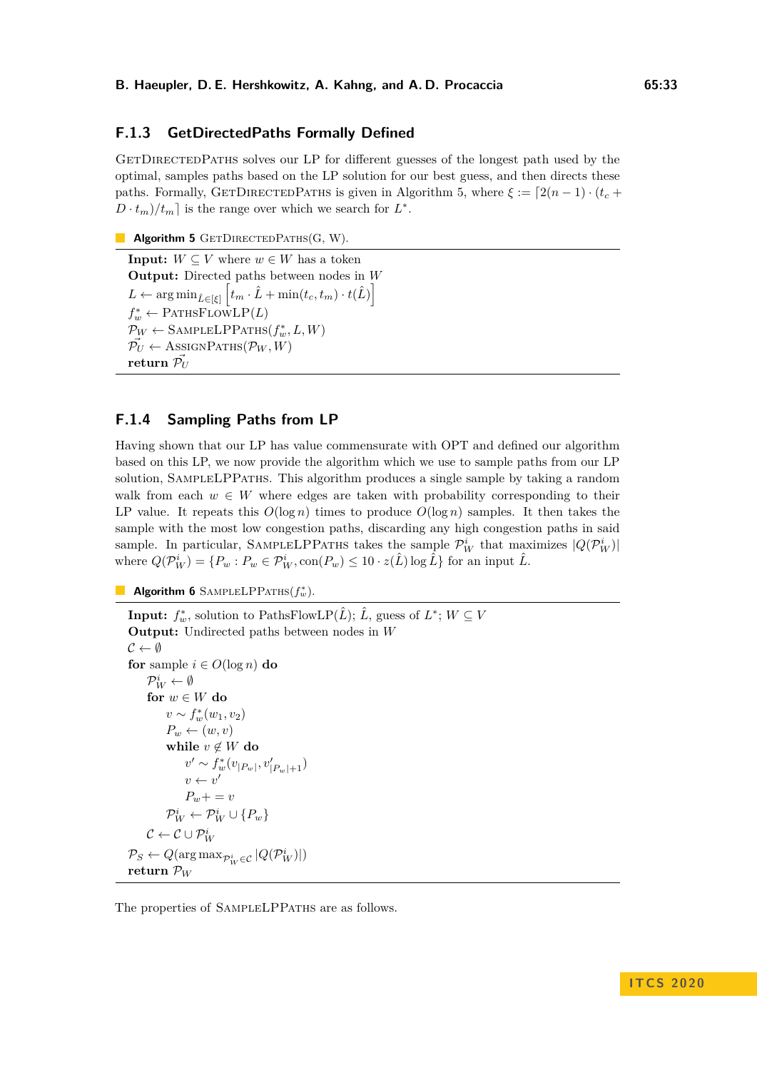## **F.1.3 GetDirectedPaths Formally Defined**

GETDIRECTEDPATHS solves our LP for different guesses of the longest path used by the optimal, samples paths based on the LP solution for our best guess, and then directs these paths. Formally, GETDIRECTEDPATHS is given in Algorithm [5,](#page-32-0) where  $\xi := [2(n-1) \cdot (t_c +$  $D \cdot t_m$ / $t_m$  is the range over which we search for  $L^*$ .

```
Algorithm 5 GETDIRECTEDPATHS(G, W).
```

```
Input: W \subseteq V where w \in W has a token
Output: Directed paths between nodes in W
L \leftarrow \arg \min_{\hat{L} \in [\xi]} \left[ t_m \cdot \hat{L} + \min(t_c, t_m) \cdot t(\hat{L}) \right]f_w^* \leftarrow PATHSFLOWLP(L)
\mathcal{P}_W \leftarrow SAMPLELPPATHS(f_w^*, L, W)\vec{\mathcal{P}_U} \leftarrow \text{AssiconParHS}(\mathcal{P}_W, W)return \vec{\mathcal{P}_{U}}
```
## **F.1.4 Sampling Paths from LP**

Having shown that our LP has value commensurate with OPT and defined our algorithm based on this LP, we now provide the algorithm which we use to sample paths from our LP solution, SampleLPPaths. This algorithm produces a single sample by taking a random walk from each  $w \in W$  where edges are taken with probability corresponding to their LP value. It repeats this  $O(\log n)$  times to produce  $O(\log n)$  samples. It then takes the sample with the most low congestion paths, discarding any high congestion paths in said sample. In particular, SAMPLELPPATHS takes the sample  $\mathcal{P}_W^i$  that maximizes  $|Q(\mathcal{P}_W^i)|$ where  $Q(\mathcal{P}_W^i) = \{P_w : P_w \in \mathcal{P}_W^i, \text{con}(P_w) \leq 10 \cdot z(\hat{L}) \log \hat{L}\}\)$  for an input  $\hat{L}$ .

```
Algorithm 6 SAMPLELPPATHS(f_w^*).
```

```
Input: f_w^* PathsFlowLP(\hat{L}); \hat{L}, guess of L^*; W \subseteq VOutput: Undirected paths between nodes in W
\mathcal{C} \leftarrow \emptysetfor sample i \in O(\log n) do
      \mathcal{P}_W^i \leftarrow \emptysetfor w \in W do
            v \sim f_w^*(w_1, v_2)P_w \leftarrow (w, v)while v \notin W do
                  v' \sim f_w^*(v_{|P_w|}, v'_{|P_w|+1})v \leftarrow v'P_w + v = v\mathcal{P}_W^i \leftarrow \mathcal{P}_W^i \cup \{P_w\}\mathcal{C} \leftarrow \mathcal{C} \cup \mathcal{P}^i_W\mathcal{P}_S \leftarrow Q(\argmax_{\mathcal{P}_W^i \in \mathcal{C}} |Q(\mathcal{P}_W^i)|)return PW
```
<span id="page-32-1"></span>The properties of SampleLPPaths are as follows.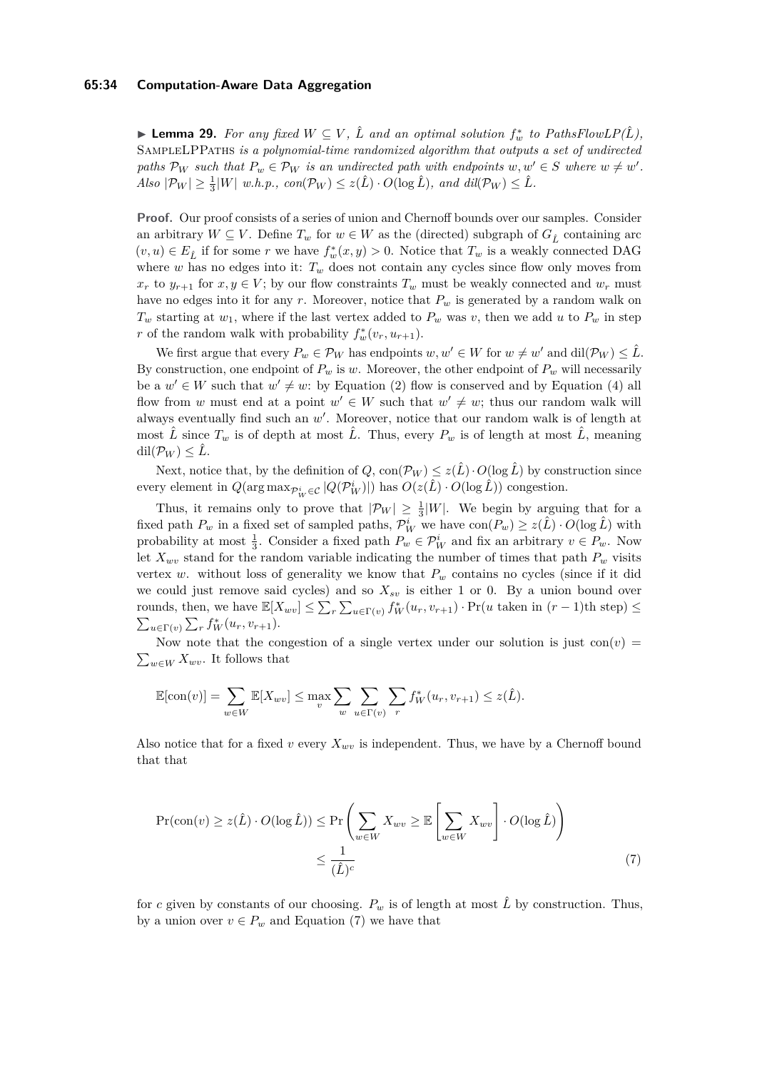### **65:34 Computation-Aware Data Aggregation**

▶ **Lemma 29.** For any fixed  $W ⊆ V$ ,  $\hat{L}$  and an optimal solution  $f_w^*$  to [PathsFlowLP\(](#page-28-2) $\hat{L}$ ), SampleLPPaths *is a polynomial-time randomized algorithm that outputs a set of undirected paths*  $\mathcal{P}_W$  *such that*  $P_w \in \mathcal{P}_W$  *is an undirected path with endpoints*  $w, w' \in S$  *where*  $w \neq w'$ *.*  $Also \ |\mathcal{P}_W| \geq \frac{1}{3}|W| \ w.h.p., \ con(\mathcal{P}_W) \leq z(\hat{L}) \cdot O(\log \hat{L}), \ and \ dil(\mathcal{P}_W) \leq \hat{L}.$ 

**Proof.** Our proof consists of a series of union and Chernoff bounds over our samples. Consider an arbitrary  $W \subseteq V$ . Define  $T_w$  for  $w \in W$  as the (directed) subgraph of  $G_{\hat{L}}$  containing arc  $(v, u) \in E_{\hat{L}}$  if for some *r* we have  $f_w^*(x, y) > 0$ . Notice that  $T_w$  is a weakly connected DAG where  $w$  has no edges into it:  $T_w$  does not contain any cycles since flow only moves from  $x_r$  to  $y_{r+1}$  for  $x, y \in V$ ; by our flow constraints  $T_w$  must be weakly connected and  $w_r$  must have no edges into it for any *r*. Moreover, notice that *P<sup>w</sup>* is generated by a random walk on  $T_w$  starting at  $w_1$ , where if the last vertex added to  $P_w$  was *v*, then we add *u* to  $P_w$  in step *r* of the random walk with probability  $f_w^*(v_r, u_{r+1})$ .

We first argue that every  $P_w \in \mathcal{P}_W$  has endpoints  $w, w' \in W$  for  $w \neq w'$  and  $\text{dil}(\mathcal{P}_W) \leq \hat{L}$ . By construction, one endpoint of  $P_w$  is *w*. Moreover, the other endpoint of  $P_w$  will necessarily be a  $w' \in W$  such that  $w' \neq w$ : by Equation [\(2\)](#page-28-3) flow is conserved and by Equation [\(4\)](#page-28-5) all flow from *w* must end at a point  $w' \in W$  such that  $w' \neq w$ ; thus our random walk will always eventually find such an  $w'$ . Moreover, notice that our random walk is of length at most  $\hat{L}$  since  $T_w$  is of depth at most  $\hat{L}$ . Thus, every  $P_w$  is of length at most  $\hat{L}$ , meaning  $\mathrm{dil}(\mathcal{P}_W) \leq \hat{L}$ .

Next, notice that, by the definition of  $Q$ ,  $con(\mathcal{P}_W) \leq z(\hat{L}) \cdot O(\log \hat{L})$  by construction since every element in  $Q(\arg \max_{\mathcal{P}_W^i \in \mathcal{C}} |Q(\mathcal{P}_W^i)|)$  has  $O(z(\hat{L}) \cdot O(\log \hat{L}))$  congestion.

Thus, it remains only to prove that  $|\mathcal{P}_W| \geq \frac{1}{3}|W|$ . We begin by arguing that for a fixed path  $P_w$  in a fixed set of sampled paths,  $\mathcal{P}_W^i$  we have  $con(P_w) \geq z(\hat{L}) \cdot O(\log \hat{L})$  with probability at most  $\frac{1}{3}$ . Consider a fixed path  $P_w \in \mathcal{P}_W^i$  and fix an arbitrary  $v \in P_w$ . Now let  $X_{wv}$  stand for the random variable indicating the number of times that path  $P_w$  visits vertex *w*. without loss of generality we know that  $P_w$  contains no cycles (since if it did we could just remove said cycles) and so  $X_{sv}$  is either 1 or 0. By a union bound over rounds, then, we have  $\mathbb{E}[X_{wv}] \leq \sum_{r} \sum_{u \in \Gamma(v)} f_W^*(u_r, v_{r+1}) \cdot \Pr(u \text{ taken in } (r-1)\text{th step}) \leq$  $\sum_{u \in \Gamma(v)} \sum_r f_W^*(u_r, v_{r+1}).$ 

Now note that the congestion of a single vertex under our solution is just  $con(v)$  $\sum_{w \in W} X_{wv}$ . It follows that

$$
\mathbb{E}[\text{con}(v)] = \sum_{w \in W} \mathbb{E}[X_{wv}] \le \max_v \sum_w \sum_{u \in \Gamma(v)} \sum_r f_W^*(u_r, v_{r+1}) \le z(\hat{L}).
$$

Also notice that for a fixed *v* every  $X_{wv}$  is independent. Thus, we have by a Chernoff bound that that

<span id="page-33-0"></span>
$$
\Pr(\text{con}(v) \ge z(\hat{L}) \cdot O(\log \hat{L})) \le \Pr\left(\sum_{w \in W} X_{wv} \ge \mathbb{E}\left[\sum_{w \in W} X_{wv}\right] \cdot O(\log \hat{L})\right) \le \frac{1}{(\hat{L})^c} \tag{7}
$$

for *c* given by constants of our choosing.  $P_w$  is of length at most  $\hat{L}$  by construction. Thus, by a union over  $v \in P_w$  and Equation [\(7\)](#page-33-0) we have that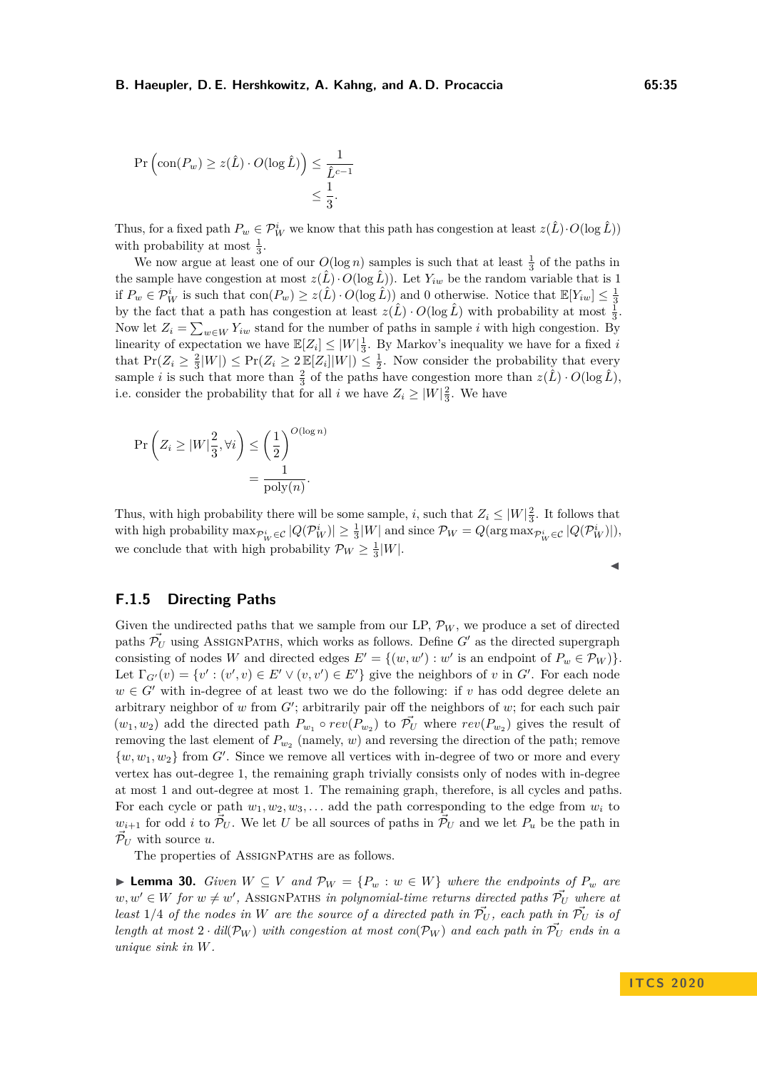$$
\Pr\left(\text{con}(P_w) \ge z(\hat{L}) \cdot O(\log \hat{L})\right) \le \frac{1}{\hat{L}^{c-1}} \le \frac{1}{3}.
$$

Thus, for a fixed path  $P_w \in \mathcal{P}_W^i$  we know that this path has congestion at least  $z(\hat{L}) \cdot O(\log \hat{L})$ with probability at most  $\frac{1}{3}$ .

We now argue at least one of our  $O(\log n)$  samples is such that at least  $\frac{1}{3}$  of the paths in the sample have congestion at most  $z(\hat{L})\cdot O(\log \hat{L})$ . Let  $Y_{iw}$  be the random variable that is 1 if  $P_w \in \mathcal{P}_W^i$  is such that  $\text{con}(P_w) \geq z(\hat{L}) \cdot O(\log \hat{L})$  and 0 otherwise. Notice that  $\mathbb{E}[Y_{iw}] \leq \frac{1}{3}$ by the fact that a path has congestion at least  $z(\hat{L}) \cdot O(\log \hat{L})$  with probability at most  $\frac{1}{3}$ . Now let  $Z_i = \sum_{w \in W} Y_{iw}$  stand for the number of paths in sample *i* with high congestion. By linearity of expectation we have  $\mathbb{E}[Z_i] \leq |W|\frac{1}{3}$ . By Markov's inequality we have for a fixed *i* that  $Pr(Z_i \geq \frac{2}{3}|W|) \leq Pr(Z_i \geq 2 \mathbb{E}[Z_i]|W|) \leq \frac{1}{2}$ . Now consider the probability that every sample *i* is such that more than  $\frac{2}{3}$  of the paths have congestion more than  $z(\hat{L}) \cdot O(\log \hat{L})$ , i.e. consider the probability that for all *i* we have  $Z_i \geq |W| \frac{2}{3}$ . We have

$$
\Pr\left(Z_i \ge |W|\frac{2}{3}, \forall i\right) \le \left(\frac{1}{2}\right)^{O(\log n)} = \frac{1}{\text{poly}(n)}.
$$

Thus, with high probability there will be some sample, *i*, such that  $Z_i \leq |W|_3^2$ . It follows that with high probability  $\max_{\mathcal{P}_W^i \in \mathcal{C}} |Q(\mathcal{P}_W^i)| \ge \frac{1}{3}|W|$  and since  $\mathcal{P}_W = Q(\arg \max_{\mathcal{P}_W^i \in \mathcal{C}} |Q(\mathcal{P}_W^i)|),$ we conclude that with high probability  $\mathcal{P}_W \geq \frac{1}{3}|W|$ .

## **F.1.5 Directing Paths**

Given the undirected paths that we sample from our LP,  $\mathcal{P}_W$ , we produce a set of directed paths  $\mathcal{P}_U$  using AssignPaths, which works as follows. Define *G'* as the directed supergraph consisting of nodes *W* and directed edges  $E' = \{(w, w') : w' \text{ is an endpoint of } P_w \in \mathcal{P}_W \}$ . Let  $\Gamma_{G'}(v) = \{v' : (v', v) \in E' \vee (v, v') \in E'\}$  give the neighbors of *v* in *G'*. For each node  $w \in G'$  with in-degree of at least two we do the following: if *v* has odd degree delete an arbitrary neighbor of  $w$  from  $G'$ ; arbitrarily pair off the neighbors of  $w$ ; for each such pair  $(w_1, w_2)$  add the directed path  $P_{w_1} \circ rev(P_{w_2})$  to  $\vec{\mathcal{P}_U}$  where  $rev(P_{w_2})$  gives the result of removing the last element of  $P_{w_2}$  (namely, *w*) and reversing the direction of the path; remove  $\{w, w_1, w_2\}$  from  $G'$ . Since we remove all vertices with in-degree of two or more and every vertex has out-degree 1, the remaining graph trivially consists only of nodes with in-degree at most 1 and out-degree at most 1. The remaining graph, therefore, is all cycles and paths. For each cycle or path  $w_1, w_2, w_3, \ldots$  add the path corresponding to the edge from  $w_i$  to  $w_{i+1}$  for odd *i* to  $\mathcal{P}_U$ . We let *U* be all sources of paths in  $\mathcal{P}_U$  and we let  $P_u$  be the path in  $\vec{\mathcal{P}}_U$  with source *u*.

The properties of ASSIGNPATHS are as follows.

<span id="page-34-0"></span>▶ **Lemma 30.** *Given*  $W ⊆ V$  *and*  $P_W = \{P_w : w ∈ W\}$  *where the endpoints of*  $P_w$  *are*  $w, w' \in W$  *for*  $w \neq w'$ , AssignPaths *in polynomial-time returns directed paths*  $\vec{P}_U$  *where at least* 1/4 *of the nodes in W are the source of a directed path in*  $\vec{P}_U$ , *each path in*  $\vec{P}_U$  *is of length at most*  $2 \cdot$  *dil*( $\mathcal{P}_W$ ) *with congestion at most con*( $\mathcal{P}_W$ ) *and each path in*  $\overline{\mathcal{P}_U}$  *ends in a unique sink in W.*

J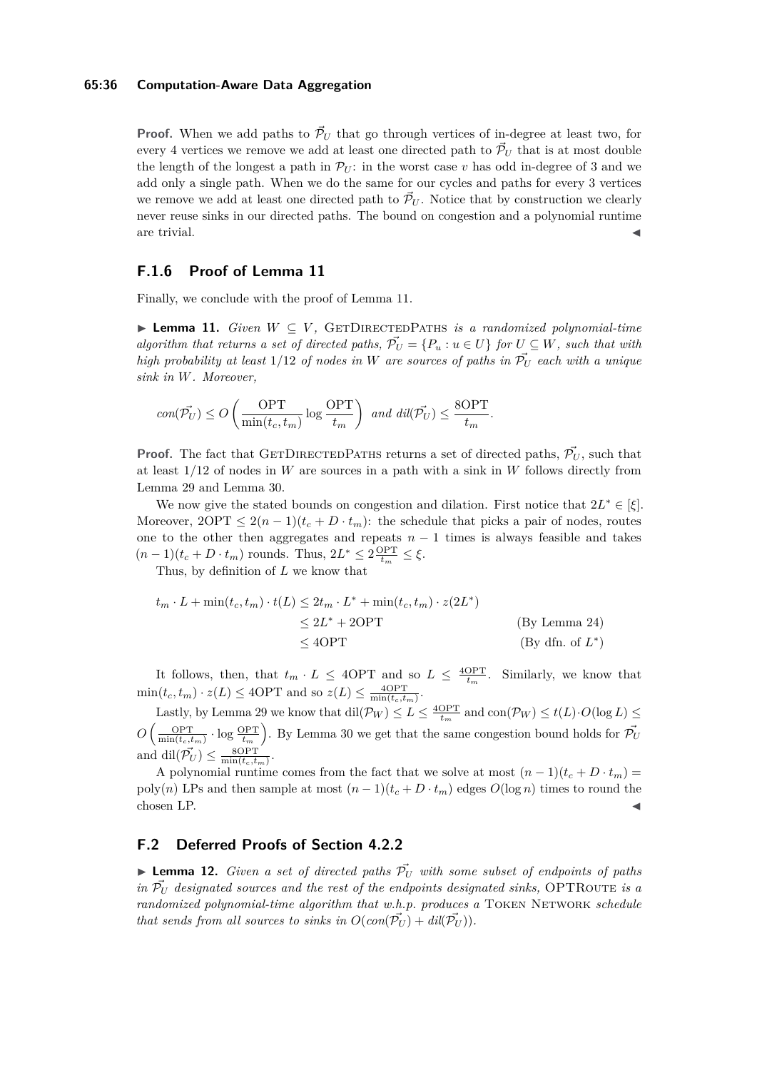## **65:36 Computation-Aware Data Aggregation**

**Proof.** When we add paths to  $\vec{\mathcal{P}}_U$  that go through vertices of in-degree at least two, for every 4 vertices we remove we add at least one directed path to  $\vec{\mathcal{P}}_U$  that is at most double the length of the longest a path in  $\mathcal{P}_U$ : in the worst case *v* has odd in-degree of 3 and we add only a single path. When we do the same for our cycles and paths for every 3 vertices we remove we add at least one directed path to  $\tilde{\mathcal{P}}_U$ . Notice that by construction we clearly never reuse sinks in our directed paths. The bound on congestion and a polynomial runtime are trivial.  $\blacksquare$ 

## **F.1.6 Proof of Lemma [11](#page-12-1)**

Finally, we conclude with the proof of Lemma [11.](#page-12-1)

I **Lemma 11.** *Given W* ⊆ *V ,* GetDirectedPaths *is a randomized polynomial-time algorithm that returns a set of directed paths,*  $\overrightarrow{P}_U = \{P_u : u \in U\}$  for  $U \subseteq W$ *, such that with high probability at least*  $1/12$  *of nodes in W are sources of paths in*  $\overline{P}_U$  *each with a unique sink in W. Moreover,*

$$
con(\vec{\mathcal{P}_U}) \leq O\left(\frac{\text{OPT}}{\min(t_c,t_m)}\log\frac{\text{OPT}}{t_m}\right) \text{ and } dil(\vec{\mathcal{P}_U}) \leq \frac{8\text{OPT}}{t_m}.
$$

**Proof.** The fact that GETDIRECTEDPATHS returns a set of directed paths,  $\vec{P}_{U}$ , such that at least 1*/*12 of nodes in *W* are sources in a path with a sink in *W* follows directly from Lemma [29](#page-32-1) and Lemma [30.](#page-34-0)

We now give the stated bounds on congestion and dilation. First notice that  $2L^* \in [\xi]$ . Moreover,  $2OPT \leq 2(n-1)(t_c + D \cdot t_m)$ : the schedule that picks a pair of nodes, routes one to the other then aggregates and repeats  $n-1$  times is always feasible and takes  $(n-1)(t_c + D \cdot t_m)$  rounds. Thus,  $2L^* \leq 2 \frac{OPT}{t_m} \leq \xi$ .

Thus, by definition of *L* we know that

$$
t_m \cdot L + \min(t_c, t_m) \cdot t(L) \le 2t_m \cdot L^* + \min(t_c, t_m) \cdot z(2L^*)
$$
  
\n
$$
\le 2L^* + 2\text{OPT}
$$
 (By Lemma 24)  
\n
$$
\le 4\text{OPT}
$$
 (By dfn. of  $L^*$ )

It follows, then, that  $t_m \cdot L \leq 4$ OPT and so  $L \leq \frac{4$ OPT. Similarly, we know that *t<sup>m</sup>*  $\min(t_c, t_m) \cdot z(L) \leq 4\text{OPT}$  and so  $z(L) \leq \frac{4\text{OPT}}{\min(t_c, t_m)}$ .

Lastly, by Lemma [29](#page-32-1) we know that  $\text{dil}(\mathcal{P}_W) \leq L \leq \frac{4\text{OPT}}{t_m}$  and  $\text{con}(\mathcal{P}_W) \leq t(L) \cdot O(\log L) \leq$  $O\left(\frac{OPT}{\min(t_c, t_m)} \cdot \log \frac{OPT}{t_m}\right)$ . By Lemma [30](#page-34-0) we get that the same congestion bound holds for  $\vec{\mathcal{P}}_U$ and  $\mathrm{dil}(\vec{\mathcal{P}_U}) \leq \frac{8\mathrm{OPT}}{\min(t_c, t_m)}$ .

A polynomial runtime comes from the fact that we solve at most  $(n-1)(t_c + D \cdot t_m)$ poly(*n*) LPs and then sample at most  $(n-1)(t_c + D \cdot t_m)$  edges  $O(\log n)$  times to round the  $\epsilon$ hosen LP.  $\blacktriangleleft$ 

## **F.2 Deferred Proofs of Section [4.2.2](#page-12-2)**

**Lemma 12.** *Given a set of directed paths*  $\vec{P}_U$  *with some subset of endpoints of paths in*  $\overline{P}_U$  *designated sources and the rest of the endpoints designated sinks,* OPTROUTE *is a randomized polynomial-time algorithm that w.h.p. produces a* TOKEN NETWORK *schedule that sends from all sources to sinks in*  $O(\text{con}(\overrightarrow{P_U}) + \text{dil}(\overrightarrow{P_U}))$ .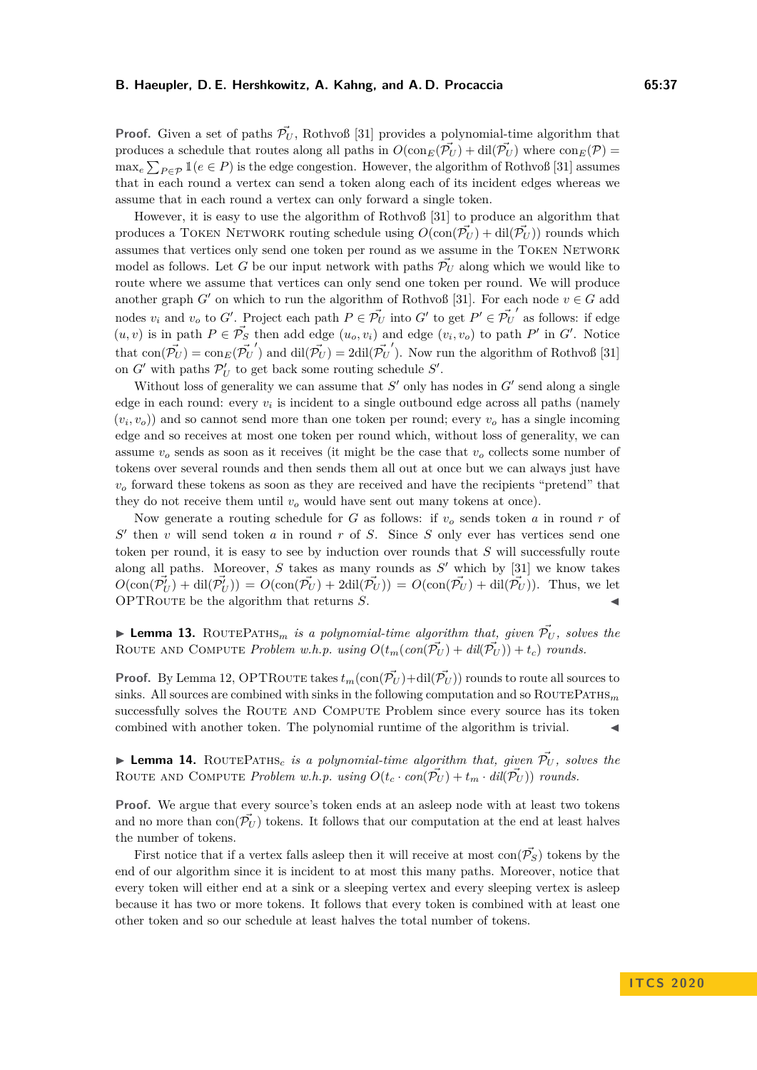**Proof.** Given a set of paths  $\vec{\mathcal{P}}_U$ , Rothvoß [\[31\]](#page-15-1) provides a polynomial-time algorithm that produces a schedule that routes along all paths in  $O(\text{con}_E(\vec{\mathcal{P}}_U) + \text{dil}(\vec{\mathcal{P}}_U)$  where  $\text{con}_E(\mathcal{P}) =$  $\max_e \sum_{P \in \mathcal{P}} \mathbb{1}(e \in P)$  is the edge congestion. However, the algorithm of Rothvoß [\[31\]](#page-15-1) assumes that in each round a vertex can send a token along each of its incident edges whereas we assume that in each round a vertex can only forward a single token.

However, it is easy to use the algorithm of Rothvoß [\[31\]](#page-15-1) to produce an algorithm that produces a TOKEN NETWORK routing schedule using  $O(\text{con}(\vec{\mathcal{P}}_U) + \text{dil}(\vec{\mathcal{P}}_U))$  rounds which assumes that vertices only send one token per round as we assume in the TOKEN NETWORK model as follows. Let *G* be our input network with paths  $\vec{\mathcal{P}}_U$  along which we would like to route where we assume that vertices can only send one token per round. We will produce another graph *G*<sup> $\prime$ </sup> on which to run the algorithm of Rothvoß [\[31\]](#page-15-1). For each node  $v \in G$  add nodes  $v_i$  and  $v_o$  to *G*<sup> $\prime$ </sup>. Project each path  $P \in \vec{\mathcal{P}_U}$  into *G*<sup> $\prime$ </sup> to get  $P' \in \vec{\mathcal{P}_U}$ <sup> $\prime$ </sup> as follows: if edge  $(u, v)$  is in path  $P \in \vec{\mathcal{P}}_S$  then add edge  $(u_o, v_i)$  and edge  $(v_i, v_o)$  to path  $P'$  in  $G'$ . Notice that  $con(\vec{P_U}) = \text{con}_E(\vec{P_U}')$  and  $\text{dil}(\vec{P_U}') = 2\text{dil}(\vec{\mathcal{P}_U}')$ . Now run the algorithm of Rothvoß [\[31\]](#page-15-1) on  $G'$  with paths  $\mathcal{P}'_U$  to get back some routing schedule  $S'$ .

Without loss of generality we can assume that  $S'$  only has nodes in  $G'$  send along a single edge in each round: every  $v_i$  is incident to a single outbound edge across all paths (namely  $(v_i, v_o)$  and so cannot send more than one token per round; every  $v_o$  has a single incoming edge and so receives at most one token per round which, without loss of generality, we can assume  $v<sub>o</sub>$  sends as soon as it receives (it might be the case that  $v<sub>o</sub>$  collects some number of tokens over several rounds and then sends them all out at once but we can always just have  $v<sub>o</sub>$  forward these tokens as soon as they are received and have the recipients "pretend" that they do not receive them until  $v<sub>o</sub>$  would have sent out many tokens at once).

Now generate a routing schedule for *G* as follows: if *v<sup>o</sup>* sends token *a* in round *r* of  $S'$  then *v* will send token *a* in round *r* of *S*. Since *S* only ever has vertices send one token per round, it is easy to see by induction over rounds that *S* will successfully route along all paths. Moreover,  $S$  takes as many rounds as  $S'$  which by  $[31]$  we know takes  $O(\text{con}(\vec{\mathcal{P}}'_{U}) + \text{dil}(\vec{\mathcal{P}}'_{U}) = O(\text{con}(\vec{\mathcal{P}}'_{U}) + 2\text{dil}(\vec{\mathcal{P}}'_{U})) = O(\text{con}(\vec{\mathcal{P}}'_{U}) + \text{dil}(\vec{\mathcal{P}}'_{U}))$ . Thus, we let OPTROUTE be the algorithm that returns *S*.

**I Lemma 13.** ROUTEPATHS<sub>m</sub> is a polynomial-time algorithm that, given  $\vec{\mathcal{P}}_U$ , solves the ROUTE AND COMPUTE *Problem w.h.p.* using  $O(t_m(\text{con}(\vec{\mathcal{P}}_U) + \text{d}i(\vec{\mathcal{P}}_U)) + t_c)$  rounds.

**Proof.** By Lemma [12,](#page-12-3) OPTROUTE takes  $t_m(\text{con}(\vec{\mathcal{P}_U})+\text{dil}(\vec{\mathcal{P}_U}))$  rounds to route all sources to sinks. All sources are combined with sinks in the following computation and so  $\text{ROUTEPATHS}_{m}$ successfully solves the ROUTE AND COMPUTE Problem since every source has its token combined with another token. The polynomial runtime of the algorithm is trivial.

**I Lemma 14.** ROUTEPATHS<sub>c</sub> is a polynomial-time algorithm that, given  $\overrightarrow{P}_{U}$ , solves the ROUTE AND COMPUTE *Problem w.h.p.* using  $O(t_c \cdot con(\vec{\mathcal{P}_U}) + t_m \cdot dil(\vec{\mathcal{P}_U})$  *rounds.* 

**Proof.** We argue that every source's token ends at an asleep node with at least two tokens and no more than  $con(\mathcal{P}_U)$  tokens. It follows that our computation at the end at least halves the number of tokens.

First notice that if a vertex falls asleep then it will receive at most  $con(\vec{P_S})$  tokens by the end of our algorithm since it is incident to at most this many paths. Moreover, notice that every token will either end at a sink or a sleeping vertex and every sleeping vertex is asleep because it has two or more tokens. It follows that every token is combined with at least one other token and so our schedule at least halves the total number of tokens.